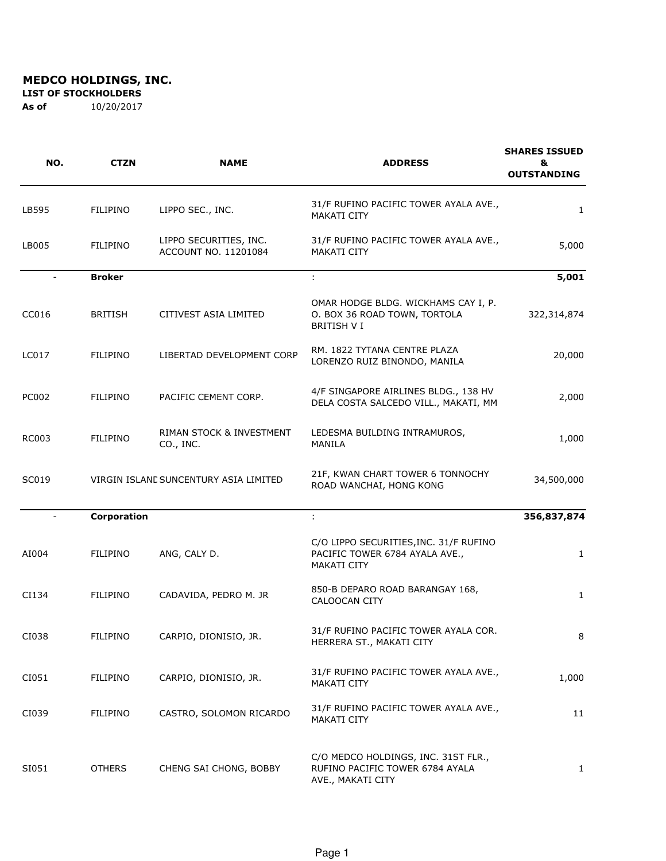**LIST OF STOCKHOLDERS** 

| NO.          | <b>CTZN</b>     | <b>NAME</b>                                    | <b>ADDRESS</b>                                                                                 | <b>SHARES ISSUED</b><br>&<br><b>OUTSTANDING</b> |
|--------------|-----------------|------------------------------------------------|------------------------------------------------------------------------------------------------|-------------------------------------------------|
| LB595        | <b>FILIPINO</b> | LIPPO SEC., INC.                               | 31/F RUFINO PACIFIC TOWER AYALA AVE.,<br><b>MAKATI CITY</b>                                    | 1                                               |
| LB005        | <b>FILIPINO</b> | LIPPO SECURITIES, INC.<br>ACCOUNT NO. 11201084 | 31/F RUFINO PACIFIC TOWER AYALA AVE.,<br><b>MAKATI CITY</b>                                    | 5,000                                           |
|              | <b>Broker</b>   |                                                | ÷                                                                                              | 5,001                                           |
| CC016        | <b>BRITISH</b>  | CITIVEST ASIA LIMITED                          | OMAR HODGE BLDG. WICKHAMS CAY I, P.<br>O. BOX 36 ROAD TOWN, TORTOLA<br><b>BRITISH V I</b>      | 322,314,874                                     |
| LC017        | <b>FILIPINO</b> | LIBERTAD DEVELOPMENT CORP                      | RM. 1822 TYTANA CENTRE PLAZA<br>LORENZO RUIZ BINONDO, MANILA                                   | 20,000                                          |
| <b>PC002</b> | <b>FILIPINO</b> | PACIFIC CEMENT CORP.                           | 4/F SINGAPORE AIRLINES BLDG., 138 HV<br>DELA COSTA SALCEDO VILL., MAKATI, MM                   | 2,000                                           |
| RC003        | <b>FILIPINO</b> | RIMAN STOCK & INVESTMENT<br>CO., INC.          | LEDESMA BUILDING INTRAMUROS,<br>MANILA                                                         | 1,000                                           |
| SC019        |                 | VIRGIN ISLANE SUNCENTURY ASIA LIMITED          | 21F, KWAN CHART TOWER 6 TONNOCHY<br>ROAD WANCHAI, HONG KONG                                    | 34,500,000                                      |
| $\sim$       | Corporation     |                                                | ÷.                                                                                             | 356,837,874                                     |
| AI004        | <b>FILIPINO</b> | ANG, CALY D.                                   | C/O LIPPO SECURITIES, INC. 31/F RUFINO<br>PACIFIC TOWER 6784 AYALA AVE.,<br><b>MAKATI CITY</b> | $\mathbf{1}$                                    |
| CI134        | <b>FILIPINO</b> | CADAVIDA, PEDRO M. JR                          | 850-B DEPARO ROAD BARANGAY 168,<br>CALOOCAN CITY                                               | $\mathbf{1}$                                    |
| CI038        | FILIPINO        | CARPIO, DIONISIO, JR.                          | 31/F RUFINO PACIFIC TOWER AYALA COR.<br>HERRERA ST., MAKATI CITY                               | 8                                               |
| CI051        | FILIPINO        | CARPIO, DIONISIO, JR.                          | 31/F RUFINO PACIFIC TOWER AYALA AVE.,<br>MAKATI CITY                                           | 1,000                                           |
| CI039        | <b>FILIPINO</b> | CASTRO, SOLOMON RICARDO                        | 31/F RUFINO PACIFIC TOWER AYALA AVE.,<br>MAKATI CITY                                           | 11                                              |
| SI051        | <b>OTHERS</b>   | CHENG SAI CHONG, BOBBY                         | C/O MEDCO HOLDINGS, INC. 31ST FLR.,<br>RUFINO PACIFIC TOWER 6784 AYALA<br>AVE., MAKATI CITY    | 1                                               |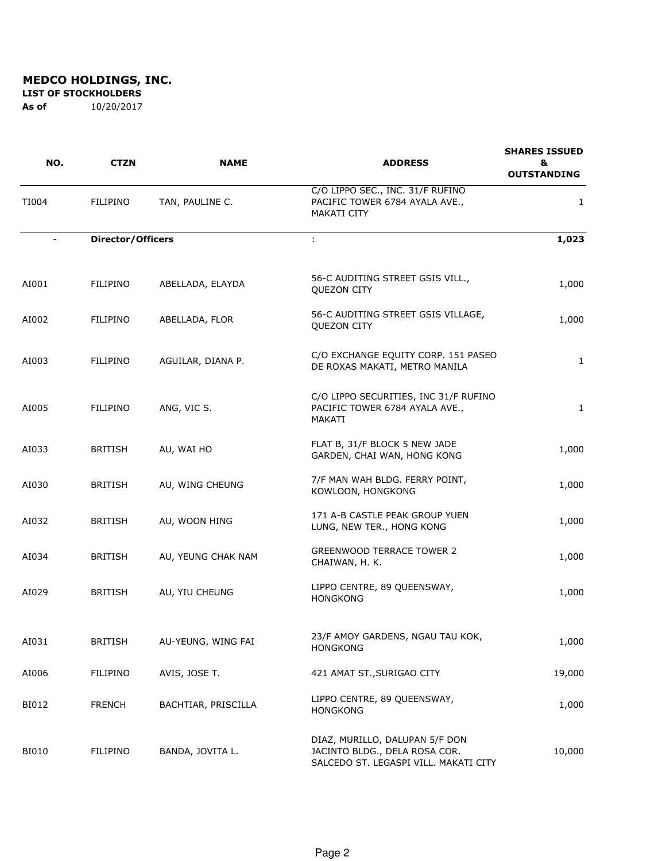**LIST OF STOCKHOLDERS** 

| NO.                      | <b>CTZN</b>              | <b>NAME</b>         | <b>ADDRESS</b>                                                                                           | <b>SHARES ISSUED</b><br>&<br><b>OUTSTANDING</b> |
|--------------------------|--------------------------|---------------------|----------------------------------------------------------------------------------------------------------|-------------------------------------------------|
| TI004                    | <b>FILIPINO</b>          | TAN, PAULINE C.     | C/O LIPPO SEC., INC. 31/F RUFINO<br>PACIFIC TOWER 6784 AYALA AVE.,<br>MAKATI CITY                        | 1                                               |
| $\overline{\phantom{a}}$ | <b>Director/Officers</b> |                     | ÷                                                                                                        | 1,023                                           |
| AI001                    | FILIPINO                 | ABELLADA, ELAYDA    | 56-C AUDITING STREET GSIS VILL.,<br><b>QUEZON CITY</b>                                                   | 1,000                                           |
| AI002                    | <b>FILIPINO</b>          | ABELLADA, FLOR      | 56-C AUDITING STREET GSIS VILLAGE,<br>QUEZON CITY                                                        | 1,000                                           |
| AI003                    | FILIPINO                 | AGUILAR, DIANA P.   | C/O EXCHANGE EQUITY CORP. 151 PASEO<br>DE ROXAS MAKATI, METRO MANILA                                     | $\mathbf{1}$                                    |
| AI005                    | FILIPINO                 | ANG, VIC S.         | C/O LIPPO SECURITIES, INC 31/F RUFINO<br>PACIFIC TOWER 6784 AYALA AVE.,<br>MAKATI                        | $\mathbf{1}$                                    |
| AI033                    | <b>BRITISH</b>           | AU, WAI HO          | FLAT B, 31/F BLOCK 5 NEW JADE<br>GARDEN, CHAI WAN, HONG KONG                                             | 1,000                                           |
| AI030                    | <b>BRITISH</b>           | AU, WING CHEUNG     | 7/F MAN WAH BLDG. FERRY POINT,<br>KOWLOON, HONGKONG                                                      | 1,000                                           |
| AI032                    | <b>BRITISH</b>           | AU, WOON HING       | 171 A-B CASTLE PEAK GROUP YUEN<br>LUNG, NEW TER., HONG KONG                                              | 1,000                                           |
| AI034                    | <b>BRITISH</b>           | AU, YEUNG CHAK NAM  | <b>GREENWOOD TERRACE TOWER 2</b><br>CHAIWAN, H. K.                                                       | 1,000                                           |
| AI029                    | <b>BRITISH</b>           | AU, YIU CHEUNG      | LIPPO CENTRE, 89 QUEENSWAY,<br><b>HONGKONG</b>                                                           | 1,000                                           |
| AI031                    | <b>BRITISH</b>           | AU-YEUNG, WING FAI  | 23/F AMOY GARDENS, NGAU TAU KOK,<br><b>HONGKONG</b>                                                      | 1,000                                           |
| AI006                    | FILIPINO                 | AVIS, JOSE T.       | 421 AMAT ST., SURIGAO CITY                                                                               | 19,000                                          |
| BI012                    | <b>FRENCH</b>            | BACHTIAR, PRISCILLA | LIPPO CENTRE, 89 QUEENSWAY,<br><b>HONGKONG</b>                                                           | 1,000                                           |
| <b>BI010</b>             | FILIPINO                 | BANDA, JOVITA L.    | DIAZ, MURILLO, DALUPAN 5/F DON<br>JACINTO BLDG., DELA ROSA COR.<br>SALCEDO ST. LEGASPI VILL. MAKATI CITY | 10,000                                          |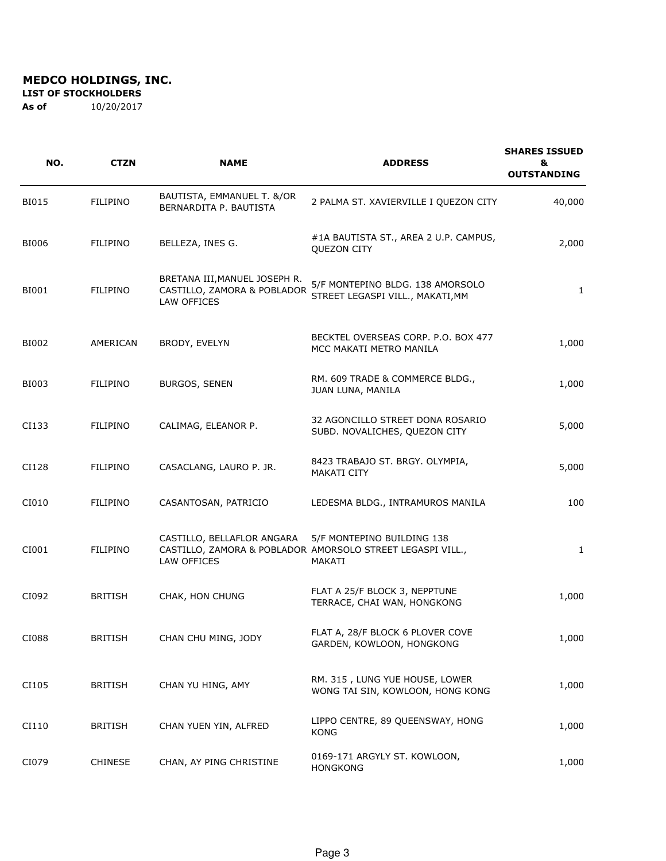**LIST OF STOCKHOLDERS** 

| NO.          | <b>CTZN</b>     | <b>NAME</b>                                                                 | <b>ADDRESS</b>                                                                                     | <b>SHARES ISSUED</b><br>&<br><b>OUTSTANDING</b> |
|--------------|-----------------|-----------------------------------------------------------------------------|----------------------------------------------------------------------------------------------------|-------------------------------------------------|
| <b>BI015</b> | <b>FILIPINO</b> | BAUTISTA, EMMANUEL T. &/OR<br>BERNARDITA P. BAUTISTA                        | 2 PALMA ST. XAVIERVILLE I QUEZON CITY                                                              | 40,000                                          |
| BI006        | <b>FILIPINO</b> | BELLEZA, INES G.                                                            | #1A BAUTISTA ST., AREA 2 U.P. CAMPUS,<br><b>QUEZON CITY</b>                                        | 2,000                                           |
| BI001        | FILIPINO        | BRETANA III, MANUEL JOSEPH R.<br>CASTILLO, ZAMORA & POBLADOR<br>LAW OFFICES | 5/F MONTEPINO BLDG. 138 AMORSOLO<br>STREET LEGASPI VILL., MAKATI, MM                               | $\mathbf{1}$                                    |
| BI002        | AMERICAN        | BRODY, EVELYN                                                               | BECKTEL OVERSEAS CORP. P.O. BOX 477<br>MCC MAKATI METRO MANILA                                     | 1,000                                           |
| BI003        | <b>FILIPINO</b> | <b>BURGOS, SENEN</b>                                                        | RM. 609 TRADE & COMMERCE BLDG.,<br>JUAN LUNA, MANILA                                               | 1,000                                           |
| CI133        | <b>FILIPINO</b> | CALIMAG, ELEANOR P.                                                         | 32 AGONCILLO STREET DONA ROSARIO<br>SUBD. NOVALICHES, QUEZON CITY                                  | 5,000                                           |
| CI128        | FILIPINO        | CASACLANG, LAURO P. JR.                                                     | 8423 TRABAJO ST. BRGY. OLYMPIA,<br><b>MAKATI CITY</b>                                              | 5,000                                           |
| CI010        | FILIPINO        | CASANTOSAN, PATRICIO                                                        | LEDESMA BLDG., INTRAMUROS MANILA                                                                   | 100                                             |
| CI001        | FILIPINO        | CASTILLO, BELLAFLOR ANGARA<br>LAW OFFICES                                   | 5/F MONTEPINO BUILDING 138<br>CASTILLO, ZAMORA & POBLADOR AMORSOLO STREET LEGASPI VILL.,<br>MAKATI | 1                                               |
| CI092        | <b>BRITISH</b>  | CHAK, HON CHUNG                                                             | FLAT A 25/F BLOCK 3, NEPPTUNE<br>TERRACE, CHAI WAN, HONGKONG                                       | 1,000                                           |
| CI088        | <b>BRITISH</b>  | CHAN CHU MING, JODY                                                         | FLAT A, 28/F BLOCK 6 PLOVER COVE<br>GARDEN, KOWLOON, HONGKONG                                      | 1,000                                           |
| CI105        | <b>BRITISH</b>  | CHAN YU HING, AMY                                                           | RM. 315, LUNG YUE HOUSE, LOWER<br>WONG TAI SIN, KOWLOON, HONG KONG                                 | 1,000                                           |
| CI110        | <b>BRITISH</b>  | CHAN YUEN YIN, ALFRED                                                       | LIPPO CENTRE, 89 QUEENSWAY, HONG<br><b>KONG</b>                                                    | 1,000                                           |
| CI079        | <b>CHINESE</b>  | CHAN, AY PING CHRISTINE                                                     | 0169-171 ARGYLY ST. KOWLOON,<br><b>HONGKONG</b>                                                    | 1,000                                           |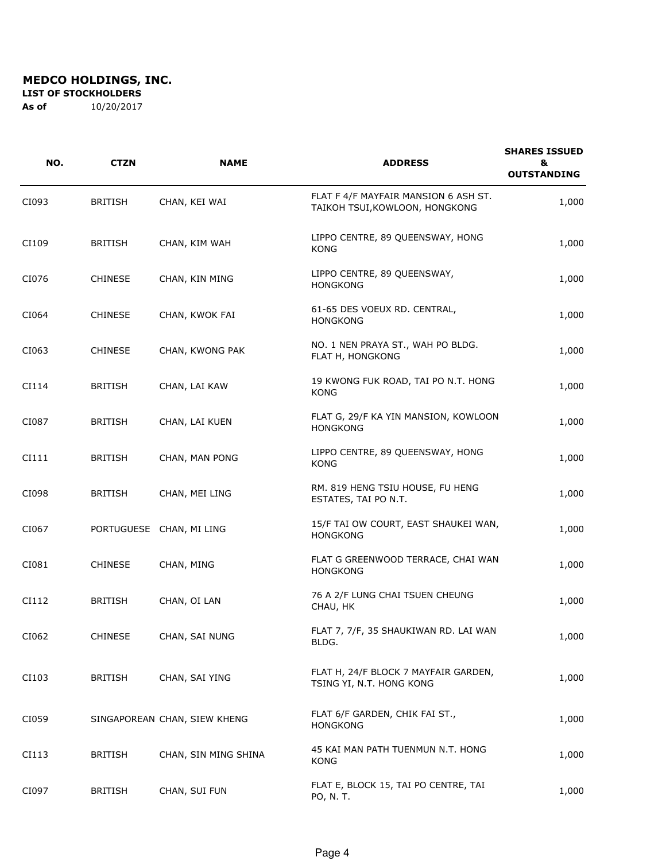**LIST OF STOCKHOLDERS** 

| NO.   | <b>CTZN</b>    | <b>NAME</b>                  | <b>ADDRESS</b>                                                         | <b>SHARES ISSUED</b><br>&<br><b>OUTSTANDING</b> |
|-------|----------------|------------------------------|------------------------------------------------------------------------|-------------------------------------------------|
| CI093 | <b>BRITISH</b> | CHAN, KEI WAI                | FLAT F 4/F MAYFAIR MANSION 6 ASH ST.<br>TAIKOH TSUI, KOWLOON, HONGKONG | 1,000                                           |
| CI109 | <b>BRITISH</b> | CHAN, KIM WAH                | LIPPO CENTRE, 89 QUEENSWAY, HONG<br>KONG                               | 1,000                                           |
| CI076 | <b>CHINESE</b> | CHAN, KIN MING               | LIPPO CENTRE, 89 QUEENSWAY,<br><b>HONGKONG</b>                         | 1,000                                           |
| CI064 | <b>CHINESE</b> | CHAN, KWOK FAI               | 61-65 DES VOEUX RD. CENTRAL,<br><b>HONGKONG</b>                        | 1,000                                           |
| CI063 | <b>CHINESE</b> | CHAN, KWONG PAK              | NO. 1 NEN PRAYA ST., WAH PO BLDG.<br>FLAT H, HONGKONG                  | 1,000                                           |
| CI114 | <b>BRITISH</b> | CHAN, LAI KAW                | 19 KWONG FUK ROAD, TAI PO N.T. HONG<br><b>KONG</b>                     | 1,000                                           |
| CI087 | <b>BRITISH</b> | CHAN, LAI KUEN               | FLAT G, 29/F KA YIN MANSION, KOWLOON<br><b>HONGKONG</b>                | 1,000                                           |
| CI111 | <b>BRITISH</b> | CHAN, MAN PONG               | LIPPO CENTRE, 89 QUEENSWAY, HONG<br><b>KONG</b>                        | 1,000                                           |
| CI098 | <b>BRITISH</b> | CHAN, MEI LING               | RM. 819 HENG TSIU HOUSE, FU HENG<br>ESTATES, TAI PO N.T.               | 1,000                                           |
| CI067 |                | PORTUGUESE CHAN, MI LING     | 15/F TAI OW COURT, EAST SHAUKEI WAN,<br><b>HONGKONG</b>                | 1,000                                           |
| CI081 | <b>CHINESE</b> | CHAN, MING                   | FLAT G GREENWOOD TERRACE, CHAI WAN<br><b>HONGKONG</b>                  | 1,000                                           |
| CI112 | <b>BRITISH</b> | CHAN, OI LAN                 | 76 A 2/F LUNG CHAI TSUEN CHEUNG<br>CHAU, HK                            | 1,000                                           |
| CI062 | CHINESE        | CHAN, SAI NUNG               | FLAT 7, 7/F, 35 SHAUKIWAN RD. LAI WAN<br>BLDG.                         | 1,000                                           |
| CI103 | <b>BRITISH</b> | CHAN, SAI YING               | FLAT H, 24/F BLOCK 7 MAYFAIR GARDEN,<br>TSING YI, N.T. HONG KONG       | 1,000                                           |
| CI059 |                | SINGAPOREAN CHAN, SIEW KHENG | FLAT 6/F GARDEN, CHIK FAI ST.,<br><b>HONGKONG</b>                      | 1,000                                           |
| CI113 | <b>BRITISH</b> | CHAN, SIN MING SHINA         | 45 KAI MAN PATH TUENMUN N.T. HONG<br><b>KONG</b>                       | 1,000                                           |
| CI097 | <b>BRITISH</b> | CHAN, SUI FUN                | FLAT E, BLOCK 15, TAI PO CENTRE, TAI<br>PO, N. T.                      | 1,000                                           |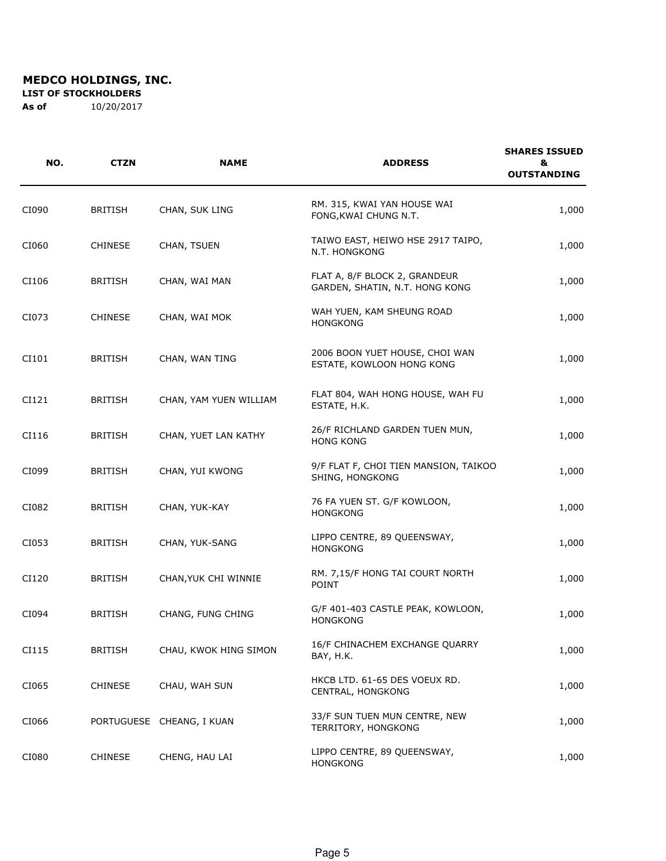**LIST OF STOCKHOLDERS** 

| NO.   | <b>CTZN</b>    | <b>NAME</b>               | <b>ADDRESS</b>                                                  | <b>SHARES ISSUED</b><br>&<br><b>OUTSTANDING</b> |
|-------|----------------|---------------------------|-----------------------------------------------------------------|-------------------------------------------------|
| CI090 | <b>BRITISH</b> | CHAN, SUK LING            | RM. 315, KWAI YAN HOUSE WAI<br>FONG, KWAI CHUNG N.T.            | 1,000                                           |
| CI060 | <b>CHINESE</b> | CHAN, TSUEN               | TAIWO EAST, HEIWO HSE 2917 TAIPO,<br>N.T. HONGKONG              | 1,000                                           |
| CI106 | <b>BRITISH</b> | CHAN, WAI MAN             | FLAT A, 8/F BLOCK 2, GRANDEUR<br>GARDEN, SHATIN, N.T. HONG KONG | 1,000                                           |
| CI073 | <b>CHINESE</b> | CHAN, WAI MOK             | WAH YUEN, KAM SHEUNG ROAD<br><b>HONGKONG</b>                    | 1,000                                           |
| CI101 | <b>BRITISH</b> | CHAN, WAN TING            | 2006 BOON YUET HOUSE, CHOI WAN<br>ESTATE, KOWLOON HONG KONG     | 1,000                                           |
| CI121 | <b>BRITISH</b> | CHAN, YAM YUEN WILLIAM    | FLAT 804, WAH HONG HOUSE, WAH FU<br>ESTATE, H.K.                | 1,000                                           |
| CI116 | <b>BRITISH</b> | CHAN, YUET LAN KATHY      | 26/F RICHLAND GARDEN TUEN MUN,<br><b>HONG KONG</b>              | 1,000                                           |
| CI099 | <b>BRITISH</b> | CHAN, YUI KWONG           | 9/F FLAT F, CHOI TIEN MANSION, TAIKOO<br>SHING, HONGKONG        | 1,000                                           |
| CI082 | <b>BRITISH</b> | CHAN, YUK-KAY             | 76 FA YUEN ST. G/F KOWLOON,<br><b>HONGKONG</b>                  | 1,000                                           |
| CI053 | <b>BRITISH</b> | CHAN, YUK-SANG            | LIPPO CENTRE, 89 QUEENSWAY,<br><b>HONGKONG</b>                  | 1,000                                           |
| CI120 | <b>BRITISH</b> | CHAN, YUK CHI WINNIE      | RM. 7,15/F HONG TAI COURT NORTH<br>POINT                        | 1,000                                           |
| CI094 | <b>BRITISH</b> | CHANG, FUNG CHING         | G/F 401-403 CASTLE PEAK, KOWLOON,<br><b>HONGKONG</b>            | 1,000                                           |
| CI115 | <b>BRITISH</b> | CHAU, KWOK HING SIMON     | 16/F CHINACHEM EXCHANGE QUARRY<br>BAY, H.K.                     | 1,000                                           |
| CI065 | <b>CHINESE</b> | CHAU, WAH SUN             | HKCB LTD. 61-65 DES VOEUX RD.<br>CENTRAL, HONGKONG              | 1,000                                           |
| CI066 |                | PORTUGUESE CHEANG, I KUAN | 33/F SUN TUEN MUN CENTRE, NEW<br>TERRITORY, HONGKONG            | 1,000                                           |
| CI080 | <b>CHINESE</b> | CHENG, HAU LAI            | LIPPO CENTRE, 89 QUEENSWAY,<br><b>HONGKONG</b>                  | 1,000                                           |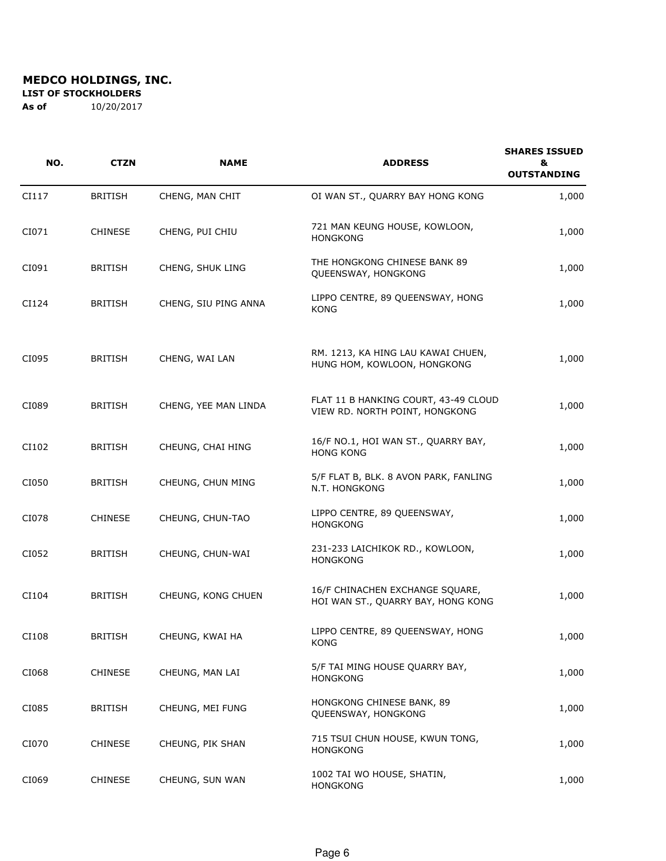**LIST OF STOCKHOLDERS** 

| NO.   | <b>CTZN</b>    | <b>NAME</b>          | <b>ADDRESS</b>                                                         | <b>SHARES ISSUED</b><br>&<br><b>OUTSTANDING</b> |
|-------|----------------|----------------------|------------------------------------------------------------------------|-------------------------------------------------|
| CI117 | <b>BRITISH</b> | CHENG, MAN CHIT      | OI WAN ST., QUARRY BAY HONG KONG                                       | 1,000                                           |
| CI071 | <b>CHINESE</b> | CHENG, PUI CHIU      | 721 MAN KEUNG HOUSE, KOWLOON,<br><b>HONGKONG</b>                       | 1,000                                           |
| CI091 | <b>BRITISH</b> | CHENG, SHUK LING     | THE HONGKONG CHINESE BANK 89<br>QUEENSWAY, HONGKONG                    | 1,000                                           |
| CI124 | <b>BRITISH</b> | CHENG, SIU PING ANNA | LIPPO CENTRE, 89 QUEENSWAY, HONG<br><b>KONG</b>                        | 1,000                                           |
| CI095 | <b>BRITISH</b> | CHENG, WAI LAN       | RM. 1213, KA HING LAU KAWAI CHUEN,<br>HUNG HOM, KOWLOON, HONGKONG      | 1,000                                           |
| CI089 | <b>BRITISH</b> | CHENG, YEE MAN LINDA | FLAT 11 B HANKING COURT, 43-49 CLOUD<br>VIEW RD. NORTH POINT, HONGKONG | 1,000                                           |
| CI102 | <b>BRITISH</b> | CHEUNG, CHAI HING    | 16/F NO.1, HOI WAN ST., QUARRY BAY,<br><b>HONG KONG</b>                | 1,000                                           |
| CI050 | <b>BRITISH</b> | CHEUNG, CHUN MING    | 5/F FLAT B, BLK. 8 AVON PARK, FANLING<br>N.T. HONGKONG                 | 1,000                                           |
| CI078 | <b>CHINESE</b> | CHEUNG, CHUN-TAO     | LIPPO CENTRE, 89 QUEENSWAY,<br><b>HONGKONG</b>                         | 1,000                                           |
| CI052 | <b>BRITISH</b> | CHEUNG, CHUN-WAI     | 231-233 LAICHIKOK RD., KOWLOON,<br><b>HONGKONG</b>                     | 1,000                                           |
| CI104 | <b>BRITISH</b> | CHEUNG, KONG CHUEN   | 16/F CHINACHEN EXCHANGE SQUARE,<br>HOI WAN ST., QUARRY BAY, HONG KONG  | 1,000                                           |
| CI108 | <b>BRITISH</b> | CHEUNG, KWAI HA      | LIPPO CENTRE, 89 QUEENSWAY, HONG<br><b>KONG</b>                        | 1,000                                           |
| CI068 | <b>CHINESE</b> | CHEUNG, MAN LAI      | 5/F TAI MING HOUSE QUARRY BAY,<br><b>HONGKONG</b>                      | 1,000                                           |
| CI085 | <b>BRITISH</b> | CHEUNG, MEI FUNG     | HONGKONG CHINESE BANK, 89<br>QUEENSWAY, HONGKONG                       | 1,000                                           |
| CI070 | <b>CHINESE</b> | CHEUNG, PIK SHAN     | 715 TSUI CHUN HOUSE, KWUN TONG,<br><b>HONGKONG</b>                     | 1,000                                           |
| CI069 | CHINESE        | CHEUNG, SUN WAN      | 1002 TAI WO HOUSE, SHATIN,<br><b>HONGKONG</b>                          | 1,000                                           |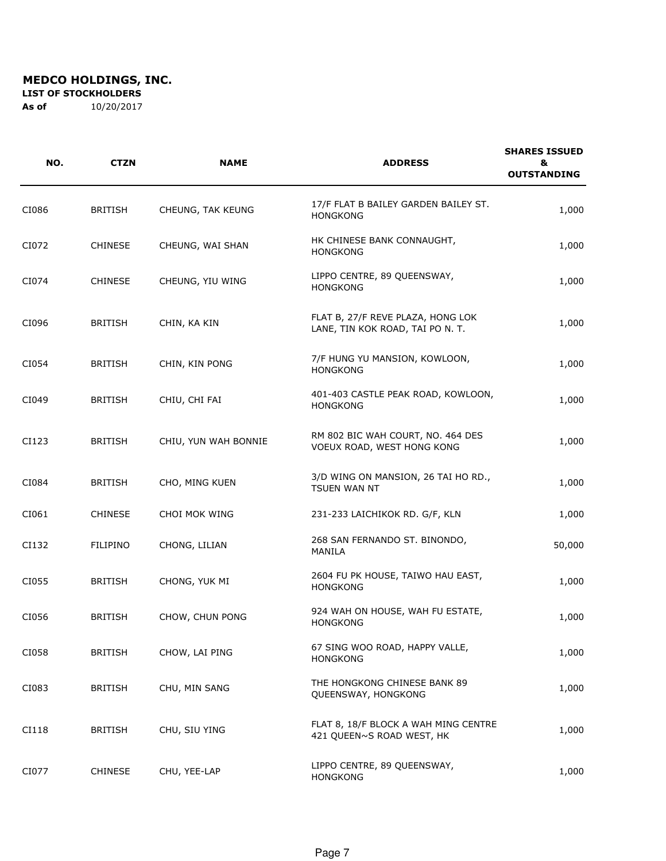**LIST OF STOCKHOLDERS** 

| NO.   | <b>CTZN</b>    | <b>NAME</b>          | <b>ADDRESS</b>                                                        | <b>SHARES ISSUED</b><br>&<br><b>OUTSTANDING</b> |
|-------|----------------|----------------------|-----------------------------------------------------------------------|-------------------------------------------------|
| CI086 | <b>BRITISH</b> | CHEUNG, TAK KEUNG    | 17/F FLAT B BAILEY GARDEN BAILEY ST.<br><b>HONGKONG</b>               | 1,000                                           |
| CI072 | <b>CHINESE</b> | CHEUNG, WAI SHAN     | HK CHINESE BANK CONNAUGHT,<br><b>HONGKONG</b>                         | 1,000                                           |
| CI074 | <b>CHINESE</b> | CHEUNG, YIU WING     | LIPPO CENTRE, 89 QUEENSWAY,<br><b>HONGKONG</b>                        | 1,000                                           |
| CI096 | <b>BRITISH</b> | CHIN, KA KIN         | FLAT B, 27/F REVE PLAZA, HONG LOK<br>LANE, TIN KOK ROAD, TAI PO N. T. | 1,000                                           |
| CI054 | <b>BRITISH</b> | CHIN, KIN PONG       | 7/F HUNG YU MANSION, KOWLOON,<br><b>HONGKONG</b>                      | 1,000                                           |
| CI049 | <b>BRITISH</b> | CHIU, CHI FAI        | 401-403 CASTLE PEAK ROAD, KOWLOON,<br><b>HONGKONG</b>                 | 1,000                                           |
| CI123 | <b>BRITISH</b> | CHIU, YUN WAH BONNIE | RM 802 BIC WAH COURT, NO. 464 DES<br>VOEUX ROAD, WEST HONG KONG       | 1,000                                           |
| CI084 | <b>BRITISH</b> | CHO, MING KUEN       | 3/D WING ON MANSION, 26 TAI HO RD.,<br><b>TSUEN WAN NT</b>            | 1,000                                           |
| CI061 | <b>CHINESE</b> | CHOI MOK WING        | 231-233 LAICHIKOK RD. G/F, KLN                                        | 1,000                                           |
| CI132 | FILIPINO       | CHONG, LILIAN        | 268 SAN FERNANDO ST. BINONDO,<br>MANILA                               | 50,000                                          |
| CI055 | <b>BRITISH</b> | CHONG, YUK MI        | 2604 FU PK HOUSE, TAIWO HAU EAST,<br><b>HONGKONG</b>                  | 1,000                                           |
| CI056 | <b>BRITISH</b> | CHOW, CHUN PONG      | 924 WAH ON HOUSE, WAH FU ESTATE,<br><b>HONGKONG</b>                   | 1,000                                           |
| CI058 | <b>BRITISH</b> | CHOW, LAI PING       | 67 SING WOO ROAD, HAPPY VALLE,<br><b>HONGKONG</b>                     | 1,000                                           |
| CI083 | <b>BRITISH</b> | CHU, MIN SANG        | THE HONGKONG CHINESE BANK 89<br>QUEENSWAY, HONGKONG                   | 1,000                                           |
| CI118 | <b>BRITISH</b> | CHU, SIU YING        | FLAT 8, 18/F BLOCK A WAH MING CENTRE<br>421 QUEEN~S ROAD WEST, HK     | 1,000                                           |
| CI077 | CHINESE        | CHU, YEE-LAP         | LIPPO CENTRE, 89 QUEENSWAY,<br><b>HONGKONG</b>                        | 1,000                                           |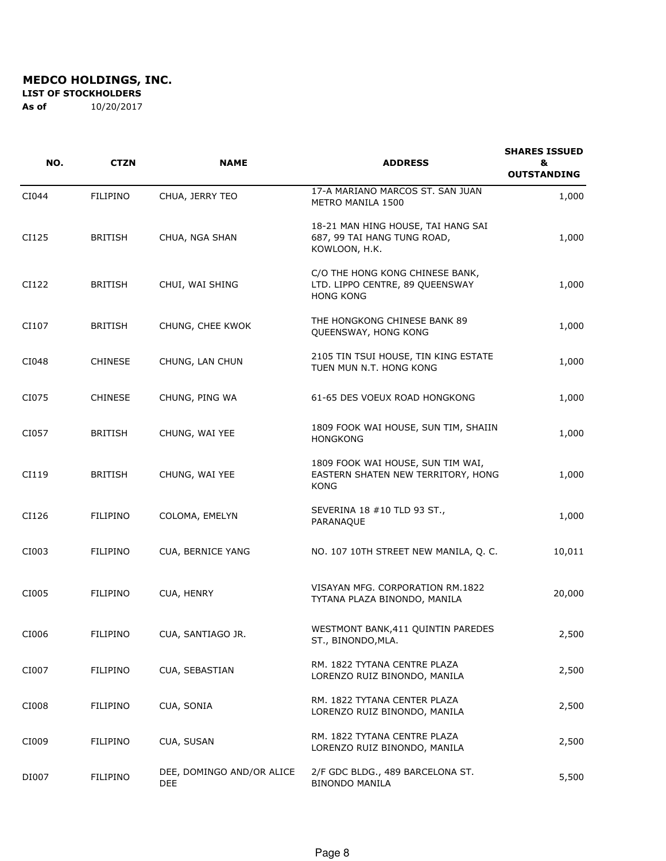**LIST OF STOCKHOLDERS** 

| NO.   | <b>CTZN</b>     | <b>NAME</b>                      | <b>ADDRESS</b>                                                                         | <b>SHARES ISSUED</b><br>&<br><b>OUTSTANDING</b> |
|-------|-----------------|----------------------------------|----------------------------------------------------------------------------------------|-------------------------------------------------|
| CI044 | <b>FILIPINO</b> | CHUA, JERRY TEO                  | 17-A MARIANO MARCOS ST. SAN JUAN<br>METRO MANILA 1500                                  | 1,000                                           |
| CI125 | <b>BRITISH</b>  | CHUA, NGA SHAN                   | 18-21 MAN HING HOUSE, TAI HANG SAI<br>687, 99 TAI HANG TUNG ROAD,<br>KOWLOON, H.K.     | 1,000                                           |
| CI122 | <b>BRITISH</b>  | CHUI, WAI SHING                  | C/O THE HONG KONG CHINESE BANK,<br>LTD. LIPPO CENTRE, 89 QUEENSWAY<br><b>HONG KONG</b> | 1,000                                           |
| CI107 | <b>BRITISH</b>  | CHUNG, CHEE KWOK                 | THE HONGKONG CHINESE BANK 89<br>QUEENSWAY, HONG KONG                                   | 1,000                                           |
| CI048 | <b>CHINESE</b>  | CHUNG, LAN CHUN                  | 2105 TIN TSUI HOUSE, TIN KING ESTATE<br>TUEN MUN N.T. HONG KONG                        | 1,000                                           |
| CI075 | <b>CHINESE</b>  | CHUNG, PING WA                   | 61-65 DES VOEUX ROAD HONGKONG                                                          | 1,000                                           |
| CI057 | <b>BRITISH</b>  | CHUNG, WAI YEE                   | 1809 FOOK WAI HOUSE, SUN TIM, SHAIIN<br><b>HONGKONG</b>                                | 1,000                                           |
| CI119 | <b>BRITISH</b>  | CHUNG, WAI YEE                   | 1809 FOOK WAI HOUSE, SUN TIM WAI,<br>EASTERN SHATEN NEW TERRITORY, HONG<br><b>KONG</b> | 1,000                                           |
| CI126 | <b>FILIPINO</b> | COLOMA, EMELYN                   | SEVERINA 18 #10 TLD 93 ST.,<br>PARANAQUE                                               | 1,000                                           |
| CI003 | <b>FILIPINO</b> | CUA, BERNICE YANG                | NO. 107 10TH STREET NEW MANILA, Q. C.                                                  | 10,011                                          |
| CI005 | <b>FILIPINO</b> | CUA, HENRY                       | VISAYAN MFG. CORPORATION RM.1822<br>TYTANA PLAZA BINONDO, MANILA                       | 20,000                                          |
| CI006 | FILIPINO        | CUA, SANTIAGO JR.                | WESTMONT BANK, 411 QUINTIN PAREDES<br>ST., BINONDO, MLA.                               | 2,500                                           |
| CI007 | FILIPINO        | CUA, SEBASTIAN                   | RM. 1822 TYTANA CENTRE PLAZA<br>LORENZO RUIZ BINONDO, MANILA                           | 2,500                                           |
| CI008 | <b>FILIPINO</b> | CUA, SONIA                       | RM. 1822 TYTANA CENTER PLAZA<br>LORENZO RUIZ BINONDO, MANILA                           | 2,500                                           |
| CI009 | <b>FILIPINO</b> | CUA, SUSAN                       | RM. 1822 TYTANA CENTRE PLAZA<br>LORENZO RUIZ BINONDO, MANILA                           | 2,500                                           |
| DI007 | <b>FILIPINO</b> | DEE, DOMINGO AND/OR ALICE<br>DEE | 2/F GDC BLDG., 489 BARCELONA ST.<br><b>BINONDO MANILA</b>                              | 5,500                                           |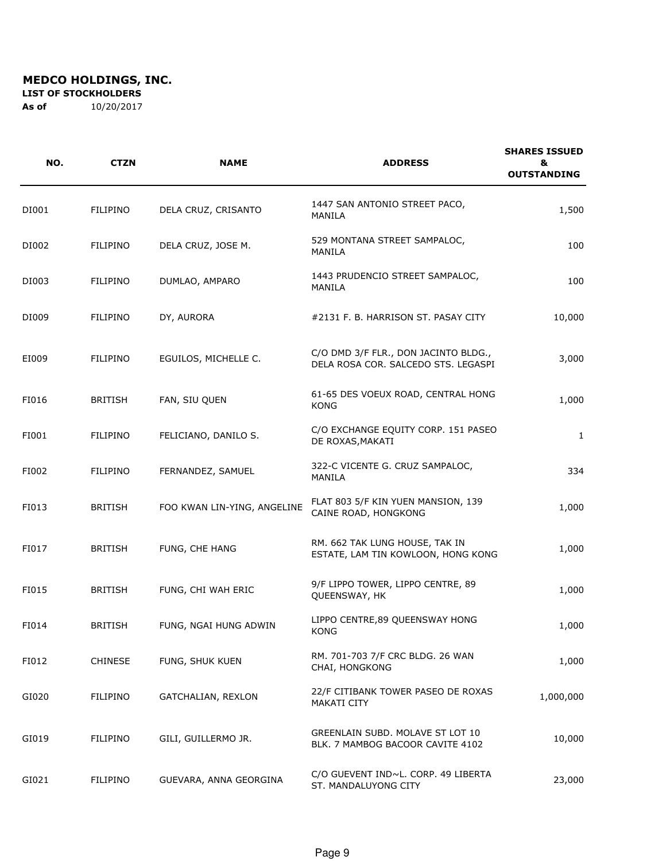**LIST OF STOCKHOLDERS** 

| NO.   | <b>CTZN</b>     | <b>NAME</b>                 | <b>ADDRESS</b>                                                              | <b>SHARES ISSUED</b><br>&<br><b>OUTSTANDING</b> |
|-------|-----------------|-----------------------------|-----------------------------------------------------------------------------|-------------------------------------------------|
| DI001 | <b>FILIPINO</b> | DELA CRUZ, CRISANTO         | 1447 SAN ANTONIO STREET PACO,<br>MANILA                                     | 1,500                                           |
| DI002 | FILIPINO        | DELA CRUZ, JOSE M.          | 529 MONTANA STREET SAMPALOC,<br>MANILA                                      | 100                                             |
| DI003 | <b>FILIPINO</b> | DUMLAO, AMPARO              | 1443 PRUDENCIO STREET SAMPALOC,<br>MANILA                                   | 100                                             |
| DI009 | FILIPINO        | DY, AURORA                  | #2131 F. B. HARRISON ST. PASAY CITY                                         | 10,000                                          |
| EI009 | FILIPINO        | EGUILOS, MICHELLE C.        | C/O DMD 3/F FLR., DON JACINTO BLDG.,<br>DELA ROSA COR. SALCEDO STS. LEGASPI | 3,000                                           |
| FI016 | <b>BRITISH</b>  | FAN, SIU QUEN               | 61-65 DES VOEUX ROAD, CENTRAL HONG<br><b>KONG</b>                           | 1,000                                           |
| FI001 | FILIPINO        | FELICIANO, DANILO S.        | C/O EXCHANGE EQUITY CORP. 151 PASEO<br>DE ROXAS, MAKATI                     | 1                                               |
| FI002 | FILIPINO        | FERNANDEZ, SAMUEL           | 322-C VICENTE G. CRUZ SAMPALOC,<br>MANILA                                   | 334                                             |
| FI013 | <b>BRITISH</b>  | FOO KWAN LIN-YING, ANGELINE | FLAT 803 5/F KIN YUEN MANSION, 139<br>CAINE ROAD, HONGKONG                  | 1,000                                           |
| FI017 | <b>BRITISH</b>  | FUNG, CHE HANG              | RM. 662 TAK LUNG HOUSE, TAK IN<br>ESTATE, LAM TIN KOWLOON, HONG KONG        | 1,000                                           |
| FI015 | <b>BRITISH</b>  | FUNG, CHI WAH ERIC          | 9/F LIPPO TOWER, LIPPO CENTRE, 89<br>QUEENSWAY, HK                          | 1,000                                           |
| FI014 | <b>BRITISH</b>  | FUNG, NGAI HUNG ADWIN       | LIPPO CENTRE, 89 QUEENSWAY HONG<br>KONG                                     | 1,000                                           |
| FI012 | <b>CHINESE</b>  | FUNG, SHUK KUEN             | RM. 701-703 7/F CRC BLDG. 26 WAN<br>CHAI, HONGKONG                          | 1,000                                           |
| GI020 | <b>FILIPINO</b> | GATCHALIAN, REXLON          | 22/F CITIBANK TOWER PASEO DE ROXAS<br>MAKATI CITY                           | 1,000,000                                       |
| GI019 | FILIPINO        | GILI, GUILLERMO JR.         | GREENLAIN SUBD. MOLAVE ST LOT 10<br>BLK. 7 MAMBOG BACOOR CAVITE 4102        | 10,000                                          |
| GI021 | FILIPINO        | GUEVARA, ANNA GEORGINA      | C/O GUEVENT IND~L. CORP. 49 LIBERTA<br>ST. MANDALUYONG CITY                 | 23,000                                          |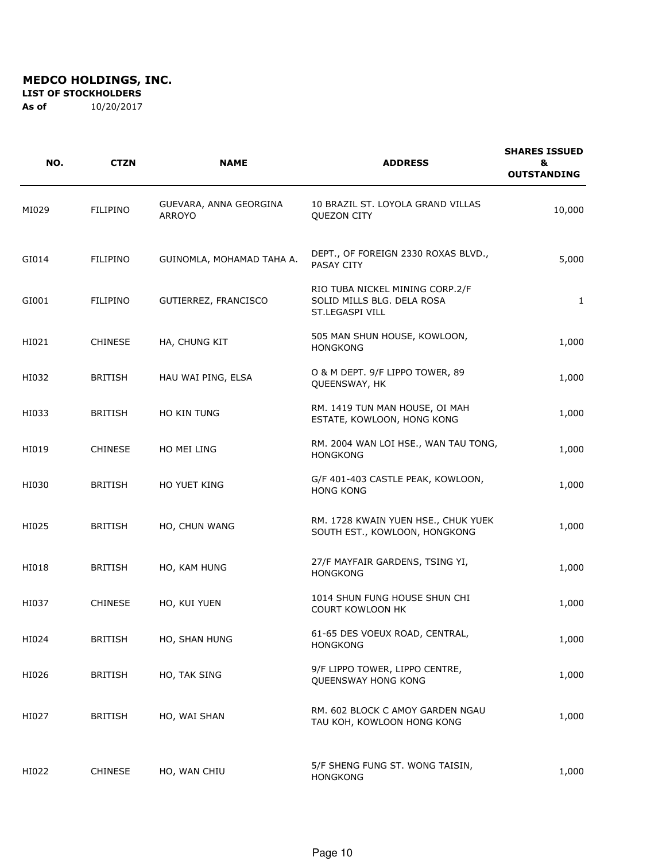**LIST OF STOCKHOLDERS** 

| NO.   | <b>CTZN</b>     | <b>NAME</b>                             | <b>ADDRESS</b>                                                                   | <b>SHARES ISSUED</b><br>&<br><b>OUTSTANDING</b> |
|-------|-----------------|-----------------------------------------|----------------------------------------------------------------------------------|-------------------------------------------------|
| MI029 | FILIPINO        | GUEVARA, ANNA GEORGINA<br><b>ARROYO</b> | 10 BRAZIL ST. LOYOLA GRAND VILLAS<br><b>QUEZON CITY</b>                          | 10,000                                          |
| GI014 | <b>FILIPINO</b> | GUINOMLA, MOHAMAD TAHA A.               | DEPT., OF FOREIGN 2330 ROXAS BLVD.,<br>PASAY CITY                                | 5,000                                           |
| GI001 | <b>FILIPINO</b> | GUTIERREZ, FRANCISCO                    | RIO TUBA NICKEL MINING CORP.2/F<br>SOLID MILLS BLG. DELA ROSA<br>ST.LEGASPI VILL | 1                                               |
| HI021 | <b>CHINESE</b>  | HA, CHUNG KIT                           | 505 MAN SHUN HOUSE, KOWLOON,<br><b>HONGKONG</b>                                  | 1,000                                           |
| HI032 | <b>BRITISH</b>  | HAU WAI PING, ELSA                      | O & M DEPT. 9/F LIPPO TOWER, 89<br>QUEENSWAY, HK                                 | 1,000                                           |
| HI033 | <b>BRITISH</b>  | HO KIN TUNG                             | RM. 1419 TUN MAN HOUSE, OI MAH<br>ESTATE, KOWLOON, HONG KONG                     | 1,000                                           |
| HI019 | <b>CHINESE</b>  | HO MEI LING                             | RM. 2004 WAN LOI HSE., WAN TAU TONG,<br><b>HONGKONG</b>                          | 1,000                                           |
| HI030 | <b>BRITISH</b>  | <b>HO YUET KING</b>                     | G/F 401-403 CASTLE PEAK, KOWLOON,<br><b>HONG KONG</b>                            | 1,000                                           |
| HI025 | <b>BRITISH</b>  | HO, CHUN WANG                           | RM. 1728 KWAIN YUEN HSE., CHUK YUEK<br>SOUTH EST., KOWLOON, HONGKONG             | 1,000                                           |
| HI018 | <b>BRITISH</b>  | HO, KAM HUNG                            | 27/F MAYFAIR GARDENS, TSING YI,<br><b>HONGKONG</b>                               | 1,000                                           |
| HI037 | <b>CHINESE</b>  | HO, KUI YUEN                            | 1014 SHUN FUNG HOUSE SHUN CHI<br><b>COURT KOWLOON HK</b>                         | 1,000                                           |
| HI024 | <b>BRITISH</b>  | HO, SHAN HUNG                           | 61-65 DES VOEUX ROAD, CENTRAL,<br><b>HONGKONG</b>                                | 1,000                                           |
| HI026 | BRITISH         | HO, TAK SING                            | 9/F LIPPO TOWER, LIPPO CENTRE,<br>QUEENSWAY HONG KONG                            | 1,000                                           |
| HI027 | <b>BRITISH</b>  | HO, WAI SHAN                            | RM. 602 BLOCK C AMOY GARDEN NGAU<br>TAU KOH, KOWLOON HONG KONG                   | 1,000                                           |
| HI022 | <b>CHINESE</b>  | HO, WAN CHIU                            | 5/F SHENG FUNG ST. WONG TAISIN,<br><b>HONGKONG</b>                               | 1,000                                           |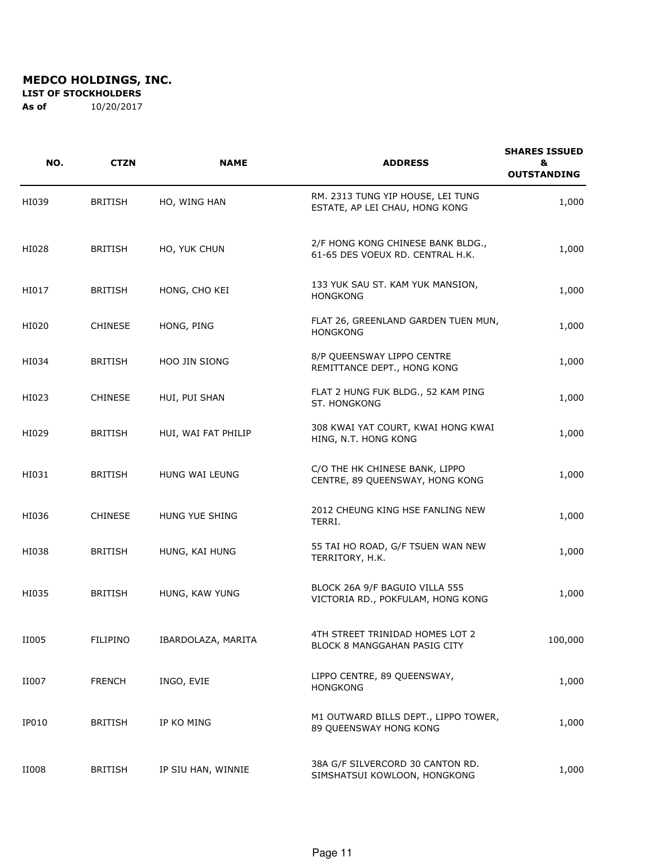**LIST OF STOCKHOLDERS** 

| NO.   | <b>CTZN</b>     | <b>NAME</b>         | <b>ADDRESS</b>                                                        | <b>SHARES ISSUED</b><br>&<br><b>OUTSTANDING</b> |
|-------|-----------------|---------------------|-----------------------------------------------------------------------|-------------------------------------------------|
| HI039 | <b>BRITISH</b>  | HO, WING HAN        | RM. 2313 TUNG YIP HOUSE, LEI TUNG<br>ESTATE, AP LEI CHAU, HONG KONG   | 1,000                                           |
| HI028 | <b>BRITISH</b>  | HO, YUK CHUN        | 2/F HONG KONG CHINESE BANK BLDG.,<br>61-65 DES VOEUX RD. CENTRAL H.K. | 1,000                                           |
| HI017 | <b>BRITISH</b>  | HONG, CHO KEI       | 133 YUK SAU ST. KAM YUK MANSION,<br><b>HONGKONG</b>                   | 1,000                                           |
| HI020 | <b>CHINESE</b>  | HONG, PING          | FLAT 26, GREENLAND GARDEN TUEN MUN,<br><b>HONGKONG</b>                | 1,000                                           |
| HI034 | <b>BRITISH</b>  | HOO JIN SIONG       | 8/P QUEENSWAY LIPPO CENTRE<br>REMITTANCE DEPT., HONG KONG             | 1,000                                           |
| HI023 | <b>CHINESE</b>  | HUI, PUI SHAN       | FLAT 2 HUNG FUK BLDG., 52 KAM PING<br>ST. HONGKONG                    | 1,000                                           |
| HI029 | <b>BRITISH</b>  | HUI, WAI FAT PHILIP | 308 KWAI YAT COURT, KWAI HONG KWAI<br>HING, N.T. HONG KONG            | 1,000                                           |
| HI031 | <b>BRITISH</b>  | HUNG WAI LEUNG      | C/O THE HK CHINESE BANK, LIPPO<br>CENTRE, 89 QUEENSWAY, HONG KONG     | 1,000                                           |
| HI036 | <b>CHINESE</b>  | HUNG YUE SHING      | 2012 CHEUNG KING HSE FANLING NEW<br>TERRI.                            | 1,000                                           |
| HI038 | <b>BRITISH</b>  | HUNG, KAI HUNG      | 55 TAI HO ROAD, G/F TSUEN WAN NEW<br>TERRITORY, H.K.                  | 1,000                                           |
| HI035 | <b>BRITISH</b>  | HUNG, KAW YUNG      | BLOCK 26A 9/F BAGUIO VILLA 555<br>VICTORIA RD., POKFULAM, HONG KONG   | 1,000                                           |
| II005 | <b>FILIPINO</b> | IBARDOLAZA, MARITA  | 4TH STREET TRINIDAD HOMES LOT 2<br>BLOCK 8 MANGGAHAN PASIG CITY       | 100,000                                         |
| II007 | <b>FRENCH</b>   | INGO, EVIE          | LIPPO CENTRE, 89 QUEENSWAY,<br><b>HONGKONG</b>                        | 1,000                                           |
| IP010 | <b>BRITISH</b>  | IP KO MING          | M1 OUTWARD BILLS DEPT., LIPPO TOWER,<br>89 QUEENSWAY HONG KONG        | 1,000                                           |
| II008 | <b>BRITISH</b>  | IP SIU HAN, WINNIE  | 38A G/F SILVERCORD 30 CANTON RD.<br>SIMSHATSUI KOWLOON, HONGKONG      | 1,000                                           |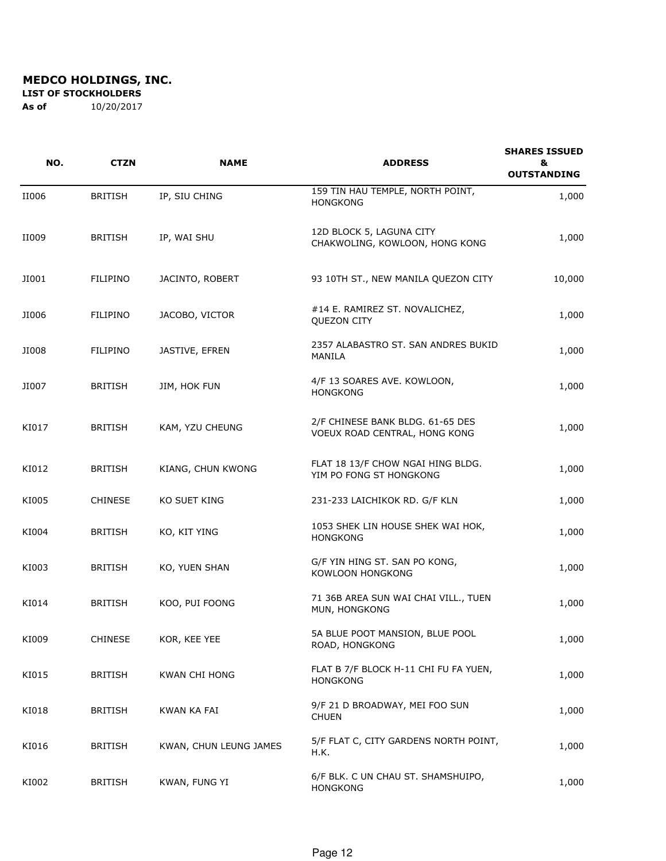**LIST OF STOCKHOLDERS** 

| NO.   | <b>CTZN</b>     | <b>NAME</b>            | <b>ADDRESS</b>                                                    | <b>SHARES ISSUED</b><br>&<br><b>OUTSTANDING</b> |
|-------|-----------------|------------------------|-------------------------------------------------------------------|-------------------------------------------------|
| II006 | <b>BRITISH</b>  | IP, SIU CHING          | 159 TIN HAU TEMPLE, NORTH POINT,<br><b>HONGKONG</b>               | 1,000                                           |
| II009 | <b>BRITISH</b>  | IP, WAI SHU            | 12D BLOCK 5, LAGUNA CITY<br>CHAKWOLING, KOWLOON, HONG KONG        | 1,000                                           |
| JI001 | <b>FILIPINO</b> | JACINTO, ROBERT        | 93 10TH ST., NEW MANILA QUEZON CITY                               | 10,000                                          |
| JI006 | <b>FILIPINO</b> | JACOBO, VICTOR         | #14 E. RAMIREZ ST. NOVALICHEZ,<br><b>QUEZON CITY</b>              | 1,000                                           |
| JI008 | <b>FILIPINO</b> | JASTIVE, EFREN         | 2357 ALABASTRO ST. SAN ANDRES BUKID<br>MANILA                     | 1,000                                           |
| JI007 | <b>BRITISH</b>  | JIM, HOK FUN           | 4/F 13 SOARES AVE. KOWLOON,<br><b>HONGKONG</b>                    | 1,000                                           |
| KI017 | <b>BRITISH</b>  | KAM, YZU CHEUNG        | 2/F CHINESE BANK BLDG. 61-65 DES<br>VOEUX ROAD CENTRAL, HONG KONG | 1,000                                           |
| KI012 | <b>BRITISH</b>  | KIANG, CHUN KWONG      | FLAT 18 13/F CHOW NGAI HING BLDG.<br>YIM PO FONG ST HONGKONG      | 1,000                                           |
| KI005 | <b>CHINESE</b>  | KO SUET KING           | 231-233 LAICHIKOK RD. G/F KLN                                     | 1,000                                           |
| KI004 | <b>BRITISH</b>  | KO, KIT YING           | 1053 SHEK LIN HOUSE SHEK WAI HOK,<br><b>HONGKONG</b>              | 1,000                                           |
| KI003 | <b>BRITISH</b>  | KO, YUEN SHAN          | G/F YIN HING ST. SAN PO KONG,<br>KOWLOON HONGKONG                 | 1,000                                           |
| KI014 | <b>BRITISH</b>  | KOO, PUI FOONG         | 71 36B AREA SUN WAI CHAI VILL., TUEN<br>MUN, HONGKONG             | 1,000                                           |
| KI009 | <b>CHINESE</b>  | KOR, KEE YEE           | 5A BLUE POOT MANSION, BLUE POOL<br>ROAD, HONGKONG                 | 1,000                                           |
| KI015 | <b>BRITISH</b>  | <b>KWAN CHI HONG</b>   | FLAT B 7/F BLOCK H-11 CHI FU FA YUEN,<br><b>HONGKONG</b>          | 1,000                                           |
| KI018 | <b>BRITISH</b>  | KWAN KA FAI            | 9/F 21 D BROADWAY, MEI FOO SUN<br><b>CHUEN</b>                    | 1,000                                           |
| KI016 | <b>BRITISH</b>  | KWAN, CHUN LEUNG JAMES | 5/F FLAT C, CITY GARDENS NORTH POINT,<br>H.K.                     | 1,000                                           |
| KI002 | <b>BRITISH</b>  | KWAN, FUNG YI          | 6/F BLK. C UN CHAU ST. SHAMSHUIPO,<br><b>HONGKONG</b>             | 1,000                                           |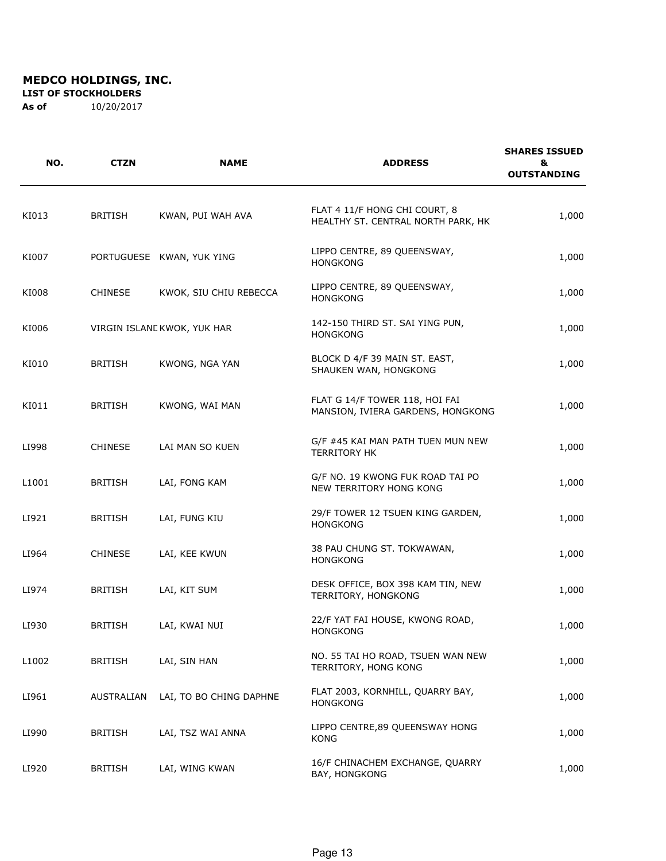**LIST OF STOCKHOLDERS** 

| NO.   | <b>CTZN</b>    | <b>NAME</b>                 | <b>ADDRESS</b>                                                      | <b>SHARES ISSUED</b><br>&<br><b>OUTSTANDING</b> |
|-------|----------------|-----------------------------|---------------------------------------------------------------------|-------------------------------------------------|
| KI013 | <b>BRITISH</b> | KWAN, PUI WAH AVA           | FLAT 4 11/F HONG CHI COURT, 8<br>HEALTHY ST. CENTRAL NORTH PARK, HK | 1,000                                           |
| KI007 |                | PORTUGUESE KWAN, YUK YING   | LIPPO CENTRE, 89 QUEENSWAY,<br><b>HONGKONG</b>                      | 1,000                                           |
| KI008 | <b>CHINESE</b> | KWOK, SIU CHIU REBECCA      | LIPPO CENTRE, 89 QUEENSWAY,<br><b>HONGKONG</b>                      | 1,000                                           |
| KI006 |                | VIRGIN ISLAND KWOK, YUK HAR | 142-150 THIRD ST. SAI YING PUN,<br><b>HONGKONG</b>                  | 1,000                                           |
| KI010 | <b>BRITISH</b> | KWONG, NGA YAN              | BLOCK D 4/F 39 MAIN ST. EAST,<br>SHAUKEN WAN, HONGKONG              | 1,000                                           |
| KI011 | <b>BRITISH</b> | KWONG, WAI MAN              | FLAT G 14/F TOWER 118, HOI FAI<br>MANSION, IVIERA GARDENS, HONGKONG | 1,000                                           |
| LI998 | <b>CHINESE</b> | LAI MAN SO KUEN             | G/F #45 KAI MAN PATH TUEN MUN NEW<br><b>TERRITORY HK</b>            | 1,000                                           |
| L1001 | <b>BRITISH</b> | LAI, FONG KAM               | G/F NO. 19 KWONG FUK ROAD TAI PO<br>NEW TERRITORY HONG KONG         | 1,000                                           |
| LI921 | <b>BRITISH</b> | LAI, FUNG KIU               | 29/F TOWER 12 TSUEN KING GARDEN,<br><b>HONGKONG</b>                 | 1,000                                           |
| LI964 | <b>CHINESE</b> | LAI, KEE KWUN               | 38 PAU CHUNG ST. TOKWAWAN,<br><b>HONGKONG</b>                       | 1,000                                           |
| LI974 | <b>BRITISH</b> | LAI, KIT SUM                | DESK OFFICE, BOX 398 KAM TIN, NEW<br>TERRITORY, HONGKONG            | 1,000                                           |
| LI930 | <b>BRITISH</b> | LAI, KWAI NUI               | 22/F YAT FAI HOUSE, KWONG ROAD,<br><b>HONGKONG</b>                  | 1,000                                           |
| L1002 | <b>BRITISH</b> | LAI, SIN HAN                | NO. 55 TAI HO ROAD, TSUEN WAN NEW<br>TERRITORY, HONG KONG           | 1,000                                           |
| LI961 | AUSTRALIAN     | LAI, TO BO CHING DAPHNE     | FLAT 2003, KORNHILL, QUARRY BAY,<br><b>HONGKONG</b>                 | 1,000                                           |
| LI990 | <b>BRITISH</b> | LAI, TSZ WAI ANNA           | LIPPO CENTRE, 89 QUEENSWAY HONG<br><b>KONG</b>                      | 1,000                                           |
| LI920 | <b>BRITISH</b> | LAI, WING KWAN              | 16/F CHINACHEM EXCHANGE, QUARRY<br>BAY, HONGKONG                    | 1,000                                           |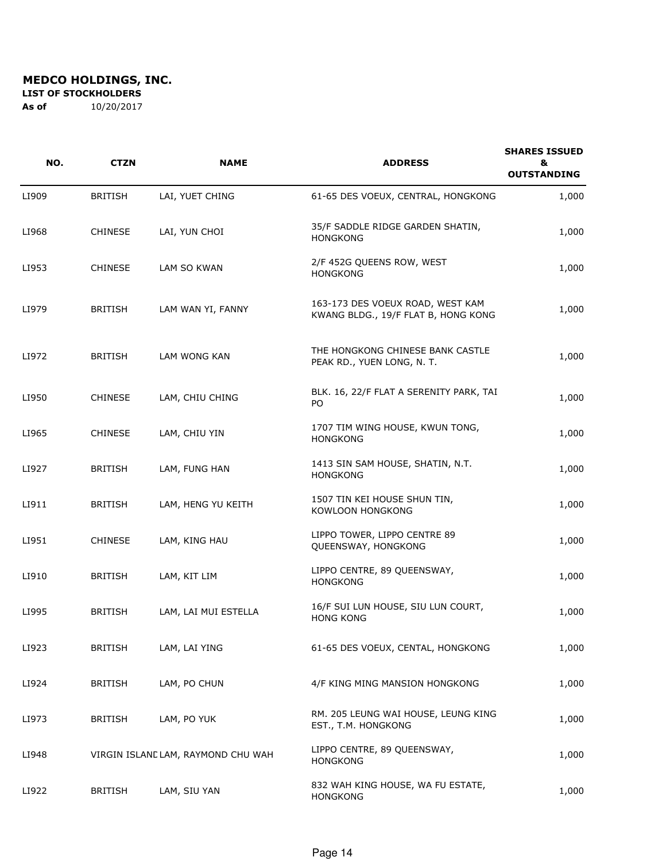**LIST OF STOCKHOLDERS** 

| NO.   | <b>CTZN</b>    | <b>NAME</b>                        | <b>ADDRESS</b>                                                          | <b>SHARES ISSUED</b><br>&<br><b>OUTSTANDING</b> |
|-------|----------------|------------------------------------|-------------------------------------------------------------------------|-------------------------------------------------|
| LI909 | <b>BRITISH</b> | LAI, YUET CHING                    | 61-65 DES VOEUX, CENTRAL, HONGKONG                                      | 1,000                                           |
| LI968 | <b>CHINESE</b> | LAI, YUN CHOI                      | 35/F SADDLE RIDGE GARDEN SHATIN,<br><b>HONGKONG</b>                     | 1,000                                           |
| LI953 | <b>CHINESE</b> | LAM SO KWAN                        | 2/F 452G QUEENS ROW, WEST<br><b>HONGKONG</b>                            | 1,000                                           |
| LI979 | <b>BRITISH</b> | LAM WAN YI, FANNY                  | 163-173 DES VOEUX ROAD, WEST KAM<br>KWANG BLDG., 19/F FLAT B, HONG KONG | 1,000                                           |
| LI972 | <b>BRITISH</b> | LAM WONG KAN                       | THE HONGKONG CHINESE BANK CASTLE<br>PEAK RD., YUEN LONG, N. T.          | 1,000                                           |
| LI950 | <b>CHINESE</b> | LAM, CHIU CHING                    | BLK. 16, 22/F FLAT A SERENITY PARK, TAI<br>PO.                          | 1,000                                           |
| LI965 | <b>CHINESE</b> | LAM, CHIU YIN                      | 1707 TIM WING HOUSE, KWUN TONG,<br><b>HONGKONG</b>                      | 1,000                                           |
| LI927 | <b>BRITISH</b> | LAM, FUNG HAN                      | 1413 SIN SAM HOUSE, SHATIN, N.T.<br><b>HONGKONG</b>                     | 1,000                                           |
| LI911 | <b>BRITISH</b> | LAM, HENG YU KEITH                 | 1507 TIN KEI HOUSE SHUN TIN,<br>KOWLOON HONGKONG                        | 1,000                                           |
| LI951 | <b>CHINESE</b> | LAM, KING HAU                      | LIPPO TOWER, LIPPO CENTRE 89<br>QUEENSWAY, HONGKONG                     | 1,000                                           |
| LI910 | <b>BRITISH</b> | LAM, KIT LIM                       | LIPPO CENTRE, 89 QUEENSWAY,<br><b>HONGKONG</b>                          | 1,000                                           |
| LI995 | <b>BRITISH</b> | LAM, LAI MUI ESTELLA               | 16/F SUI LUN HOUSE, SIU LUN COURT,<br><b>HONG KONG</b>                  | 1,000                                           |
| LI923 | BRITISH        | LAM, LAI YING                      | 61-65 DES VOEUX, CENTAL, HONGKONG                                       | 1,000                                           |
| LI924 | <b>BRITISH</b> | LAM, PO CHUN                       | 4/F KING MING MANSION HONGKONG                                          | 1,000                                           |
| LI973 | BRITISH        | LAM, PO YUK                        | RM. 205 LEUNG WAI HOUSE, LEUNG KING<br>EST., T.M. HONGKONG              | 1,000                                           |
| LI948 |                | VIRGIN ISLAND LAM, RAYMOND CHU WAH | LIPPO CENTRE, 89 QUEENSWAY,<br><b>HONGKONG</b>                          | 1,000                                           |
| LI922 | BRITISH        | LAM, SIU YAN                       | 832 WAH KING HOUSE, WA FU ESTATE,<br><b>HONGKONG</b>                    | 1,000                                           |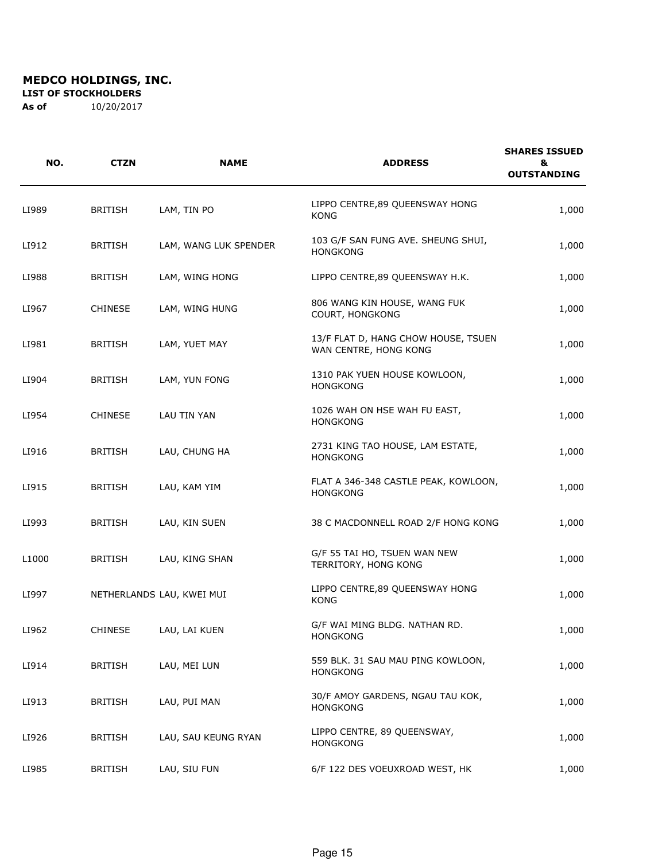**LIST OF STOCKHOLDERS** 

| NO.   | <b>CTZN</b>    | <b>NAME</b>               | <b>ADDRESS</b>                                               | <b>SHARES ISSUED</b><br>&<br><b>OUTSTANDING</b> |
|-------|----------------|---------------------------|--------------------------------------------------------------|-------------------------------------------------|
| LI989 | <b>BRITISH</b> | LAM, TIN PO               | LIPPO CENTRE, 89 QUEENSWAY HONG<br><b>KONG</b>               | 1,000                                           |
| LI912 | <b>BRITISH</b> | LAM, WANG LUK SPENDER     | 103 G/F SAN FUNG AVE. SHEUNG SHUI,<br><b>HONGKONG</b>        | 1,000                                           |
| LI988 | <b>BRITISH</b> | LAM, WING HONG            | LIPPO CENTRE, 89 QUEENSWAY H.K.                              | 1,000                                           |
| LI967 | <b>CHINESE</b> | LAM, WING HUNG            | 806 WANG KIN HOUSE, WANG FUK<br>COURT, HONGKONG              | 1,000                                           |
| LI981 | <b>BRITISH</b> | LAM, YUET MAY             | 13/F FLAT D, HANG CHOW HOUSE, TSUEN<br>WAN CENTRE, HONG KONG | 1,000                                           |
| LI904 | <b>BRITISH</b> | LAM, YUN FONG             | 1310 PAK YUEN HOUSE KOWLOON,<br><b>HONGKONG</b>              | 1,000                                           |
| LI954 | <b>CHINESE</b> | LAU TIN YAN               | 1026 WAH ON HSE WAH FU EAST,<br><b>HONGKONG</b>              | 1,000                                           |
| LI916 | <b>BRITISH</b> | LAU, CHUNG HA             | 2731 KING TAO HOUSE, LAM ESTATE,<br><b>HONGKONG</b>          | 1,000                                           |
| LI915 | <b>BRITISH</b> | LAU, KAM YIM              | FLAT A 346-348 CASTLE PEAK, KOWLOON,<br><b>HONGKONG</b>      | 1,000                                           |
| LI993 | <b>BRITISH</b> | LAU, KIN SUEN             | 38 C MACDONNELL ROAD 2/F HONG KONG                           | 1,000                                           |
| L1000 | <b>BRITISH</b> | LAU, KING SHAN            | G/F 55 TAI HO, TSUEN WAN NEW<br>TERRITORY, HONG KONG         | 1,000                                           |
| LI997 |                | NETHERLANDS LAU, KWEI MUI | LIPPO CENTRE, 89 QUEENSWAY HONG<br><b>KONG</b>               | 1,000                                           |
| LI962 | CHINESE        | LAU, LAI KUEN             | G/F WAI MING BLDG. NATHAN RD.<br><b>HONGKONG</b>             | 1,000                                           |
| LI914 | <b>BRITISH</b> | LAU, MEI LUN              | 559 BLK. 31 SAU MAU PING KOWLOON,<br><b>HONGKONG</b>         | 1,000                                           |
| LI913 | <b>BRITISH</b> | LAU, PUI MAN              | 30/F AMOY GARDENS, NGAU TAU KOK,<br><b>HONGKONG</b>          | 1,000                                           |
| LI926 | <b>BRITISH</b> | LAU, SAU KEUNG RYAN       | LIPPO CENTRE, 89 QUEENSWAY,<br><b>HONGKONG</b>               | 1,000                                           |
| LI985 | <b>BRITISH</b> | LAU, SIU FUN              | 6/F 122 DES VOEUXROAD WEST, HK                               | 1,000                                           |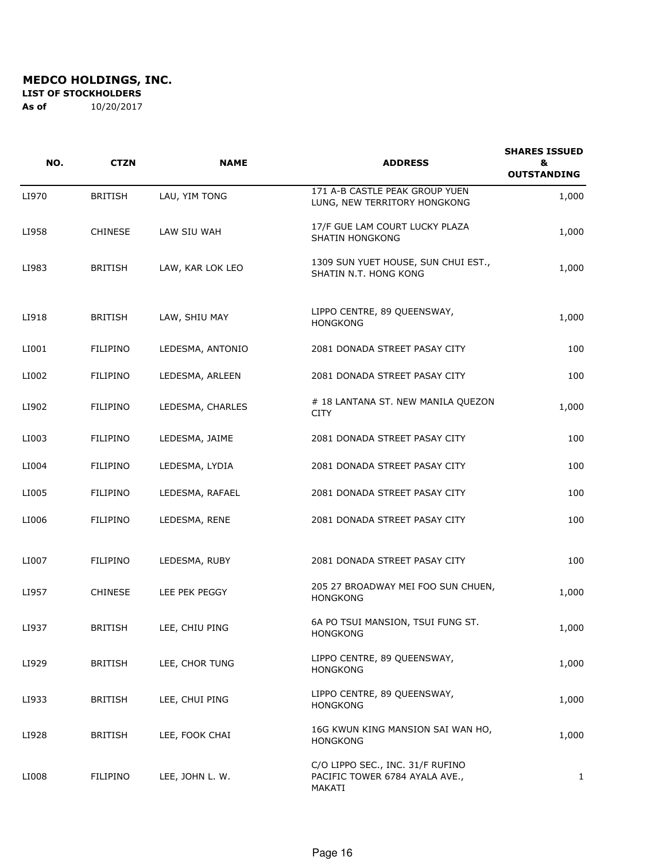**LIST OF STOCKHOLDERS** 

| NO.   | <b>CTZN</b>     | <b>NAME</b>      | <b>ADDRESS</b>                                                               | <b>SHARES ISSUED</b><br>&<br><b>OUTSTANDING</b> |
|-------|-----------------|------------------|------------------------------------------------------------------------------|-------------------------------------------------|
| LI970 | <b>BRITISH</b>  | LAU, YIM TONG    | 171 A-B CASTLE PEAK GROUP YUEN<br>LUNG, NEW TERRITORY HONGKONG               | 1,000                                           |
| LI958 | <b>CHINESE</b>  | LAW SIU WAH      | 17/F GUE LAM COURT LUCKY PLAZA<br><b>SHATIN HONGKONG</b>                     | 1,000                                           |
| LI983 | <b>BRITISH</b>  | LAW, KAR LOK LEO | 1309 SUN YUET HOUSE, SUN CHUI EST.,<br>SHATIN N.T. HONG KONG                 | 1,000                                           |
| LI918 | <b>BRITISH</b>  | LAW, SHIU MAY    | LIPPO CENTRE, 89 QUEENSWAY,<br><b>HONGKONG</b>                               | 1,000                                           |
| LI001 | <b>FILIPINO</b> | LEDESMA, ANTONIO | 2081 DONADA STREET PASAY CITY                                                | 100                                             |
| LI002 | <b>FILIPINO</b> | LEDESMA, ARLEEN  | 2081 DONADA STREET PASAY CITY                                                | 100                                             |
| LI902 | <b>FILIPINO</b> | LEDESMA, CHARLES | # 18 LANTANA ST. NEW MANILA QUEZON<br>CITY                                   | 1,000                                           |
| LI003 | <b>FILIPINO</b> | LEDESMA, JAIME   | 2081 DONADA STREET PASAY CITY                                                | 100                                             |
| LI004 | <b>FILIPINO</b> | LEDESMA, LYDIA   | 2081 DONADA STREET PASAY CITY                                                | 100                                             |
| LI005 | <b>FILIPINO</b> | LEDESMA, RAFAEL  | 2081 DONADA STREET PASAY CITY                                                | 100                                             |
| LI006 | <b>FILIPINO</b> | LEDESMA, RENE    | 2081 DONADA STREET PASAY CITY                                                | 100                                             |
| LI007 | <b>FILIPINO</b> | LEDESMA, RUBY    | 2081 DONADA STREET PASAY CITY                                                | 100                                             |
| LI957 | <b>CHINESE</b>  | LEE PEK PEGGY    | 205 27 BROADWAY MEI FOO SUN CHUEN,<br><b>HONGKONG</b>                        | 1,000                                           |
| LI937 | <b>BRITISH</b>  | LEE, CHIU PING   | 6A PO TSUI MANSION, TSUI FUNG ST.<br>HONGKONG                                | 1,000                                           |
| LI929 | <b>BRITISH</b>  | LEE, CHOR TUNG   | LIPPO CENTRE, 89 QUEENSWAY,<br><b>HONGKONG</b>                               | 1,000                                           |
| LI933 | <b>BRITISH</b>  | LEE, CHUI PING   | LIPPO CENTRE, 89 QUEENSWAY,<br><b>HONGKONG</b>                               | 1,000                                           |
| LI928 | <b>BRITISH</b>  | LEE, FOOK CHAI   | 16G KWUN KING MANSION SAI WAN HO,<br><b>HONGKONG</b>                         | 1,000                                           |
| LI008 | <b>FILIPINO</b> | LEE, JOHN L. W.  | C/O LIPPO SEC., INC. 31/F RUFINO<br>PACIFIC TOWER 6784 AYALA AVE.,<br>MAKATI | $\mathbf{1}$                                    |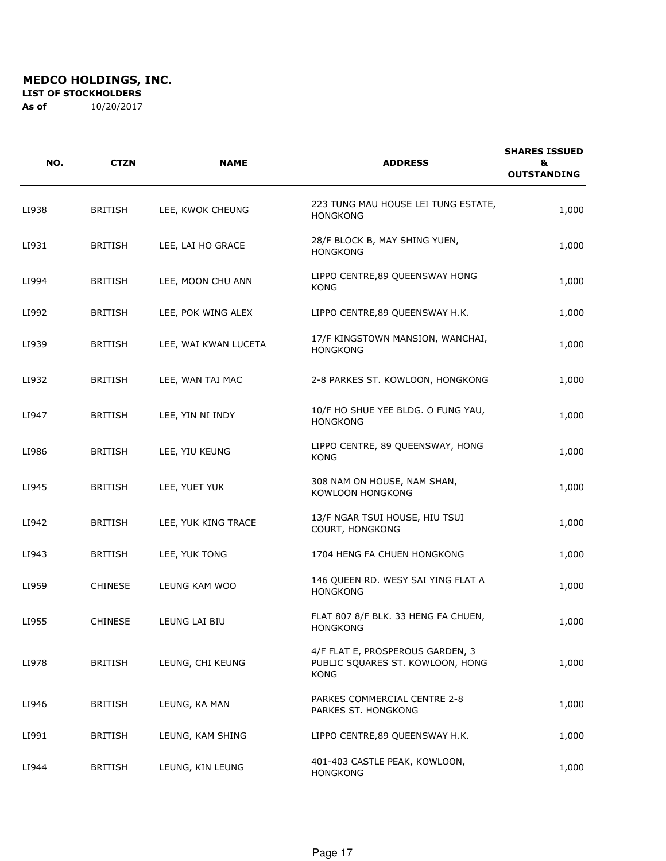**LIST OF STOCKHOLDERS** 

| NO.   | <b>CTZN</b>    | <b>NAME</b>          | <b>ADDRESS</b>                                                                      | <b>SHARES ISSUED</b><br>&<br><b>OUTSTANDING</b> |
|-------|----------------|----------------------|-------------------------------------------------------------------------------------|-------------------------------------------------|
| LI938 | <b>BRITISH</b> | LEE, KWOK CHEUNG     | 223 TUNG MAU HOUSE LEI TUNG ESTATE,<br><b>HONGKONG</b>                              | 1,000                                           |
| LI931 | <b>BRITISH</b> | LEE, LAI HO GRACE    | 28/F BLOCK B, MAY SHING YUEN,<br><b>HONGKONG</b>                                    | 1,000                                           |
| LI994 | <b>BRITISH</b> | LEE, MOON CHU ANN    | LIPPO CENTRE, 89 QUEENSWAY HONG<br><b>KONG</b>                                      | 1,000                                           |
| LI992 | <b>BRITISH</b> | LEE, POK WING ALEX   | LIPPO CENTRE, 89 QUEENSWAY H.K.                                                     | 1,000                                           |
| LI939 | <b>BRITISH</b> | LEE, WAI KWAN LUCETA | 17/F KINGSTOWN MANSION, WANCHAI,<br><b>HONGKONG</b>                                 | 1,000                                           |
| LI932 | <b>BRITISH</b> | LEE, WAN TAI MAC     | 2-8 PARKES ST. KOWLOON, HONGKONG                                                    | 1,000                                           |
| LI947 | <b>BRITISH</b> | LEE, YIN NI INDY     | 10/F HO SHUE YEE BLDG. O FUNG YAU,<br><b>HONGKONG</b>                               | 1,000                                           |
| LI986 | <b>BRITISH</b> | LEE, YIU KEUNG       | LIPPO CENTRE, 89 QUEENSWAY, HONG<br><b>KONG</b>                                     | 1,000                                           |
| LI945 | <b>BRITISH</b> | LEE, YUET YUK        | 308 NAM ON HOUSE, NAM SHAN,<br>KOWLOON HONGKONG                                     | 1,000                                           |
| LI942 | <b>BRITISH</b> | LEE, YUK KING TRACE  | 13/F NGAR TSUI HOUSE, HIU TSUI<br>COURT, HONGKONG                                   | 1,000                                           |
| LI943 | <b>BRITISH</b> | LEE, YUK TONG        | 1704 HENG FA CHUEN HONGKONG                                                         | 1,000                                           |
| LI959 | <b>CHINESE</b> | LEUNG KAM WOO        | 146 QUEEN RD. WESY SAI YING FLAT A<br><b>HONGKONG</b>                               | 1,000                                           |
| LI955 | <b>CHINESE</b> | LEUNG LAI BIU        | FLAT 807 8/F BLK. 33 HENG FA CHUEN,<br><b>HONGKONG</b>                              | 1,000                                           |
| LI978 | <b>BRITISH</b> | LEUNG, CHI KEUNG     | 4/F FLAT E, PROSPEROUS GARDEN, 3<br>PUBLIC SQUARES ST. KOWLOON, HONG<br><b>KONG</b> | 1,000                                           |
| LI946 | <b>BRITISH</b> | LEUNG, KA MAN        | PARKES COMMERCIAL CENTRE 2-8<br>PARKES ST. HONGKONG                                 | 1,000                                           |
| LI991 | <b>BRITISH</b> | LEUNG, KAM SHING     | LIPPO CENTRE, 89 QUEENSWAY H.K.                                                     | 1,000                                           |
| LI944 | <b>BRITISH</b> | LEUNG, KIN LEUNG     | 401-403 CASTLE PEAK, KOWLOON,<br><b>HONGKONG</b>                                    | 1,000                                           |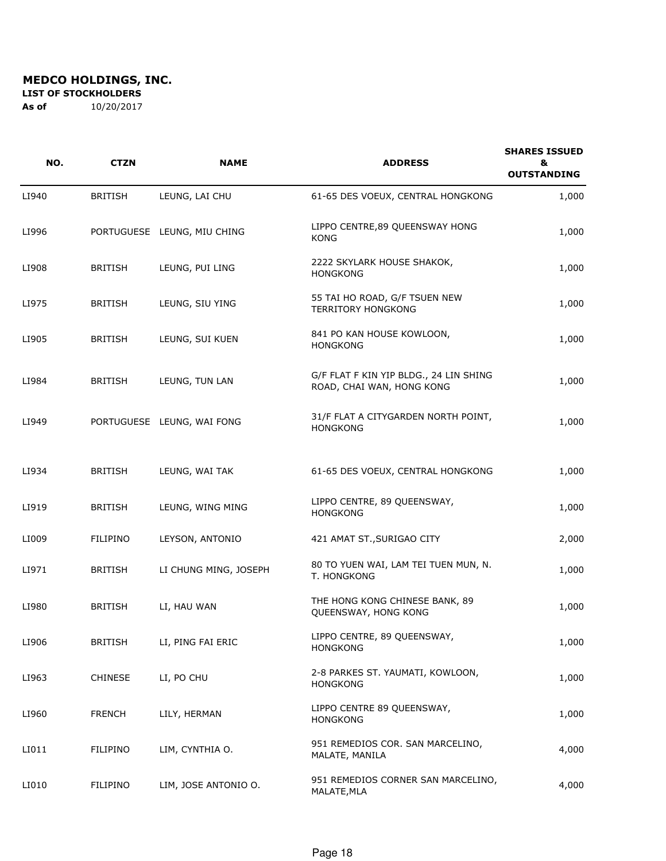**LIST OF STOCKHOLDERS** 

| NO.   | <b>CTZN</b>     | <b>NAME</b>                 | <b>ADDRESS</b>                                                      | <b>SHARES ISSUED</b><br>&<br><b>OUTSTANDING</b> |
|-------|-----------------|-----------------------------|---------------------------------------------------------------------|-------------------------------------------------|
| LI940 | <b>BRITISH</b>  | LEUNG, LAI CHU              | 61-65 DES VOEUX, CENTRAL HONGKONG                                   | 1,000                                           |
| LI996 |                 | PORTUGUESE LEUNG, MIU CHING | LIPPO CENTRE, 89 QUEENSWAY HONG<br>KONG                             | 1,000                                           |
| LI908 | <b>BRITISH</b>  | LEUNG, PUI LING             | 2222 SKYLARK HOUSE SHAKOK,<br><b>HONGKONG</b>                       | 1,000                                           |
| LI975 | <b>BRITISH</b>  | LEUNG, SIU YING             | 55 TAI HO ROAD, G/F TSUEN NEW<br><b>TERRITORY HONGKONG</b>          | 1,000                                           |
| LI905 | <b>BRITISH</b>  | LEUNG, SUI KUEN             | 841 PO KAN HOUSE KOWLOON,<br><b>HONGKONG</b>                        | 1,000                                           |
| LI984 | <b>BRITISH</b>  | LEUNG, TUN LAN              | G/F FLAT F KIN YIP BLDG., 24 LIN SHING<br>ROAD, CHAI WAN, HONG KONG | 1,000                                           |
| LI949 |                 | PORTUGUESE LEUNG, WAI FONG  | 31/F FLAT A CITYGARDEN NORTH POINT,<br><b>HONGKONG</b>              | 1,000                                           |
| LI934 | <b>BRITISH</b>  | LEUNG, WAI TAK              | 61-65 DES VOEUX, CENTRAL HONGKONG                                   | 1,000                                           |
| LI919 | <b>BRITISH</b>  | LEUNG, WING MING            | LIPPO CENTRE, 89 QUEENSWAY,<br><b>HONGKONG</b>                      | 1,000                                           |
| LI009 | FILIPINO        | LEYSON, ANTONIO             | 421 AMAT ST., SURIGAO CITY                                          | 2,000                                           |
| LI971 | <b>BRITISH</b>  | LI CHUNG MING, JOSEPH       | 80 TO YUEN WAI, LAM TEI TUEN MUN, N.<br>T. HONGKONG                 | 1,000                                           |
| LI980 | <b>BRITISH</b>  | LI, HAU WAN                 | THE HONG KONG CHINESE BANK, 89<br>QUEENSWAY, HONG KONG              | 1,000                                           |
| LI906 | <b>BRITISH</b>  | LI, PING FAI ERIC           | LIPPO CENTRE, 89 QUEENSWAY,<br><b>HONGKONG</b>                      | 1,000                                           |
| LI963 | <b>CHINESE</b>  | LI, PO CHU                  | 2-8 PARKES ST. YAUMATI, KOWLOON,<br><b>HONGKONG</b>                 | 1,000                                           |
| LI960 | <b>FRENCH</b>   | LILY, HERMAN                | LIPPO CENTRE 89 QUEENSWAY,<br><b>HONGKONG</b>                       | 1,000                                           |
| LI011 | <b>FILIPINO</b> | LIM, CYNTHIA O.             | 951 REMEDIOS COR. SAN MARCELINO,<br>MALATE, MANILA                  | 4,000                                           |
| LI010 | FILIPINO        | LIM, JOSE ANTONIO O.        | 951 REMEDIOS CORNER SAN MARCELINO,<br>MALATE, MLA                   | 4,000                                           |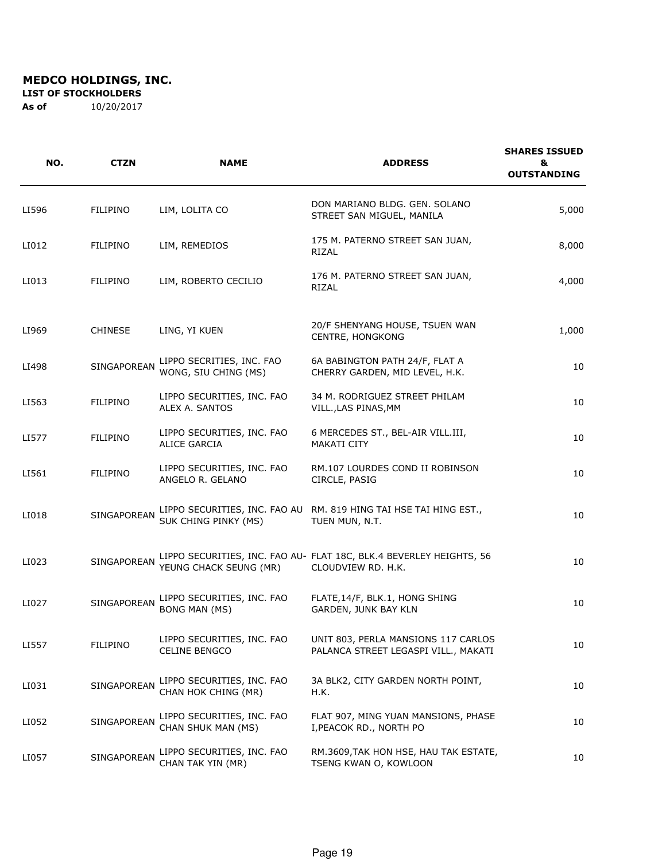**LIST OF STOCKHOLDERS** 

| NO.   | <b>CTZN</b>        | <b>NAME</b>                                        | <b>ADDRESS</b>                                                                            | <b>SHARES ISSUED</b><br>&<br><b>OUTSTANDING</b> |
|-------|--------------------|----------------------------------------------------|-------------------------------------------------------------------------------------------|-------------------------------------------------|
| LI596 | <b>FILIPINO</b>    | LIM, LOLITA CO                                     | DON MARIANO BLDG. GEN. SOLANO<br>STREET SAN MIGUEL, MANILA                                | 5,000                                           |
| LI012 | <b>FILIPINO</b>    | LIM, REMEDIOS                                      | 175 M. PATERNO STREET SAN JUAN,<br>RIZAL                                                  | 8,000                                           |
| LI013 | <b>FILIPINO</b>    | LIM, ROBERTO CECILIO                               | 176 M. PATERNO STREET SAN JUAN,<br>RIZAL                                                  | 4,000                                           |
| LI969 | <b>CHINESE</b>     | LING, YI KUEN                                      | 20/F SHENYANG HOUSE, TSUEN WAN<br>CENTRE, HONGKONG                                        | 1,000                                           |
| LI498 | <b>SINGAPOREAN</b> | LIPPO SECRITIES, INC. FAO<br>WONG, SIU CHING (MS)  | 6A BABINGTON PATH 24/F, FLAT A<br>CHERRY GARDEN, MID LEVEL, H.K.                          | 10                                              |
| LI563 | <b>FILIPINO</b>    | LIPPO SECURITIES, INC. FAO<br>ALEX A. SANTOS       | 34 M. RODRIGUEZ STREET PHILAM<br>VILL., LAS PINAS, MM                                     | 10                                              |
| LI577 | <b>FILIPINO</b>    | LIPPO SECURITIES, INC. FAO<br><b>ALICE GARCIA</b>  | 6 MERCEDES ST., BEL-AIR VILL.III,<br>MAKATI CITY                                          | 10                                              |
| LI561 | <b>FILIPINO</b>    | LIPPO SECURITIES, INC. FAO<br>ANGELO R. GELANO     | RM.107 LOURDES COND II ROBINSON<br>CIRCLE, PASIG                                          | 10                                              |
| LI018 | SINGAPOREAN        | SUK CHING PINKY (MS)                               | LIPPO SECURITIES, INC. FAO AU RM. 819 HING TAI HSE TAI HING EST.,<br>TUEN MUN, N.T.       | 10                                              |
| LI023 | <b>SINGAPOREAN</b> | YEUNG CHACK SEUNG (MR)                             | LIPPO SECURITIES, INC. FAO AU- FLAT 18C, BLK.4 BEVERLEY HEIGHTS, 56<br>CLOUDVIEW RD. H.K. | 10                                              |
| LI027 | <b>SINGAPOREAN</b> | LIPPO SECURITIES, INC. FAO<br><b>BONG MAN (MS)</b> | FLATE, 14/F, BLK.1, HONG SHING<br>GARDEN, JUNK BAY KLN                                    | 10                                              |
| LI557 | <b>FILIPINO</b>    | LIPPO SECURITIES, INC. FAO<br>CELINE BENGCO        | UNIT 803, PERLA MANSIONS 117 CARLOS<br>PALANCA STREET LEGASPI VILL., MAKATI               | 10                                              |
| LI031 | SINGAPOREAN        | LIPPO SECURITIES, INC. FAO<br>CHAN HOK CHING (MR)  | 3A BLK2, CITY GARDEN NORTH POINT,<br>H.K.                                                 | 10                                              |
| LI052 | SINGAPOREAN        | LIPPO SECURITIES, INC. FAO<br>CHAN SHUK MAN (MS)   | FLAT 907, MING YUAN MANSIONS, PHASE<br>I, PEACOK RD., NORTH PO                            | 10                                              |
| LI057 | SINGAPOREAN        | LIPPO SECURITIES, INC. FAO<br>CHAN TAK YIN (MR)    | RM.3609, TAK HON HSE, HAU TAK ESTATE,<br>TSENG KWAN O, KOWLOON                            | 10                                              |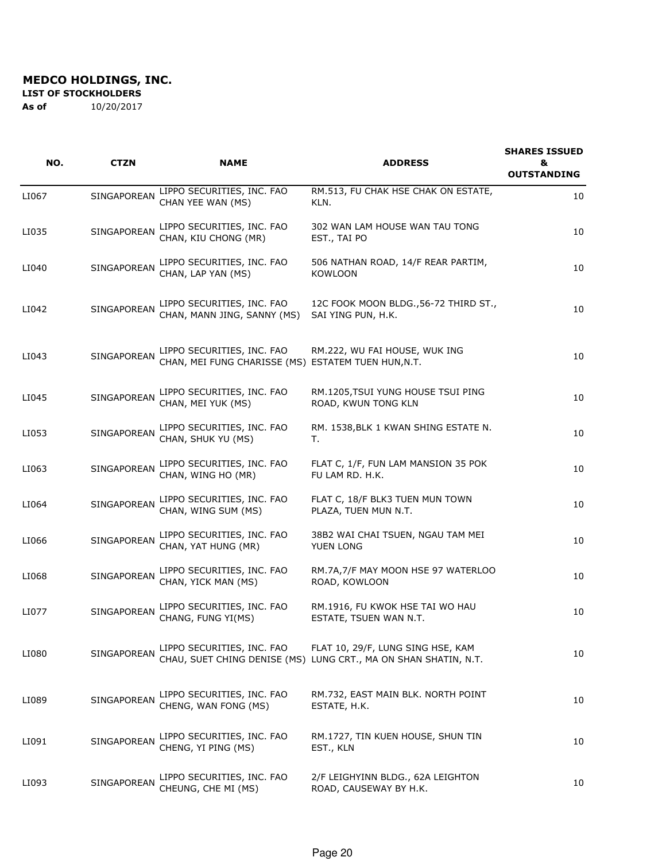**LIST OF STOCKHOLDERS** 

| NO.   | <b>CTZN</b>        | <b>NAME</b>                                                                       | <b>ADDRESS</b>                                                                                       | <b>SHARES ISSUED</b><br>&<br><b>OUTSTANDING</b> |
|-------|--------------------|-----------------------------------------------------------------------------------|------------------------------------------------------------------------------------------------------|-------------------------------------------------|
| LI067 | SINGAPOREAN        | LIPPO SECURITIES, INC. FAO<br>CHAN YEE WAN (MS)                                   | RM.513, FU CHAK HSE CHAK ON ESTATE,<br>KLN.                                                          | 10                                              |
| LI035 | SINGAPOREAN        | LIPPO SECURITIES, INC. FAO<br>CHAN, KIU CHONG (MR)                                | 302 WAN LAM HOUSE WAN TAU TONG<br>EST., TAI PO                                                       | 10                                              |
| LI040 | SINGAPOREAN        | LIPPO SECURITIES, INC. FAO<br>CHAN, LAP YAN (MS)                                  | 506 NATHAN ROAD, 14/F REAR PARTIM,<br><b>KOWLOON</b>                                                 | 10                                              |
| LI042 | SINGAPOREAN        | LIPPO SECURITIES, INC. FAO<br>CHAN, MANN JING, SANNY (MS)                         | 12C FOOK MOON BLDG., 56-72 THIRD ST.,<br>SAI YING PUN, H.K.                                          | 10                                              |
| LI043 | <b>SINGAPOREAN</b> | LIPPO SECURITIES, INC. FAO<br>CHAN, MEI FUNG CHARISSE (MS) ESTATEM TUEN HUN, N.T. | RM.222, WU FAI HOUSE, WUK ING                                                                        | 10                                              |
| LI045 | SINGAPOREAN        | LIPPO SECURITIES, INC. FAO<br>CHAN, MEI YUK (MS)                                  | RM.1205, TSUI YUNG HOUSE TSUI PING<br>ROAD, KWUN TONG KLN                                            | 10                                              |
| LI053 | SINGAPOREAN        | LIPPO SECURITIES, INC. FAO<br>CHAN, SHUK YU (MS)                                  | RM. 1538, BLK 1 KWAN SHING ESTATE N.<br>т.                                                           | 10                                              |
| LI063 | SINGAPOREAN        | LIPPO SECURITIES, INC. FAO<br>CHAN, WING HO (MR)                                  | FLAT C, 1/F, FUN LAM MANSION 35 POK<br>FU LAM RD. H.K.                                               | 10                                              |
| LI064 | SINGAPOREAN        | LIPPO SECURITIES, INC. FAO<br>CHAN, WING SUM (MS)                                 | FLAT C, 18/F BLK3 TUEN MUN TOWN<br>PLAZA, TUEN MUN N.T.                                              | 10                                              |
| LI066 | SINGAPOREAN        | LIPPO SECURITIES, INC. FAO<br>CHAN, YAT HUNG (MR)                                 | 38B2 WAI CHAI TSUEN, NGAU TAM MEI<br>YUEN LONG                                                       | 10                                              |
| LI068 | SINGAPOREAN        | LIPPO SECURITIES, INC. FAO<br>CHAN, YICK MAN (MS)                                 | RM.7A,7/F MAY MOON HSE 97 WATERLOO<br>ROAD, KOWLOON                                                  | 10                                              |
| LI077 | SINGAPOREAN        | LIPPO SECURITIES, INC. FAO<br>CHANG, FUNG YI(MS)                                  | RM.1916, FU KWOK HSE TAI WO HAU<br>ESTATE, TSUEN WAN N.T.                                            | 10                                              |
| LI080 | SINGAPOREAN        | LIPPO SECURITIES, INC. FAO                                                        | FLAT 10, 29/F, LUNG SING HSE, KAM<br>CHAU, SUET CHING DENISE (MS) LUNG CRT., MA ON SHAN SHATIN, N.T. | 10                                              |
| LI089 | SINGAPOREAN        | LIPPO SECURITIES, INC. FAO<br>CHENG, WAN FONG (MS)                                | RM.732, EAST MAIN BLK. NORTH POINT<br>ESTATE, H.K.                                                   | 10                                              |
| LI091 | SINGAPOREAN        | LIPPO SECURITIES, INC. FAO<br>CHENG, YI PING (MS)                                 | RM.1727, TIN KUEN HOUSE, SHUN TIN<br>EST., KLN                                                       | 10                                              |
| LI093 | SINGAPOREAN        | LIPPO SECURITIES, INC. FAO<br>CHEUNG, CHE MI (MS)                                 | 2/F LEIGHYINN BLDG., 62A LEIGHTON<br>ROAD, CAUSEWAY BY H.K.                                          | 10                                              |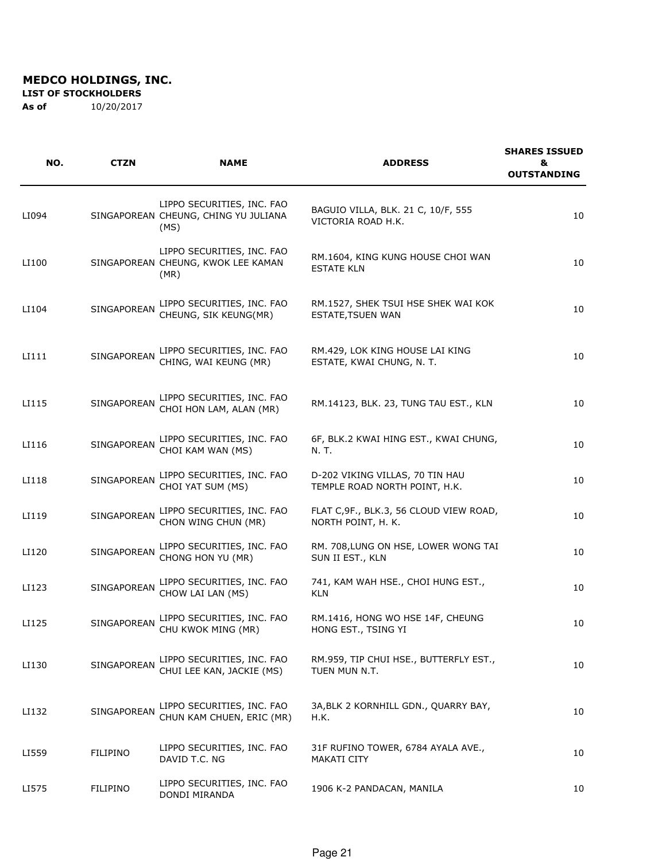#### **LIST OF STOCKHOLDERS**

| NO.   | <b>CTZN</b>        | <b>NAME</b>                                                                | <b>ADDRESS</b>                                                   | <b>SHARES ISSUED</b><br>&<br><b>OUTSTANDING</b> |
|-------|--------------------|----------------------------------------------------------------------------|------------------------------------------------------------------|-------------------------------------------------|
| LI094 |                    | LIPPO SECURITIES, INC. FAO<br>SINGAPOREAN CHEUNG, CHING YU JULIANA<br>(MS) | BAGUIO VILLA, BLK. 21 C, 10/F, 555<br>VICTORIA ROAD H.K.         | 10                                              |
| LI100 |                    | LIPPO SECURITIES, INC. FAO<br>SINGAPOREAN CHEUNG, KWOK LEE KAMAN<br>(MR)   | RM.1604, KING KUNG HOUSE CHOI WAN<br><b>ESTATE KLN</b>           | 10                                              |
| LI104 | SINGAPOREAN        | LIPPO SECURITIES, INC. FAO<br>CHEUNG, SIK KEUNG(MR)                        | RM.1527, SHEK TSUI HSE SHEK WAI KOK<br>ESTATE, TSUEN WAN         | 10                                              |
| LI111 | SINGAPOREAN        | LIPPO SECURITIES, INC. FAO<br>CHING, WAI KEUNG (MR)                        | RM.429, LOK KING HOUSE LAI KING<br>ESTATE, KWAI CHUNG, N. T.     | 10                                              |
| LI115 | SINGAPOREAN        | LIPPO SECURITIES, INC. FAO<br>CHOI HON LAM, ALAN (MR)                      | RM.14123, BLK. 23, TUNG TAU EST., KLN                            | 10                                              |
| LI116 | SINGAPOREAN        | LIPPO SECURITIES, INC. FAO<br>CHOI KAM WAN (MS)                            | 6F, BLK.2 KWAI HING EST., KWAI CHUNG,<br>N. T.                   | 10                                              |
| LI118 | SINGAPOREAN        | LIPPO SECURITIES, INC. FAO<br>CHOI YAT SUM (MS)                            | D-202 VIKING VILLAS, 70 TIN HAU<br>TEMPLE ROAD NORTH POINT, H.K. | 10                                              |
| LI119 | SINGAPOREAN        | LIPPO SECURITIES, INC. FAO<br>CHON WING CHUN (MR)                          | FLAT C, 9F., BLK.3, 56 CLOUD VIEW ROAD,<br>NORTH POINT, H. K.    | 10                                              |
| LI120 | SINGAPOREAN        | LIPPO SECURITIES, INC. FAO<br>CHONG HON YU (MR)                            | RM. 708, LUNG ON HSE, LOWER WONG TAI<br>SUN II EST., KLN         | 10                                              |
| LI123 | SINGAPOREAN        | LIPPO SECURITIES, INC. FAO<br>CHOW LAI LAN (MS)                            | 741, KAM WAH HSE., CHOI HUNG EST.,<br><b>KLN</b>                 | 10                                              |
| LI125 | SINGAPOREAN        | LIPPO SECURITIES, INC. FAO<br>CHU KWOK MING (MR)                           | RM.1416, HONG WO HSE 14F, CHEUNG<br>HONG EST., TSING YI          | 10                                              |
| LI130 | <b>SINGAPOREAN</b> | LIPPO SECURITIES, INC. FAO<br>CHUI LEE KAN, JACKIE (MS)                    | RM.959, TIP CHUI HSE., BUTTERFLY EST.,<br>TUEN MUN N.T.          | 10                                              |
| LI132 | SINGAPOREAN        | LIPPO SECURITIES, INC. FAO<br>CHUN KAM CHUEN, ERIC (MR)                    | 3A, BLK 2 KORNHILL GDN., QUARRY BAY,<br>H.K.                     | 10                                              |
| LI559 | <b>FILIPINO</b>    | LIPPO SECURITIES, INC. FAO<br>DAVID T.C. NG                                | 31F RUFINO TOWER, 6784 AYALA AVE.,<br>MAKATI CITY                | 10                                              |
| LI575 | FILIPINO           | LIPPO SECURITIES, INC. FAO<br>DONDI MIRANDA                                | 1906 K-2 PANDACAN, MANILA                                        | 10                                              |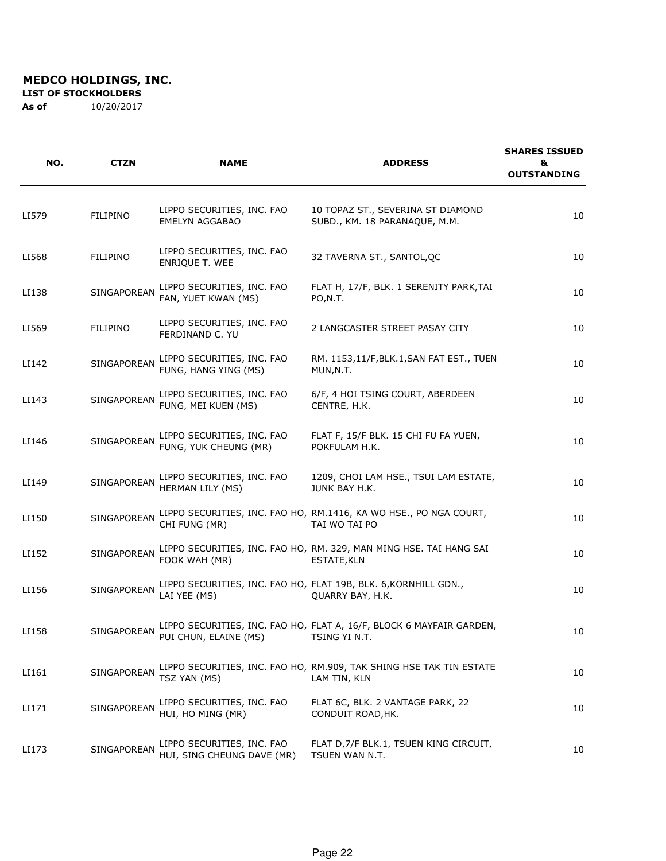**LIST OF STOCKHOLDERS** 

| NO.   | <b>CTZN</b>        | <b>NAME</b>                                              | <b>ADDRESS</b>                                                                           | <b>SHARES ISSUED</b><br>&<br><b>OUTSTANDING</b> |
|-------|--------------------|----------------------------------------------------------|------------------------------------------------------------------------------------------|-------------------------------------------------|
| LI579 | <b>FILIPINO</b>    | LIPPO SECURITIES, INC. FAO<br>EMELYN AGGABAO             | 10 TOPAZ ST., SEVERINA ST DIAMOND<br>SUBD., KM. 18 PARANAQUE, M.M.                       | 10                                              |
| LI568 | FILIPINO           | LIPPO SECURITIES, INC. FAO<br><b>ENRIQUE T. WEE</b>      | 32 TAVERNA ST., SANTOL, QC                                                               | 10                                              |
| LI138 | SINGAPOREAN        | LIPPO SECURITIES, INC. FAO<br>FAN, YUET KWAN (MS)        | FLAT H, 17/F, BLK. 1 SERENITY PARK, TAI<br>PO,N.T.                                       | 10                                              |
| LI569 | FILIPINO           | LIPPO SECURITIES, INC. FAO<br>FERDINAND C. YU            | 2 LANGCASTER STREET PASAY CITY                                                           | 10                                              |
| LI142 | SINGAPOREAN        | LIPPO SECURITIES, INC. FAO<br>FUNG, HANG YING (MS)       | RM. 1153,11/F, BLK.1, SAN FAT EST., TUEN<br>MUN, N.T.                                    | 10                                              |
| LI143 | SINGAPOREAN        | LIPPO SECURITIES, INC. FAO<br>FUNG, MEI KUEN (MS)        | 6/F, 4 HOI TSING COURT, ABERDEEN<br>CENTRE, H.K.                                         | 10                                              |
| LI146 | SINGAPOREAN        | LIPPO SECURITIES, INC. FAO<br>FUNG, YUK CHEUNG (MR)      | FLAT F, 15/F BLK. 15 CHI FU FA YUEN,<br>POKFULAM H.K.                                    | 10                                              |
| LI149 | <b>SINGAPOREAN</b> | LIPPO SECURITIES, INC. FAO<br>HERMAN LILY (MS)           | 1209, CHOI LAM HSE., TSUI LAM ESTATE,<br>JUNK BAY H.K.                                   | 10                                              |
| LI150 | SINGAPOREAN        | CHI FUNG (MR)                                            | LIPPO SECURITIES, INC. FAO HO, RM.1416, KA WO HSE., PO NGA COURT,<br>TAI WO TAI PO       | 10                                              |
| LI152 | SINGAPOREAN        | FOOK WAH (MR)                                            | LIPPO SECURITIES, INC. FAO HO, RM. 329, MAN MING HSE. TAI HANG SAI<br><b>ESTATE, KLN</b> | 10                                              |
| LI156 | SINGAPOREAN        | LAI YEE (MS)                                             | LIPPO SECURITIES, INC. FAO HO, FLAT 19B, BLK. 6, KORNHILL GDN.,<br>QUARRY BAY, H.K.      | 10                                              |
| LI158 | SINGAPOREAN        | PUI CHUN, ELAINE (MS)                                    | LIPPO SECURITIES, INC. FAO HO, FLAT A, 16/F, BLOCK 6 MAYFAIR GARDEN,<br>TSING YI N.T.    | 10                                              |
| LI161 | SINGAPOREAN        | TSZ YAN (MS)                                             | LIPPO SECURITIES, INC. FAO HO, RM.909, TAK SHING HSE TAK TIN ESTATE<br>LAM TIN, KLN      | 10                                              |
| LI171 | SINGAPOREAN        | LIPPO SECURITIES, INC. FAO<br>HUI, HO MING (MR)          | FLAT 6C, BLK. 2 VANTAGE PARK, 22<br>CONDUIT ROAD, HK.                                    | 10                                              |
| LI173 | SINGAPOREAN        | LIPPO SECURITIES, INC. FAO<br>HUI, SING CHEUNG DAVE (MR) | FLAT D, 7/F BLK.1, TSUEN KING CIRCUIT,<br>TSUEN WAN N.T.                                 | 10                                              |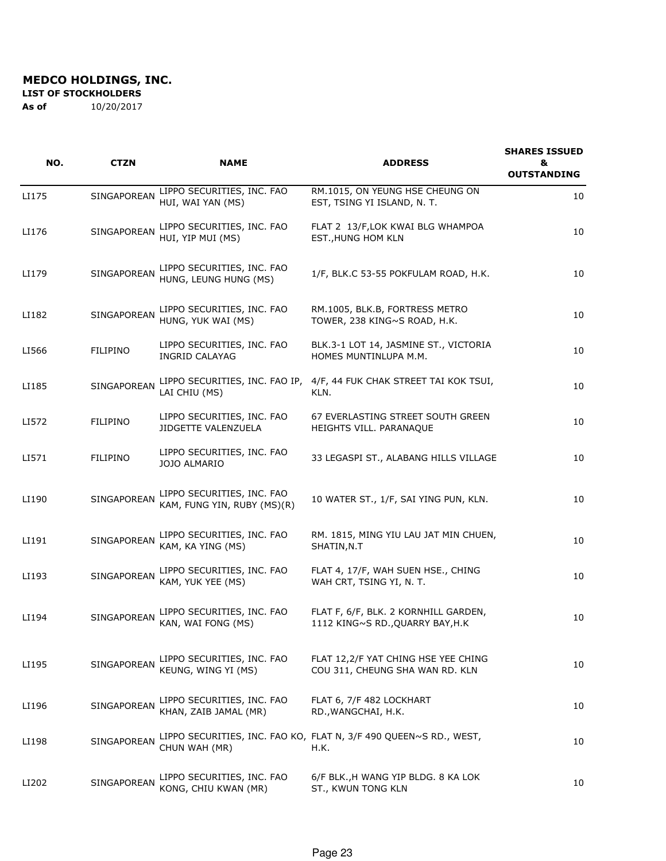#### **LIST OF STOCKHOLDERS**

| NO.   | <b>CTZN</b>        | <b>NAME</b>                                               | <b>ADDRESS</b>                                                            | <b>SHARES ISSUED</b><br>&<br><b>OUTSTANDING</b> |
|-------|--------------------|-----------------------------------------------------------|---------------------------------------------------------------------------|-------------------------------------------------|
| LI175 | SINGAPOREAN        | LIPPO SECURITIES, INC. FAO<br>HUI, WAI YAN (MS)           | RM.1015, ON YEUNG HSE CHEUNG ON<br>EST, TSING YI ISLAND, N. T.            | 10                                              |
| LI176 | SINGAPOREAN        | LIPPO SECURITIES, INC. FAO<br>HUI, YIP MUI (MS)           | FLAT 2 13/F, LOK KWAI BLG WHAMPOA<br>EST., HUNG HOM KLN                   | 10                                              |
| LI179 | SINGAPOREAN        | LIPPO SECURITIES, INC. FAO<br>HUNG, LEUNG HUNG (MS)       | 1/F, BLK.C 53-55 POKFULAM ROAD, H.K.                                      | 10                                              |
| LI182 | SINGAPOREAN        | LIPPO SECURITIES, INC. FAO<br>HUNG, YUK WAI (MS)          | RM.1005, BLK.B, FORTRESS METRO<br>TOWER, 238 KING~S ROAD, H.K.            | 10                                              |
| LI566 | FILIPINO           | LIPPO SECURITIES, INC. FAO<br><b>INGRID CALAYAG</b>       | BLK.3-1 LOT 14, JASMINE ST., VICTORIA<br>HOMES MUNTINLUPA M.M.            | 10                                              |
| LI185 | SINGAPOREAN        | LIPPO SECURITIES, INC. FAO IP,<br>LAI CHIU (MS)           | 4/F, 44 FUK CHAK STREET TAI KOK TSUI,<br>KLN.                             | 10                                              |
| LI572 | FILIPINO           | LIPPO SECURITIES, INC. FAO<br>JIDGETTE VALENZUELA         | 67 EVERLASTING STREET SOUTH GREEN<br>HEIGHTS VILL. PARANAQUE              | 10                                              |
| LI571 | <b>FILIPINO</b>    | LIPPO SECURITIES, INC. FAO<br>JOJO ALMARIO                | 33 LEGASPI ST., ALABANG HILLS VILLAGE                                     | 10                                              |
| LI190 | SINGAPOREAN        | LIPPO SECURITIES, INC. FAO<br>KAM, FUNG YIN, RUBY (MS)(R) | 10 WATER ST., 1/F, SAI YING PUN, KLN.                                     | 10                                              |
| LI191 | SINGAPOREAN        | LIPPO SECURITIES, INC. FAO<br>KAM, KA YING (MS)           | RM. 1815, MING YIU LAU JAT MIN CHUEN,<br>SHATIN, N.T                      | 10                                              |
| LI193 | SINGAPOREAN        | LIPPO SECURITIES, INC. FAO<br>KAM, YUK YEE (MS)           | FLAT 4, 17/F, WAH SUEN HSE., CHING<br>WAH CRT, TSING YI, N. T.            | 10                                              |
| LI194 | SINGAPOREAN        | LIPPO SECURITIES, INC. FAO<br>KAN, WAI FONG (MS)          | FLAT F, 6/F, BLK. 2 KORNHILL GARDEN,<br>1112 KING~S RD., QUARRY BAY, H.K  | 10                                              |
| LI195 | <b>SINGAPOREAN</b> | LIPPO SECURITIES, INC. FAO<br>KEUNG, WING YI (MS)         | FLAT 12,2/F YAT CHING HSE YEE CHING<br>COU 311, CHEUNG SHA WAN RD. KLN    | 10                                              |
| LI196 | SINGAPOREAN        | LIPPO SECURITIES, INC. FAO<br>KHAN, ZAIB JAMAL (MR)       | FLAT 6, 7/F 482 LOCKHART<br>RD., WANGCHAI, H.K.                           | 10                                              |
| LI198 | SINGAPOREAN        | CHUN WAH (MR)                                             | LIPPO SECURITIES, INC. FAO KO, FLAT N, 3/F 490 QUEEN~S RD., WEST,<br>H.K. | 10                                              |
| LI202 | SINGAPOREAN        | LIPPO SECURITIES, INC. FAO<br>KONG, CHIU KWAN (MR)        | 6/F BLK., H WANG YIP BLDG. 8 KA LOK<br>ST., KWUN TONG KLN                 | 10                                              |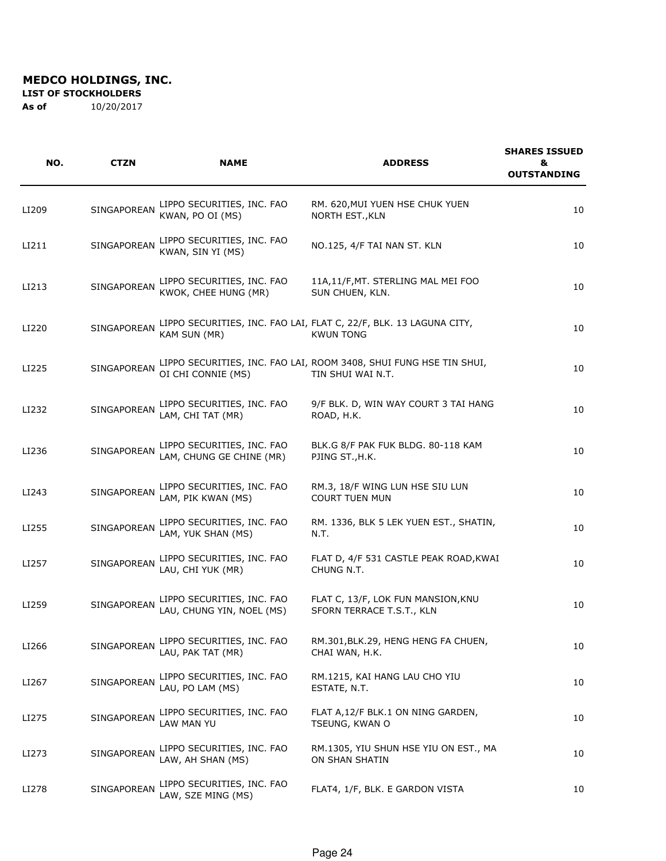#### **LIST OF STOCKHOLDERS**

| NO.   | <b>CTZN</b>        | <b>NAME</b>                                             | <b>ADDRESS</b>                                                                          | <b>SHARES ISSUED</b><br>&<br><b>OUTSTANDING</b> |
|-------|--------------------|---------------------------------------------------------|-----------------------------------------------------------------------------------------|-------------------------------------------------|
| LI209 | SINGAPOREAN        | LIPPO SECURITIES, INC. FAO<br>KWAN, PO OI (MS)          | RM. 620, MUI YUEN HSE CHUK YUEN<br>NORTH EST., KLN                                      | 10                                              |
| LI211 | SINGAPOREAN        | LIPPO SECURITIES, INC. FAO<br>KWAN, SIN YI (MS)         | NO.125, 4/F TAI NAN ST. KLN                                                             | 10                                              |
| LI213 | SINGAPOREAN        | LIPPO SECURITIES, INC. FAO<br>KWOK, CHEE HUNG (MR)      | 11A,11/F, MT. STERLING MAL MEI FOO<br>SUN CHUEN, KLN.                                   | 10                                              |
| LI220 | <b>SINGAPOREAN</b> | KAM SUN (MR)                                            | LIPPO SECURITIES, INC. FAO LAI, FLAT C, 22/F, BLK. 13 LAGUNA CITY,<br><b>KWUN TONG</b>  | 10                                              |
| LI225 | <b>SINGAPOREAN</b> | OI CHI CONNIE (MS)                                      | LIPPO SECURITIES, INC. FAO LAI, ROOM 3408, SHUI FUNG HSE TIN SHUI,<br>TIN SHUI WAI N.T. | 10                                              |
| LI232 | SINGAPOREAN        | LIPPO SECURITIES, INC. FAO<br>LAM, CHI TAT (MR)         | 9/F BLK. D, WIN WAY COURT 3 TAI HANG<br>ROAD, H.K.                                      | 10                                              |
| LI236 | SINGAPOREAN        | LIPPO SECURITIES, INC. FAO<br>LAM, CHUNG GE CHINE (MR)  | BLK.G 8/F PAK FUK BLDG. 80-118 KAM<br>PJING ST., H.K.                                   | 10                                              |
| LI243 | SINGAPOREAN        | LIPPO SECURITIES, INC. FAO<br>LAM, PIK KWAN (MS)        | RM.3, 18/F WING LUN HSE SIU LUN<br><b>COURT TUEN MUN</b>                                | 10                                              |
| LI255 | SINGAPOREAN        | LIPPO SECURITIES, INC. FAO<br>LAM, YUK SHAN (MS)        | RM. 1336, BLK 5 LEK YUEN EST., SHATIN,<br>N.T.                                          | 10                                              |
| LI257 | SINGAPOREAN        | LIPPO SECURITIES, INC. FAO<br>LAU, CHI YUK (MR)         | FLAT D, 4/F 531 CASTLE PEAK ROAD, KWAI<br>CHUNG N.T.                                    | 10                                              |
| LI259 | SINGAPOREAN        | LIPPO SECURITIES, INC. FAO<br>LAU, CHUNG YIN, NOEL (MS) | FLAT C, 13/F, LOK FUN MANSION, KNU<br>SFORN TERRACE T.S.T., KLN                         | 10                                              |
| LI266 | SINGAPOREAN        | LIPPO SECURITIES, INC. FAO<br>LAU, PAK TAT (MR)         | RM.301, BLK.29, HENG HENG FA CHUEN,<br>CHAI WAN, H.K.                                   | 10                                              |
| LI267 | SINGAPOREAN        | LIPPO SECURITIES, INC. FAO<br>LAU, PO LAM (MS)          | RM.1215, KAI HANG LAU CHO YIU<br>ESTATE, N.T.                                           | 10                                              |
| LI275 | SINGAPOREAN        | LIPPO SECURITIES, INC. FAO<br>LAW MAN YU                | FLAT A, 12/F BLK.1 ON NING GARDEN,<br>TSEUNG, KWAN O                                    | 10                                              |
| LI273 | SINGAPOREAN        | LIPPO SECURITIES, INC. FAO<br>LAW, AH SHAN (MS)         | RM.1305, YIU SHUN HSE YIU ON EST., MA<br>ON SHAN SHATIN                                 | 10                                              |
| LI278 | SINGAPOREAN        | LIPPO SECURITIES, INC. FAO<br>LAW, SZE MING (MS)        | FLAT4, 1/F, BLK. E GARDON VISTA                                                         | 10                                              |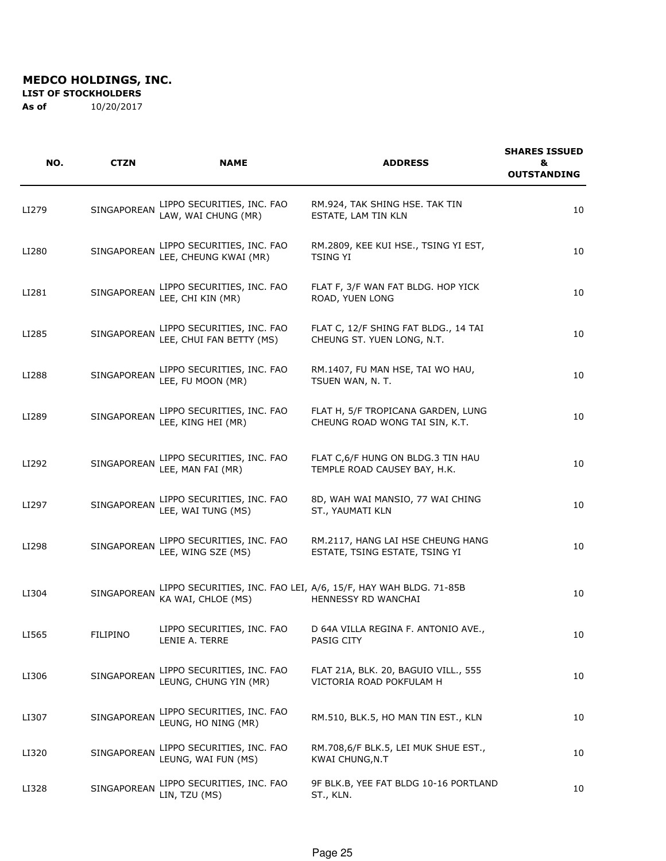#### **LIST OF STOCKHOLDERS**

| NO.   | <b>CTZN</b>        | <b>NAME</b>                                            | <b>ADDRESS</b>                                                                         | <b>SHARES ISSUED</b><br>&<br><b>OUTSTANDING</b> |
|-------|--------------------|--------------------------------------------------------|----------------------------------------------------------------------------------------|-------------------------------------------------|
| LI279 | SINGAPOREAN        | LIPPO SECURITIES, INC. FAO<br>LAW, WAI CHUNG (MR)      | RM.924, TAK SHING HSE. TAK TIN<br>ESTATE, LAM TIN KLN                                  | 10                                              |
| LI280 | SINGAPOREAN        | LIPPO SECURITIES, INC. FAO<br>LEE, CHEUNG KWAI (MR)    | RM.2809, KEE KUI HSE., TSING YI EST,<br><b>TSING YI</b>                                | 10                                              |
| LI281 | SINGAPOREAN        | LIPPO SECURITIES, INC. FAO<br>LEE, CHI KIN (MR)        | FLAT F, 3/F WAN FAT BLDG. HOP YICK<br>ROAD, YUEN LONG                                  | 10                                              |
| LI285 | SINGAPOREAN        | LIPPO SECURITIES, INC. FAO<br>LEE, CHUI FAN BETTY (MS) | FLAT C, 12/F SHING FAT BLDG., 14 TAI<br>CHEUNG ST. YUEN LONG, N.T.                     | 10                                              |
| LI288 | SINGAPOREAN        | LIPPO SECURITIES, INC. FAO<br>LEE, FU MOON (MR)        | RM.1407, FU MAN HSE, TAI WO HAU,<br>TSUEN WAN, N. T.                                   | 10                                              |
| LI289 | <b>SINGAPOREAN</b> | LIPPO SECURITIES, INC. FAO<br>LEE, KING HEI (MR)       | FLAT H, 5/F TROPICANA GARDEN, LUNG<br>CHEUNG ROAD WONG TAI SIN, K.T.                   | 10                                              |
| LI292 | SINGAPOREAN        | LIPPO SECURITIES, INC. FAO<br>LEE, MAN FAI (MR)        | FLAT C,6/F HUNG ON BLDG.3 TIN HAU<br>TEMPLE ROAD CAUSEY BAY, H.K.                      | 10                                              |
| LI297 | SINGAPOREAN        | LIPPO SECURITIES, INC. FAO<br>LEE, WAI TUNG (MS)       | 8D, WAH WAI MANSIO, 77 WAI CHING<br>ST., YAUMATI KLN                                   | 10                                              |
| LI298 | SINGAPOREAN        | LIPPO SECURITIES, INC. FAO<br>LEE, WING SZE (MS)       | RM.2117, HANG LAI HSE CHEUNG HANG<br>ESTATE, TSING ESTATE, TSING YI                    | 10                                              |
| LI304 | SINGAPOREAN        | KA WAI, CHLOE (MS)                                     | LIPPO SECURITIES, INC. FAO LEI, A/6, 15/F, HAY WAH BLDG. 71-85B<br>HENNESSY RD WANCHAI | 10                                              |
| LI565 | <b>FILIPINO</b>    | LIPPO SECURITIES, INC. FAO<br>LENIE A. TERRE           | D 64A VILLA REGINA F. ANTONIO AVE.,<br>PASIG CITY                                      | 10                                              |
| LI306 | SINGAPOREAN        | LIPPO SECURITIES, INC. FAO<br>LEUNG, CHUNG YIN (MR)    | FLAT 21A, BLK. 20, BAGUIO VILL., 555<br>VICTORIA ROAD POKFULAM H                       | 10                                              |
| LI307 | SINGAPOREAN        | LIPPO SECURITIES, INC. FAO<br>LEUNG, HO NING (MR)      | RM.510, BLK.5, HO MAN TIN EST., KLN                                                    | 10                                              |
| LI320 | SINGAPOREAN        | LIPPO SECURITIES, INC. FAO<br>LEUNG, WAI FUN (MS)      | RM.708,6/F BLK.5, LEI MUK SHUE EST.,<br>KWAI CHUNG, N.T                                | 10                                              |
| LI328 | SINGAPOREAN        | LIPPO SECURITIES, INC. FAO<br>LIN, TZU (MS)            | 9F BLK.B, YEE FAT BLDG 10-16 PORTLAND<br>ST., KLN.                                     | 10                                              |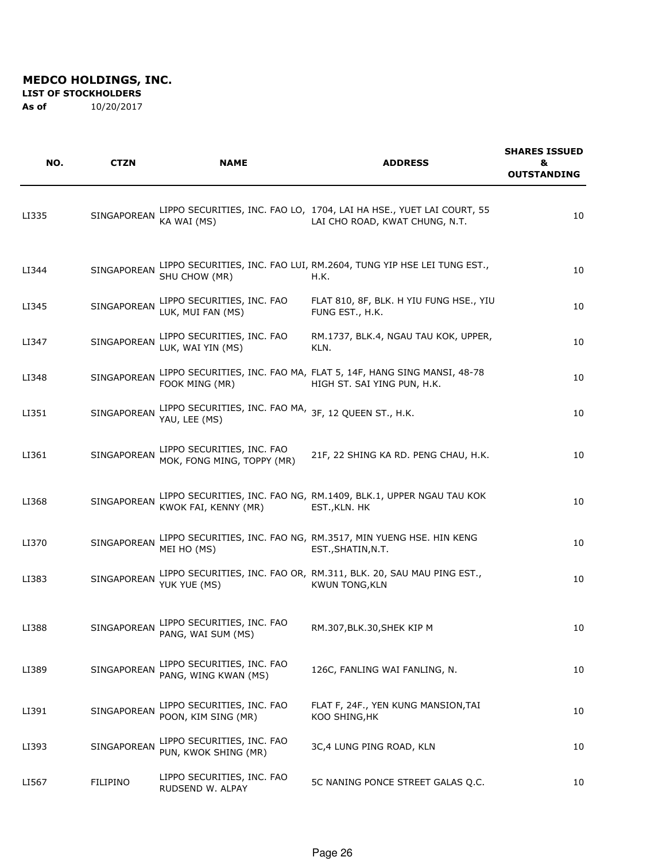**LIST OF STOCKHOLDERS** 

| NO.   | CTZN            | <b>NAME</b>                                                            | <b>ADDRESS</b>                                                                                         | <b>SHARES ISSUED</b><br>&<br><b>OUTSTANDING</b> |
|-------|-----------------|------------------------------------------------------------------------|--------------------------------------------------------------------------------------------------------|-------------------------------------------------|
| LI335 | SINGAPOREAN     | KA WAI (MS)                                                            | LIPPO SECURITIES, INC. FAO LO, 1704, LAI HA HSE., YUET LAI COURT, 55<br>LAI CHO ROAD, KWAT CHUNG, N.T. | 10                                              |
| LI344 | SINGAPOREAN     | SHU CHOW (MR)                                                          | LIPPO SECURITIES, INC. FAO LUI, RM.2604, TUNG YIP HSE LEI TUNG EST.,<br>H.K.                           | 10                                              |
| LI345 | SINGAPOREAN     | LIPPO SECURITIES, INC. FAO<br>LUK, MUI FAN (MS)                        | FLAT 810, 8F, BLK. H YIU FUNG HSE., YIU<br>FUNG EST., H.K.                                             | 10                                              |
| LI347 | SINGAPOREAN     | LIPPO SECURITIES, INC. FAO<br>LUK, WAI YIN (MS)                        | RM.1737, BLK.4, NGAU TAU KOK, UPPER,<br>KLN.                                                           | 10                                              |
| LI348 | SINGAPOREAN     | FOOK MING (MR)                                                         | LIPPO SECURITIES, INC. FAO MA, FLAT 5, 14F, HANG SING MANSI, 48-78<br>HIGH ST. SAI YING PUN, H.K.      | 10                                              |
| LI351 | SINGAPOREAN     | LIPPO SECURITIES, INC. FAO MA, 3F, 12 QUEEN ST., H.K.<br>YAU, LEE (MS) |                                                                                                        | 10                                              |
| LI361 | SINGAPOREAN     | LIPPO SECURITIES, INC. FAO<br>MOK, FONG MING, TOPPY (MR)               | 21F, 22 SHING KA RD. PENG CHAU, H.K.                                                                   | 10                                              |
| LI368 | SINGAPOREAN     | KWOK FAI, KENNY (MR)                                                   | LIPPO SECURITIES, INC. FAO NG, RM.1409, BLK.1, UPPER NGAU TAU KOK<br>EST., KLN. HK                     | 10                                              |
| LI370 | SINGAPOREAN     | MEI HO (MS)                                                            | LIPPO SECURITIES, INC. FAO NG, RM.3517, MIN YUENG HSE. HIN KENG<br>EST., SHATIN, N.T.                  | 10                                              |
| LI383 | SINGAPOREAN     | YUK YUE (MS)                                                           | LIPPO SECURITIES, INC. FAO OR, RM.311, BLK. 20, SAU MAU PING EST.,<br><b>KWUN TONG, KLN</b>            | 10                                              |
| LI388 | SINGAPOREAN     | LIPPO SECURITIES, INC. FAO<br>PANG, WAI SUM (MS)                       | RM.307, BLK.30, SHEK KIP M                                                                             | 10                                              |
| LI389 | SINGAPOREAN     | LIPPO SECURITIES, INC. FAO<br>PANG, WING KWAN (MS)                     | 126C, FANLING WAI FANLING, N.                                                                          | 10                                              |
| LI391 | SINGAPOREAN     | LIPPO SECURITIES, INC. FAO<br>POON, KIM SING (MR)                      | FLAT F, 24F., YEN KUNG MANSION, TAI<br>KOO SHING, HK                                                   | 10                                              |
| LI393 | SINGAPOREAN     | LIPPO SECURITIES, INC. FAO<br>PUN, KWOK SHING (MR)                     | 3C,4 LUNG PING ROAD, KLN                                                                               | 10                                              |
| LI567 | <b>FILIPINO</b> | LIPPO SECURITIES, INC. FAO<br>RUDSEND W. ALPAY                         | 5C NANING PONCE STREET GALAS Q.C.                                                                      | 10                                              |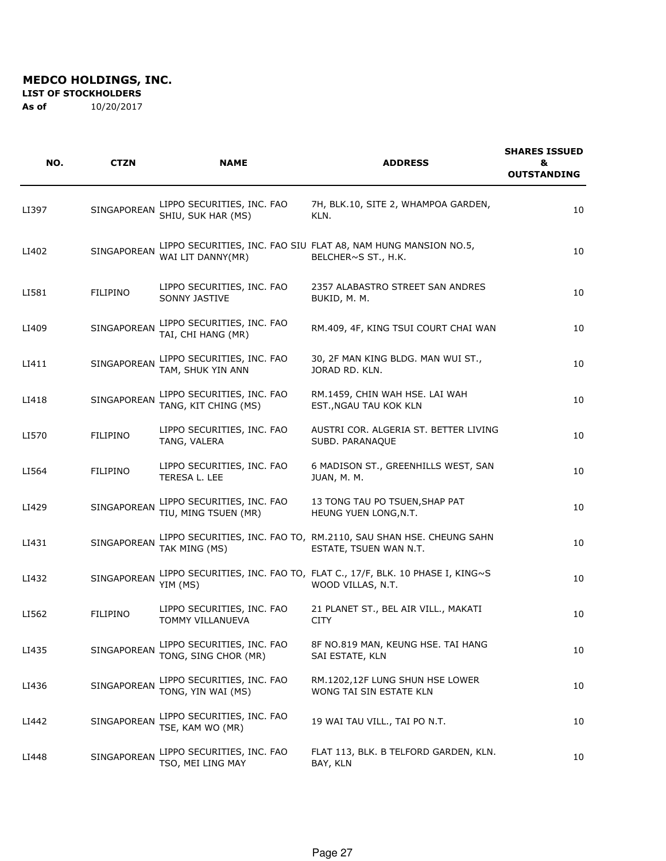#### **LIST OF STOCKHOLDERS**

| NO.   | <b>CTZN</b>        | <b>NAME</b>                                        | <b>ADDRESS</b>                                                                              | <b>SHARES ISSUED</b><br>&<br><b>OUTSTANDING</b> |
|-------|--------------------|----------------------------------------------------|---------------------------------------------------------------------------------------------|-------------------------------------------------|
| LI397 | <b>SINGAPOREAN</b> | LIPPO SECURITIES, INC. FAO<br>SHIU, SUK HAR (MS)   | 7H, BLK.10, SITE 2, WHAMPOA GARDEN,<br>KLN.                                                 | 10                                              |
| LI402 | SINGAPOREAN        | WAI LIT DANNY(MR)                                  | LIPPO SECURITIES, INC. FAO SIU FLAT A8, NAM HUNG MANSION NO.5,<br>BELCHER~S ST., H.K.       | 10                                              |
| LI581 | <b>FILIPINO</b>    | LIPPO SECURITIES, INC. FAO<br>SONNY JASTIVE        | 2357 ALABASTRO STREET SAN ANDRES<br>BUKID, M. M.                                            | 10                                              |
| LI409 | <b>SINGAPOREAN</b> | LIPPO SECURITIES, INC. FAO<br>TAI, CHI HANG (MR)   | RM.409, 4F, KING TSUI COURT CHAI WAN                                                        | 10                                              |
| LI411 | <b>SINGAPOREAN</b> | LIPPO SECURITIES, INC. FAO<br>TAM, SHUK YIN ANN    | 30, 2F MAN KING BLDG. MAN WUI ST.,<br>JORAD RD. KLN.                                        | 10                                              |
| LI418 | SINGAPOREAN        | LIPPO SECURITIES, INC. FAO<br>TANG, KIT CHING (MS) | RM.1459, CHIN WAH HSE. LAI WAH<br>EST., NGAU TAU KOK KLN                                    | 10                                              |
| LI570 | <b>FILIPINO</b>    | LIPPO SECURITIES, INC. FAO<br>TANG, VALERA         | AUSTRI COR. ALGERIA ST. BETTER LIVING<br>SUBD. PARANAQUE                                    | 10                                              |
| LI564 | <b>FILIPINO</b>    | LIPPO SECURITIES, INC. FAO<br>TERESA L. LEE        | 6 MADISON ST., GREENHILLS WEST, SAN<br>JUAN, M. M.                                          | 10                                              |
| LI429 | SINGAPOREAN        | LIPPO SECURITIES, INC. FAO<br>TIU, MING TSUEN (MR) | 13 TONG TAU PO TSUEN, SHAP PAT<br>HEUNG YUEN LONG, N.T.                                     | 10                                              |
| LI431 | SINGAPOREAN        | TAK MING (MS)                                      | LIPPO SECURITIES, INC. FAO TO, RM.2110, SAU SHAN HSE. CHEUNG SAHN<br>ESTATE, TSUEN WAN N.T. | 10                                              |
| LI432 | SINGAPOREAN        | YIM (MS)                                           | LIPPO SECURITIES, INC. FAO TO, FLAT C., 17/F, BLK. 10 PHASE I, KING~S<br>WOOD VILLAS, N.T.  | 10                                              |
| LI562 | <b>FILIPINO</b>    | LIPPO SECURITIES, INC. FAO<br>TOMMY VILLANUEVA     | 21 PLANET ST., BEL AIR VILL., MAKATI<br><b>CITY</b>                                         | 10                                              |
| LI435 | SINGAPOREAN        | LIPPO SECURITIES, INC. FAO<br>TONG, SING CHOR (MR) | 8F NO.819 MAN, KEUNG HSE. TAI HANG<br>SAI ESTATE, KLN                                       | 10                                              |
| LI436 | SINGAPOREAN        | LIPPO SECURITIES, INC. FAO<br>TONG, YIN WAI (MS)   | RM.1202,12F LUNG SHUN HSE LOWER<br>WONG TAI SIN ESTATE KLN                                  | 10                                              |
| LI442 | SINGAPOREAN        | LIPPO SECURITIES, INC. FAO<br>TSE, KAM WO (MR)     | 19 WAI TAU VILL., TAI PO N.T.                                                               | 10                                              |
| LI448 | SINGAPOREAN        | LIPPO SECURITIES, INC. FAO<br>TSO, MEI LING MAY    | FLAT 113, BLK. B TELFORD GARDEN, KLN.<br>BAY, KLN                                           | 10                                              |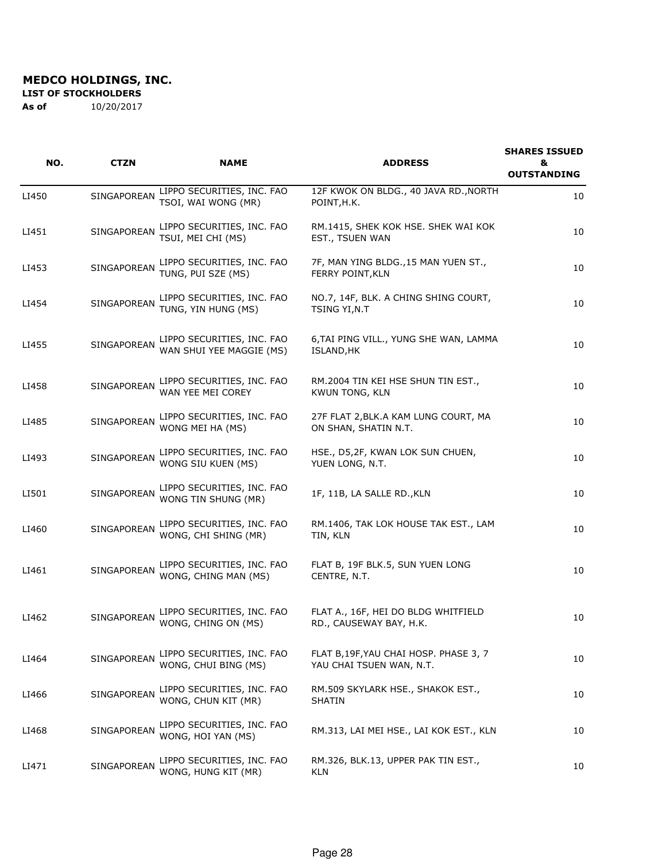**LIST OF STOCKHOLDERS** 

| NO.   | <b>CTZN</b>        | <b>NAME</b>                                            | <b>ADDRESS</b>                                                     | <b>SHARES ISSUED</b><br>&<br><b>OUTSTANDING</b> |
|-------|--------------------|--------------------------------------------------------|--------------------------------------------------------------------|-------------------------------------------------|
| LI450 | SINGAPOREAN        | LIPPO SECURITIES, INC. FAO<br>TSOI, WAI WONG (MR)      | 12F KWOK ON BLDG., 40 JAVA RD., NORTH<br>POINT, H.K.               | 10                                              |
| LI451 | SINGAPOREAN        | LIPPO SECURITIES, INC. FAO<br>TSUI, MEI CHI (MS)       | RM.1415, SHEK KOK HSE. SHEK WAI KOK<br>EST., TSUEN WAN             | 10                                              |
| LI453 | SINGAPOREAN        | LIPPO SECURITIES, INC. FAO<br>TUNG, PUI SZE (MS)       | 7F, MAN YING BLDG., 15 MAN YUEN ST.,<br>FERRY POINT, KLN           | 10                                              |
| LI454 | <b>SINGAPOREAN</b> | LIPPO SECURITIES, INC. FAO<br>TUNG, YIN HUNG (MS)      | NO.7, 14F, BLK. A CHING SHING COURT,<br>TSING YI, N.T              | 10                                              |
| LI455 | SINGAPOREAN        | LIPPO SECURITIES, INC. FAO<br>WAN SHUI YEE MAGGIE (MS) | 6, TAI PING VILL., YUNG SHE WAN, LAMMA<br>ISLAND, HK               | 10                                              |
| LI458 | SINGAPOREAN        | LIPPO SECURITIES, INC. FAO<br>WAN YEE MEI COREY        | RM.2004 TIN KEI HSE SHUN TIN EST.,<br><b>KWUN TONG, KLN</b>        | 10                                              |
| LI485 | SINGAPOREAN        | LIPPO SECURITIES, INC. FAO<br>WONG MEI HA (MS)         | 27F FLAT 2, BLK.A KAM LUNG COURT, MA<br>ON SHAN, SHATIN N.T.       | 10                                              |
| LI493 | SINGAPOREAN        | LIPPO SECURITIES, INC. FAO<br>WONG SIU KUEN (MS)       | HSE., D5,2F, KWAN LOK SUN CHUEN,<br>YUEN LONG, N.T.                | 10                                              |
| LI501 | SINGAPOREAN        | LIPPO SECURITIES, INC. FAO<br>WONG TIN SHUNG (MR)      | 1F, 11B, LA SALLE RD., KLN                                         | 10                                              |
| LI460 | SINGAPOREAN        | LIPPO SECURITIES, INC. FAO<br>WONG, CHI SHING (MR)     | RM.1406, TAK LOK HOUSE TAK EST., LAM<br>TIN, KLN                   | 10                                              |
| LI461 | SINGAPOREAN        | LIPPO SECURITIES, INC. FAO<br>WONG, CHING MAN (MS)     | FLAT B, 19F BLK.5, SUN YUEN LONG<br>CENTRE, N.T.                   | 10                                              |
| LI462 | SINGAPOREAN        | LIPPO SECURITIES, INC. FAO<br>WONG, CHING ON (MS)      | FLAT A., 16F, HEI DO BLDG WHITFIELD<br>RD., CAUSEWAY BAY, H.K.     | 10                                              |
| LI464 | SINGAPOREAN        | LIPPO SECURITIES, INC. FAO<br>WONG, CHUI BING (MS)     | FLAT B, 19F, YAU CHAI HOSP. PHASE 3, 7<br>YAU CHAI TSUEN WAN, N.T. | 10                                              |
| LI466 | SINGAPOREAN        | LIPPO SECURITIES, INC. FAO<br>WONG, CHUN KIT (MR)      | RM.509 SKYLARK HSE., SHAKOK EST.,<br>SHATIN                        | 10                                              |
| LI468 | SINGAPOREAN        | LIPPO SECURITIES, INC. FAO<br>WONG, HOI YAN (MS)       | RM.313, LAI MEI HSE., LAI KOK EST., KLN                            | 10                                              |
| LI471 | SINGAPOREAN        | LIPPO SECURITIES, INC. FAO<br>WONG, HUNG KIT (MR)      | RM.326, BLK.13, UPPER PAK TIN EST.,<br>KLN                         | 10                                              |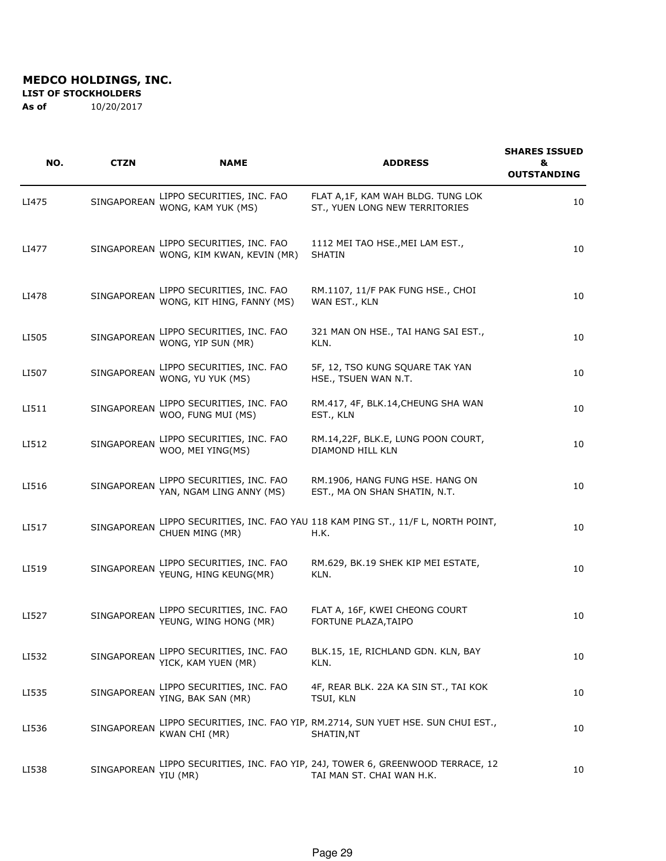#### **LIST OF STOCKHOLDERS**

| NO.   | CTZN        | <b>NAME</b>                                              | <b>ADDRESS</b>                                                                                   | <b>SHARES ISSUED</b><br>&<br><b>OUTSTANDING</b> |
|-------|-------------|----------------------------------------------------------|--------------------------------------------------------------------------------------------------|-------------------------------------------------|
| LI475 | SINGAPOREAN | LIPPO SECURITIES, INC. FAO<br>WONG, KAM YUK (MS)         | FLAT A, 1F, KAM WAH BLDG. TUNG LOK<br>ST., YUEN LONG NEW TERRITORIES                             | 10                                              |
| LI477 | SINGAPOREAN | LIPPO SECURITIES, INC. FAO<br>WONG, KIM KWAN, KEVIN (MR) | 1112 MEI TAO HSE., MEI LAM EST.,<br><b>SHATIN</b>                                                | 10                                              |
| LI478 | SINGAPOREAN | LIPPO SECURITIES, INC. FAO<br>WONG, KIT HING, FANNY (MS) | RM.1107, 11/F PAK FUNG HSE., CHOI<br>WAN EST., KLN                                               | 10                                              |
| LI505 | SINGAPOREAN | LIPPO SECURITIES, INC. FAO<br>WONG, YIP SUN (MR)         | 321 MAN ON HSE., TAI HANG SAI EST.,<br>KLN.                                                      | 10                                              |
| LI507 | SINGAPOREAN | LIPPO SECURITIES, INC. FAO<br>WONG, YU YUK (MS)          | 5F, 12, TSO KUNG SQUARE TAK YAN<br>HSE., TSUEN WAN N.T.                                          | 10                                              |
| LI511 | SINGAPOREAN | LIPPO SECURITIES, INC. FAO<br>WOO, FUNG MUI (MS)         | RM.417, 4F, BLK.14, CHEUNG SHA WAN<br>EST., KLN                                                  | 10                                              |
| LI512 | SINGAPOREAN | LIPPO SECURITIES, INC. FAO<br>WOO, MEI YING(MS)          | RM.14,22F, BLK.E, LUNG POON COURT,<br>DIAMOND HILL KLN                                           | 10                                              |
| LI516 | SINGAPOREAN | LIPPO SECURITIES, INC. FAO<br>YAN, NGAM LING ANNY (MS)   | RM.1906, HANG FUNG HSE. HANG ON<br>EST., MA ON SHAN SHATIN, N.T.                                 | 10                                              |
| LI517 | SINGAPOREAN | CHUEN MING (MR)                                          | LIPPO SECURITIES, INC. FAO YAU 118 KAM PING ST., 11/F L, NORTH POINT,<br>H.K.                    | 10                                              |
| LI519 | SINGAPOREAN | LIPPO SECURITIES, INC. FAO<br>YEUNG, HING KEUNG(MR)      | RM.629, BK.19 SHEK KIP MEI ESTATE,<br>KLN.                                                       | 10                                              |
| LI527 | SINGAPOREAN | LIPPO SECURITIES, INC. FAO<br>YEUNG, WING HONG (MR)      | FLAT A, 16F, KWEI CHEONG COURT<br>FORTUNE PLAZA, TAIPO                                           | 10                                              |
| LI532 | SINGAPOREAN | LIPPO SECURITIES, INC. FAO<br>YICK, KAM YUEN (MR)        | BLK.15, 1E, RICHLAND GDN. KLN, BAY<br>KLN.                                                       | 10                                              |
| LI535 | SINGAPOREAN | LIPPO SECURITIES, INC. FAO<br>YING, BAK SAN (MR)         | 4F, REAR BLK. 22A KA SIN ST., TAI KOK<br><b>TSUI, KLN</b>                                        | 10                                              |
| LI536 | SINGAPOREAN | KWAN CHI (MR)                                            | LIPPO SECURITIES, INC. FAO YIP, RM.2714, SUN YUET HSE. SUN CHUI EST.,<br>SHATIN,NT               | 10                                              |
| LI538 | SINGAPOREAN | YIU (MR)                                                 | LIPPO SECURITIES, INC. FAO YIP, 24J, TOWER 6, GREENWOOD TERRACE, 12<br>TAI MAN ST. CHAI WAN H.K. | 10                                              |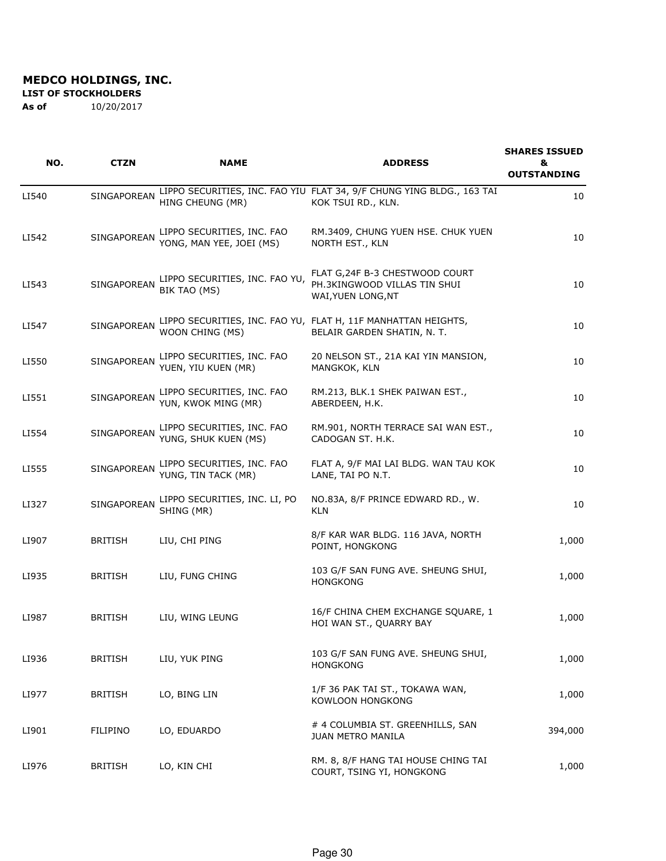**LIST OF STOCKHOLDERS** 

| NO.   | <b>CTZN</b>        | <b>NAME</b>                                            | <b>ADDRESS</b>                                                                               | <b>SHARES ISSUED</b><br>& |
|-------|--------------------|--------------------------------------------------------|----------------------------------------------------------------------------------------------|---------------------------|
|       |                    |                                                        |                                                                                              | <b>OUTSTANDING</b>        |
| LI540 | SINGAPOREAN        | HING CHEUNG (MR)                                       | LIPPO SECURITIES, INC. FAO YIU FLAT 34, 9/F CHUNG YING BLDG., 163 TAI<br>KOK TSUI RD., KLN.  | 10                        |
| LI542 | <b>SINGAPOREAN</b> | LIPPO SECURITIES, INC. FAO<br>YONG, MAN YEE, JOEI (MS) | RM.3409, CHUNG YUEN HSE. CHUK YUEN<br>NORTH EST., KLN                                        | 10                        |
| LI543 | SINGAPOREAN        | LIPPO SECURITIES, INC. FAO YU,<br>BIK TAO (MS)         | FLAT G, 24F B-3 CHESTWOOD COURT<br>PH.3KINGWOOD VILLAS TIN SHUI<br>WAI, YUEN LONG, NT        | 10                        |
| LI547 | SINGAPOREAN        | WOON CHING (MS)                                        | LIPPO SECURITIES, INC. FAO YU, FLAT H, 11F MANHATTAN HEIGHTS,<br>BELAIR GARDEN SHATIN, N. T. | 10                        |
| LI550 | SINGAPOREAN        | LIPPO SECURITIES, INC. FAO<br>YUEN, YIU KUEN (MR)      | 20 NELSON ST., 21A KAI YIN MANSION,<br>MANGKOK, KLN                                          | 10                        |
| LI551 | SINGAPOREAN        | LIPPO SECURITIES, INC. FAO<br>YUN, KWOK MING (MR)      | RM.213, BLK.1 SHEK PAIWAN EST.,<br>ABERDEEN, H.K.                                            | 10                        |
| LI554 | SINGAPOREAN        | LIPPO SECURITIES, INC. FAO<br>YUNG, SHUK KUEN (MS)     | RM.901, NORTH TERRACE SAI WAN EST.,<br>CADOGAN ST. H.K.                                      | 10                        |
| LI555 | SINGAPOREAN        | LIPPO SECURITIES, INC. FAO<br>YUNG, TIN TACK (MR)      | FLAT A, 9/F MAI LAI BLDG. WAN TAU KOK<br>LANE, TAI PO N.T.                                   | 10                        |
| LI327 | SINGAPOREAN        | LIPPO SECURITIES, INC. LI, PO<br>SHING (MR)            | NO.83A, 8/F PRINCE EDWARD RD., W.<br><b>KLN</b>                                              | 10                        |
| LI907 | <b>BRITISH</b>     | LIU, CHI PING                                          | 8/F KAR WAR BLDG. 116 JAVA, NORTH<br>POINT, HONGKONG                                         | 1,000                     |
| LI935 | <b>BRITISH</b>     | LIU, FUNG CHING                                        | 103 G/F SAN FUNG AVE. SHEUNG SHUI,<br><b>HONGKONG</b>                                        | 1,000                     |
| LI987 | <b>BRITISH</b>     | LIU, WING LEUNG                                        | 16/F CHINA CHEM EXCHANGE SQUARE, 1<br>HOI WAN ST., QUARRY BAY                                | 1,000                     |
| LI936 | <b>BRITISH</b>     | LIU, YUK PING                                          | 103 G/F SAN FUNG AVE. SHEUNG SHUI,<br><b>HONGKONG</b>                                        | 1,000                     |
| LI977 | <b>BRITISH</b>     | LO, BING LIN                                           | 1/F 36 PAK TAI ST., TOKAWA WAN,<br>KOWLOON HONGKONG                                          | 1,000                     |
| LI901 | <b>FILIPINO</b>    | LO, EDUARDO                                            | # 4 COLUMBIA ST. GREENHILLS, SAN<br>JUAN METRO MANILA                                        | 394,000                   |
| LI976 | <b>BRITISH</b>     | LO, KIN CHI                                            | RM. 8, 8/F HANG TAI HOUSE CHING TAI<br>COURT, TSING YI, HONGKONG                             | 1,000                     |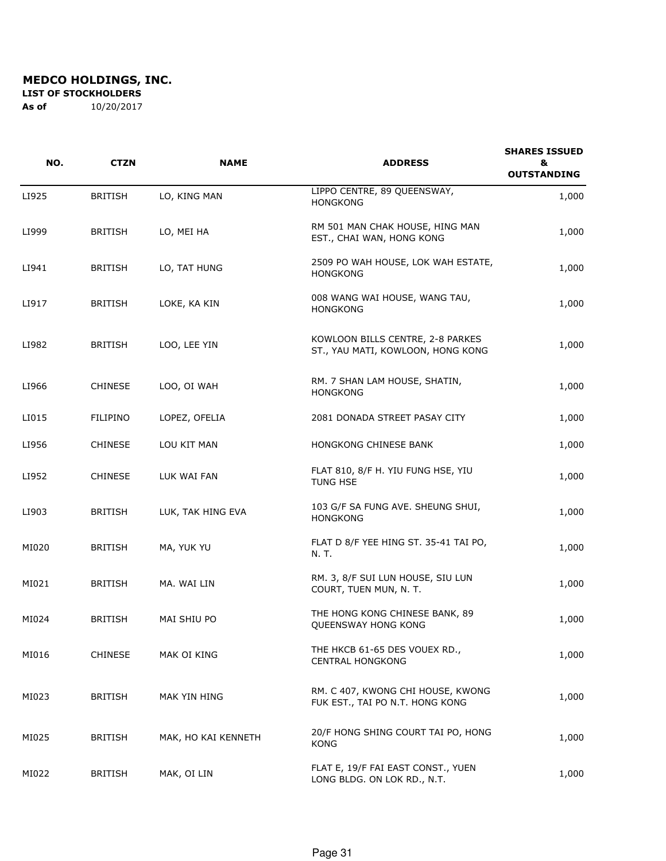**LIST OF STOCKHOLDERS** 

| NO.   | <b>CTZN</b>     | <b>NAME</b>         | <b>ADDRESS</b>                                                        | <b>SHARES ISSUED</b><br>&<br><b>OUTSTANDING</b> |
|-------|-----------------|---------------------|-----------------------------------------------------------------------|-------------------------------------------------|
| LI925 | <b>BRITISH</b>  | LO, KING MAN        | LIPPO CENTRE, 89 QUEENSWAY,<br><b>HONGKONG</b>                        | 1,000                                           |
| LI999 | <b>BRITISH</b>  | LO, MEI HA          | RM 501 MAN CHAK HOUSE, HING MAN<br>EST., CHAI WAN, HONG KONG          | 1,000                                           |
| LI941 | <b>BRITISH</b>  | LO, TAT HUNG        | 2509 PO WAH HOUSE, LOK WAH ESTATE,<br><b>HONGKONG</b>                 | 1,000                                           |
| LI917 | <b>BRITISH</b>  | LOKE, KA KIN        | 008 WANG WAI HOUSE, WANG TAU,<br><b>HONGKONG</b>                      | 1,000                                           |
| LI982 | <b>BRITISH</b>  | LOO, LEE YIN        | KOWLOON BILLS CENTRE, 2-8 PARKES<br>ST., YAU MATI, KOWLOON, HONG KONG | 1,000                                           |
| LI966 | <b>CHINESE</b>  | LOO, OI WAH         | RM. 7 SHAN LAM HOUSE, SHATIN,<br><b>HONGKONG</b>                      | 1,000                                           |
| LI015 | <b>FILIPINO</b> | LOPEZ, OFELIA       | 2081 DONADA STREET PASAY CITY                                         | 1,000                                           |
| LI956 | <b>CHINESE</b>  | LOU KIT MAN         | HONGKONG CHINESE BANK                                                 | 1,000                                           |
| LI952 | <b>CHINESE</b>  | LUK WAI FAN         | FLAT 810, 8/F H. YIU FUNG HSE, YIU<br>TUNG HSE                        | 1,000                                           |
| LI903 | <b>BRITISH</b>  | LUK, TAK HING EVA   | 103 G/F SA FUNG AVE. SHEUNG SHUI,<br><b>HONGKONG</b>                  | 1,000                                           |
| MI020 | <b>BRITISH</b>  | MA, YUK YU          | FLAT D 8/F YEE HING ST. 35-41 TAI PO,<br>N. T.                        | 1,000                                           |
| MI021 | <b>BRITISH</b>  | MA. WAI LIN         | RM. 3, 8/F SUI LUN HOUSE, SIU LUN<br>COURT, TUEN MUN, N. T.           | 1,000                                           |
| MI024 | <b>BRITISH</b>  | MAI SHIU PO         | THE HONG KONG CHINESE BANK, 89<br>QUEENSWAY HONG KONG                 | 1,000                                           |
| MI016 | <b>CHINESE</b>  | MAK OI KING         | THE HKCB 61-65 DES VOUEX RD.,<br><b>CENTRAL HONGKONG</b>              | 1,000                                           |
| MI023 | <b>BRITISH</b>  | MAK YIN HING        | RM. C 407, KWONG CHI HOUSE, KWONG<br>FUK EST., TAI PO N.T. HONG KONG  | 1,000                                           |
| MI025 | <b>BRITISH</b>  | MAK, HO KAI KENNETH | 20/F HONG SHING COURT TAI PO, HONG<br>KONG                            | 1,000                                           |
| MI022 | <b>BRITISH</b>  | MAK, OI LIN         | FLAT E, 19/F FAI EAST CONST., YUEN<br>LONG BLDG. ON LOK RD., N.T.     | 1,000                                           |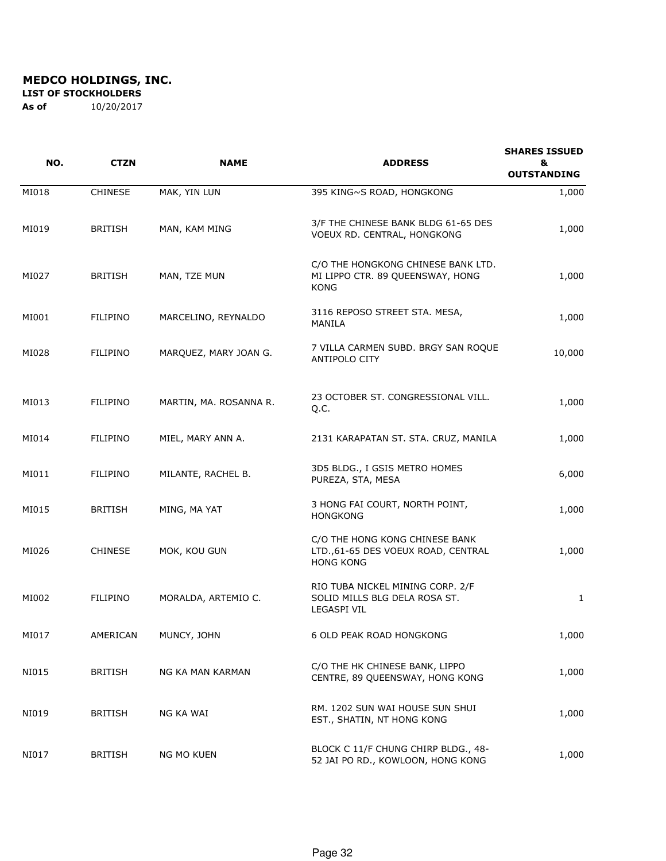**LIST OF STOCKHOLDERS** 

| NO.   | <b>CTZN</b>     | <b>NAME</b>            | <b>ADDRESS</b>                                                                           | <b>SHARES ISSUED</b><br>&<br><b>OUTSTANDING</b> |
|-------|-----------------|------------------------|------------------------------------------------------------------------------------------|-------------------------------------------------|
| MI018 | <b>CHINESE</b>  | MAK, YIN LUN           | 395 KING~S ROAD, HONGKONG                                                                | 1,000                                           |
| MI019 | <b>BRITISH</b>  | MAN, KAM MING          | 3/F THE CHINESE BANK BLDG 61-65 DES<br>VOEUX RD. CENTRAL, HONGKONG                       | 1,000                                           |
| MI027 | <b>BRITISH</b>  | MAN, TZE MUN           | C/O THE HONGKONG CHINESE BANK LTD.<br>MI LIPPO CTR. 89 QUEENSWAY, HONG<br><b>KONG</b>    | 1,000                                           |
| MI001 | <b>FILIPINO</b> | MARCELINO, REYNALDO    | 3116 REPOSO STREET STA. MESA,<br>MANILA                                                  | 1,000                                           |
| MI028 | <b>FILIPINO</b> | MARQUEZ, MARY JOAN G.  | 7 VILLA CARMEN SUBD. BRGY SAN ROQUE<br><b>ANTIPOLO CITY</b>                              | 10,000                                          |
| MI013 | FILIPINO        | MARTIN, MA. ROSANNA R. | 23 OCTOBER ST. CONGRESSIONAL VILL.<br>Q.C.                                               | 1,000                                           |
| MI014 | <b>FILIPINO</b> | MIEL, MARY ANN A.      | 2131 KARAPATAN ST. STA. CRUZ, MANILA                                                     | 1,000                                           |
| MI011 | FILIPINO        | MILANTE, RACHEL B.     | 3D5 BLDG., I GSIS METRO HOMES<br>PUREZA, STA, MESA                                       | 6,000                                           |
| MI015 | <b>BRITISH</b>  | MING, MA YAT           | 3 HONG FAI COURT, NORTH POINT,<br><b>HONGKONG</b>                                        | 1,000                                           |
| MI026 | <b>CHINESE</b>  | MOK, KOU GUN           | C/O THE HONG KONG CHINESE BANK<br>LTD.,61-65 DES VOEUX ROAD, CENTRAL<br><b>HONG KONG</b> | 1,000                                           |
| MI002 | FILIPINO        | MORALDA, ARTEMIO C.    | RIO TUBA NICKEL MINING CORP. 2/F<br>SOLID MILLS BLG DELA ROSA ST.<br><b>LEGASPI VIL</b>  | $\mathbf{1}$                                    |
| MI017 | AMERICAN        | MUNCY, JOHN            | 6 OLD PEAK ROAD HONGKONG                                                                 | 1,000                                           |
| NI015 | <b>BRITISH</b>  | NG KA MAN KARMAN       | C/O THE HK CHINESE BANK, LIPPO<br>CENTRE, 89 QUEENSWAY, HONG KONG                        | 1,000                                           |
| NI019 | <b>BRITISH</b>  | NG KA WAI              | RM. 1202 SUN WAI HOUSE SUN SHUI<br>EST., SHATIN, NT HONG KONG                            | 1,000                                           |
| NI017 | <b>BRITISH</b>  | NG MO KUEN             | BLOCK C 11/F CHUNG CHIRP BLDG., 48-<br>52 JAI PO RD., KOWLOON, HONG KONG                 | 1,000                                           |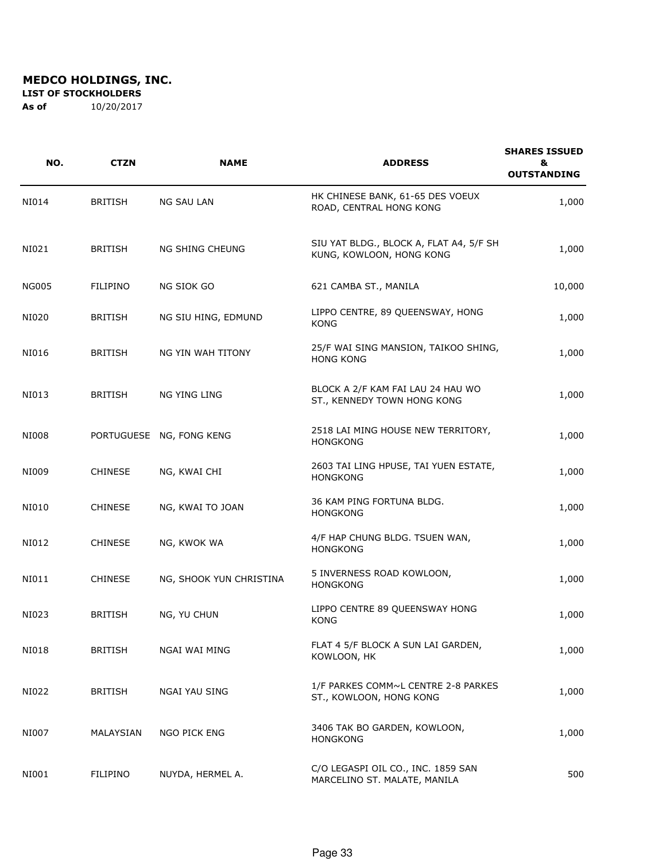**LIST OF STOCKHOLDERS** 

| NO.          | <b>CTZN</b>     | <b>NAME</b>              | <b>ADDRESS</b>                                                      | <b>SHARES ISSUED</b><br>&<br><b>OUTSTANDING</b> |
|--------------|-----------------|--------------------------|---------------------------------------------------------------------|-------------------------------------------------|
| NI014        | <b>BRITISH</b>  | <b>NG SAU LAN</b>        | HK CHINESE BANK, 61-65 DES VOEUX<br>ROAD, CENTRAL HONG KONG         | 1,000                                           |
| NI021        | <b>BRITISH</b>  | NG SHING CHEUNG          | SIU YAT BLDG., BLOCK A, FLAT A4, 5/F SH<br>KUNG, KOWLOON, HONG KONG | 1,000                                           |
| <b>NG005</b> | <b>FILIPINO</b> | NG SIOK GO               | 621 CAMBA ST., MANILA                                               | 10,000                                          |
| NI020        | <b>BRITISH</b>  | NG SIU HING, EDMUND      | LIPPO CENTRE, 89 QUEENSWAY, HONG<br>KONG                            | 1,000                                           |
| NI016        | <b>BRITISH</b>  | NG YIN WAH TITONY        | 25/F WAI SING MANSION, TAIKOO SHING,<br><b>HONG KONG</b>            | 1,000                                           |
| NI013        | <b>BRITISH</b>  | NG YING LING             | BLOCK A 2/F KAM FAI LAU 24 HAU WO<br>ST., KENNEDY TOWN HONG KONG    | 1,000                                           |
| <b>NI008</b> |                 | PORTUGUESE NG, FONG KENG | 2518 LAI MING HOUSE NEW TERRITORY,<br><b>HONGKONG</b>               | 1,000                                           |
| NI009        | <b>CHINESE</b>  | NG, KWAI CHI             | 2603 TAI LING HPUSE, TAI YUEN ESTATE,<br><b>HONGKONG</b>            | 1,000                                           |
| NI010        | <b>CHINESE</b>  | NG, KWAI TO JOAN         | 36 KAM PING FORTUNA BLDG.<br><b>HONGKONG</b>                        | 1,000                                           |
| NI012        | <b>CHINESE</b>  | NG, KWOK WA              | 4/F HAP CHUNG BLDG. TSUEN WAN,<br><b>HONGKONG</b>                   | 1,000                                           |
| NI011        | <b>CHINESE</b>  | NG, SHOOK YUN CHRISTINA  | 5 INVERNESS ROAD KOWLOON,<br><b>HONGKONG</b>                        | 1,000                                           |
| NI023        | <b>BRITISH</b>  | NG, YU CHUN              | LIPPO CENTRE 89 QUEENSWAY HONG<br><b>KONG</b>                       | 1,000                                           |
| NI018        | <b>BRITISH</b>  | NGAI WAI MING            | FLAT 4 5/F BLOCK A SUN LAI GARDEN,<br>KOWLOON, HK                   | 1,000                                           |
| NI022        | <b>BRITISH</b>  | <b>NGAI YAU SING</b>     | 1/F PARKES COMM~L CENTRE 2-8 PARKES<br>ST., KOWLOON, HONG KONG      | 1,000                                           |
| NI007        | MALAYSIAN       | NGO PICK ENG             | 3406 TAK BO GARDEN, KOWLOON,<br><b>HONGKONG</b>                     | 1,000                                           |
| NI001        | FILIPINO        | NUYDA, HERMEL A.         | C/O LEGASPI OIL CO., INC. 1859 SAN<br>MARCELINO ST. MALATE, MANILA  | 500                                             |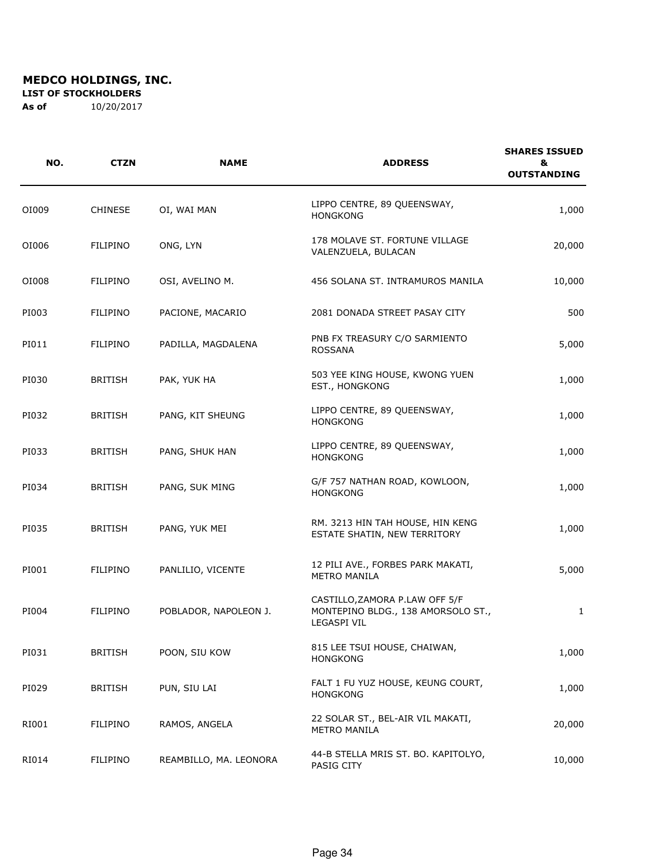**LIST OF STOCKHOLDERS** 

| NO.   | <b>CTZN</b>     | <b>NAME</b>            | <b>ADDRESS</b>                                                                             | <b>SHARES ISSUED</b><br>&<br><b>OUTSTANDING</b> |
|-------|-----------------|------------------------|--------------------------------------------------------------------------------------------|-------------------------------------------------|
| OI009 | <b>CHINESE</b>  | OI, WAI MAN            | LIPPO CENTRE, 89 QUEENSWAY,<br><b>HONGKONG</b>                                             | 1,000                                           |
| OI006 | <b>FILIPINO</b> | ONG, LYN               | 178 MOLAVE ST. FORTUNE VILLAGE<br>VALENZUELA, BULACAN                                      | 20,000                                          |
| 01008 | <b>FILIPINO</b> | OSI, AVELINO M.        | 456 SOLANA ST. INTRAMUROS MANILA                                                           | 10,000                                          |
| PI003 | <b>FILIPINO</b> | PACIONE, MACARIO       | 2081 DONADA STREET PASAY CITY                                                              | 500                                             |
| PI011 | <b>FILIPINO</b> | PADILLA, MAGDALENA     | PNB FX TREASURY C/O SARMIENTO<br><b>ROSSANA</b>                                            | 5,000                                           |
| PI030 | <b>BRITISH</b>  | PAK, YUK HA            | 503 YEE KING HOUSE, KWONG YUEN<br>EST., HONGKONG                                           | 1,000                                           |
| PI032 | <b>BRITISH</b>  | PANG, KIT SHEUNG       | LIPPO CENTRE, 89 QUEENSWAY,<br><b>HONGKONG</b>                                             | 1,000                                           |
| PI033 | <b>BRITISH</b>  | PANG, SHUK HAN         | LIPPO CENTRE, 89 QUEENSWAY,<br><b>HONGKONG</b>                                             | 1,000                                           |
| PI034 | <b>BRITISH</b>  | PANG, SUK MING         | G/F 757 NATHAN ROAD, KOWLOON,<br><b>HONGKONG</b>                                           | 1,000                                           |
| PI035 | <b>BRITISH</b>  | PANG, YUK MEI          | RM. 3213 HIN TAH HOUSE, HIN KENG<br>ESTATE SHATIN, NEW TERRITORY                           | 1,000                                           |
| PI001 | <b>FILIPINO</b> | PANLILIO, VICENTE      | 12 PILI AVE., FORBES PARK MAKATI,<br><b>METRO MANILA</b>                                   | 5,000                                           |
| PI004 | FILIPINO        | POBLADOR, NAPOLEON J.  | CASTILLO, ZAMORA P.LAW OFF 5/F<br>MONTEPINO BLDG., 138 AMORSOLO ST.,<br><b>LEGASPI VIL</b> | $\mathbf{1}$                                    |
| PI031 | <b>BRITISH</b>  | POON, SIU KOW          | 815 LEE TSUI HOUSE, CHAIWAN,<br><b>HONGKONG</b>                                            | 1,000                                           |
| PI029 | <b>BRITISH</b>  | PUN, SIU LAI           | FALT 1 FU YUZ HOUSE, KEUNG COURT,<br><b>HONGKONG</b>                                       | 1,000                                           |
| RI001 | FILIPINO        | RAMOS, ANGELA          | 22 SOLAR ST., BEL-AIR VIL MAKATI,<br><b>METRO MANILA</b>                                   | 20,000                                          |
| RI014 | FILIPINO        | REAMBILLO, MA. LEONORA | 44-B STELLA MRIS ST. BO. KAPITOLYO,<br>PASIG CITY                                          | 10,000                                          |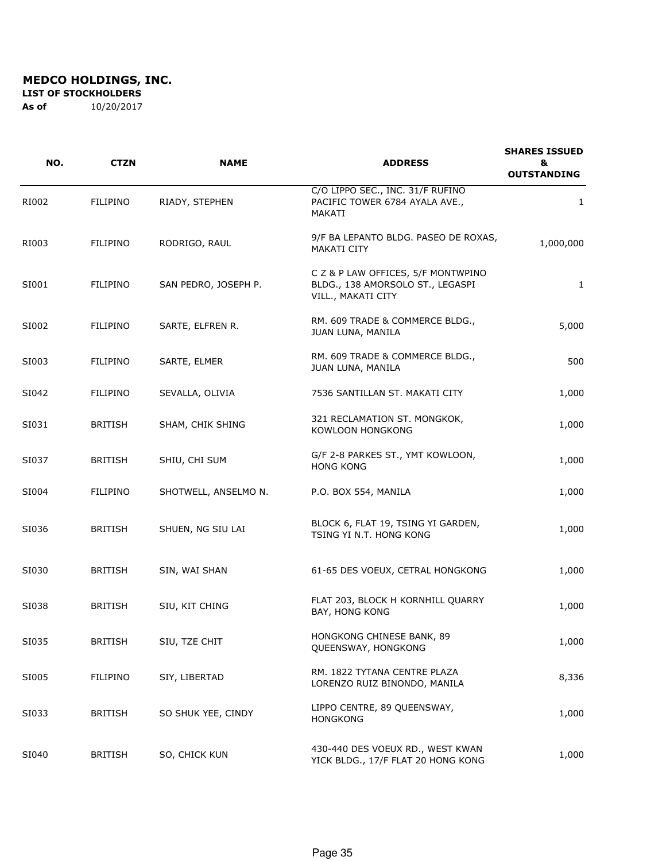**LIST OF STOCKHOLDERS** 

| NO.   | <b>CTZN</b>     | <b>NAME</b>          | <b>ADDRESS</b>                                                                               | <b>SHARES ISSUED</b><br>&<br><b>OUTSTANDING</b> |
|-------|-----------------|----------------------|----------------------------------------------------------------------------------------------|-------------------------------------------------|
| RI002 | <b>FILIPINO</b> | RIADY, STEPHEN       | C/O LIPPO SEC., INC. 31/F RUFINO<br>PACIFIC TOWER 6784 AYALA AVE.,<br>MAKATI                 | $\mathbf{1}$                                    |
| RI003 | <b>FILIPINO</b> | RODRIGO, RAUL        | 9/F BA LEPANTO BLDG. PASEO DE ROXAS,<br><b>MAKATI CITY</b>                                   | 1,000,000                                       |
| SI001 | <b>FILIPINO</b> | SAN PEDRO, JOSEPH P. | C Z & P LAW OFFICES, 5/F MONTWPINO<br>BLDG., 138 AMORSOLO ST., LEGASPI<br>VILL., MAKATI CITY | $\mathbf{1}$                                    |
| SI002 | <b>FILIPINO</b> | SARTE, ELFREN R.     | RM. 609 TRADE & COMMERCE BLDG.,<br>JUAN LUNA, MANILA                                         | 5,000                                           |
| SI003 | <b>FILIPINO</b> | SARTE, ELMER         | RM. 609 TRADE & COMMERCE BLDG.,<br>JUAN LUNA, MANILA                                         | 500                                             |
| SI042 | <b>FILIPINO</b> | SEVALLA, OLIVIA      | 7536 SANTILLAN ST. MAKATI CITY                                                               | 1,000                                           |
| SI031 | <b>BRITISH</b>  | SHAM, CHIK SHING     | 321 RECLAMATION ST. MONGKOK,<br>KOWLOON HONGKONG                                             | 1,000                                           |
| SI037 | <b>BRITISH</b>  | SHIU, CHI SUM        | G/F 2-8 PARKES ST., YMT KOWLOON,<br><b>HONG KONG</b>                                         | 1,000                                           |
| SI004 | <b>FILIPINO</b> | SHOTWELL, ANSELMO N. | P.O. BOX 554, MANILA                                                                         | 1,000                                           |
| SI036 | <b>BRITISH</b>  | SHUEN, NG SIU LAI    | BLOCK 6, FLAT 19, TSING YI GARDEN,<br>TSING YI N.T. HONG KONG                                | 1,000                                           |
| SI030 | <b>BRITISH</b>  | SIN, WAI SHAN        | 61-65 DES VOEUX, CETRAL HONGKONG                                                             | 1,000                                           |
| SI038 | <b>BRITISH</b>  | SIU, KIT CHING       | FLAT 203, BLOCK H KORNHILL QUARRY<br>BAY, HONG KONG                                          | 1,000                                           |
| SI035 | <b>BRITISH</b>  | SIU, TZE CHIT        | HONGKONG CHINESE BANK, 89<br>QUEENSWAY, HONGKONG                                             | 1,000                                           |
| SI005 | <b>FILIPINO</b> | SIY, LIBERTAD        | RM. 1822 TYTANA CENTRE PLAZA<br>LORENZO RUIZ BINONDO, MANILA                                 | 8,336                                           |
| SI033 | <b>BRITISH</b>  | SO SHUK YEE, CINDY   | LIPPO CENTRE, 89 QUEENSWAY,<br><b>HONGKONG</b>                                               | 1,000                                           |
| SI040 | <b>BRITISH</b>  | SO, CHICK KUN        | 430-440 DES VOEUX RD., WEST KWAN<br>YICK BLDG., 17/F FLAT 20 HONG KONG                       | 1,000                                           |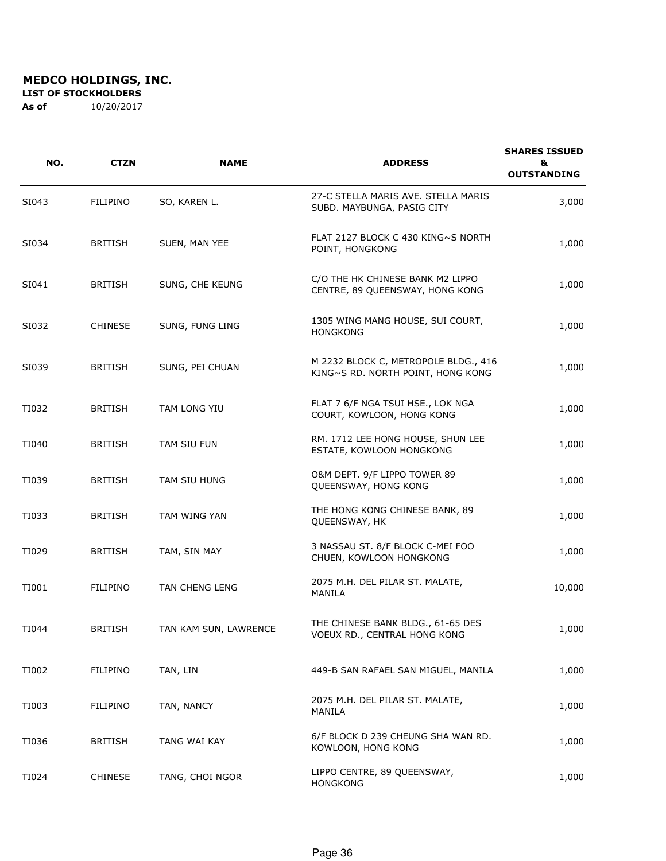**LIST OF STOCKHOLDERS** 

| NO.   | <b>CTZN</b>     | <b>NAME</b>           | <b>ADDRESS</b>                                                            | <b>SHARES ISSUED</b><br>&<br><b>OUTSTANDING</b> |
|-------|-----------------|-----------------------|---------------------------------------------------------------------------|-------------------------------------------------|
| SI043 | <b>FILIPINO</b> | SO, KAREN L.          | 27-C STELLA MARIS AVE. STELLA MARIS<br>SUBD. MAYBUNGA, PASIG CITY         | 3,000                                           |
| SI034 | <b>BRITISH</b>  | SUEN, MAN YEE         | FLAT 2127 BLOCK C 430 KING~S NORTH<br>POINT, HONGKONG                     | 1,000                                           |
| SI041 | <b>BRITISH</b>  | SUNG, CHE KEUNG       | C/O THE HK CHINESE BANK M2 LIPPO<br>CENTRE, 89 QUEENSWAY, HONG KONG       | 1,000                                           |
| SI032 | <b>CHINESE</b>  | SUNG, FUNG LING       | 1305 WING MANG HOUSE, SUI COURT,<br><b>HONGKONG</b>                       | 1,000                                           |
| SI039 | <b>BRITISH</b>  | SUNG, PEI CHUAN       | M 2232 BLOCK C, METROPOLE BLDG., 416<br>KING~S RD. NORTH POINT, HONG KONG | 1,000                                           |
| TI032 | <b>BRITISH</b>  | TAM LONG YIU          | FLAT 7 6/F NGA TSUI HSE., LOK NGA<br>COURT, KOWLOON, HONG KONG            | 1,000                                           |
| TI040 | <b>BRITISH</b>  | TAM SIU FUN           | RM. 1712 LEE HONG HOUSE, SHUN LEE<br>ESTATE, KOWLOON HONGKONG             | 1,000                                           |
| TI039 | <b>BRITISH</b>  | TAM SIU HUNG          | O&M DEPT. 9/F LIPPO TOWER 89<br>QUEENSWAY, HONG KONG                      | 1,000                                           |
| TI033 | <b>BRITISH</b>  | TAM WING YAN          | THE HONG KONG CHINESE BANK, 89<br>QUEENSWAY, HK                           | 1,000                                           |
| TI029 | <b>BRITISH</b>  | TAM, SIN MAY          | 3 NASSAU ST. 8/F BLOCK C-MEI FOO<br>CHUEN, KOWLOON HONGKONG               | 1,000                                           |
| TI001 | FILIPINO        | TAN CHENG LENG        | 2075 M.H. DEL PILAR ST. MALATE,<br>MANILA                                 | 10,000                                          |
| TI044 | <b>BRITISH</b>  | TAN KAM SUN, LAWRENCE | THE CHINESE BANK BLDG., 61-65 DES<br>VOEUX RD., CENTRAL HONG KONG         | 1,000                                           |
| TI002 | <b>FILIPINO</b> | TAN, LIN              | 449-B SAN RAFAEL SAN MIGUEL, MANILA                                       | 1,000                                           |
| TI003 | FILIPINO        | TAN, NANCY            | 2075 M.H. DEL PILAR ST. MALATE,<br>MANILA                                 | 1,000                                           |
| TI036 | <b>BRITISH</b>  | TANG WAI KAY          | 6/F BLOCK D 239 CHEUNG SHA WAN RD.<br>KOWLOON, HONG KONG                  | 1,000                                           |
| TI024 | <b>CHINESE</b>  | TANG, CHOI NGOR       | LIPPO CENTRE, 89 QUEENSWAY,<br><b>HONGKONG</b>                            | 1,000                                           |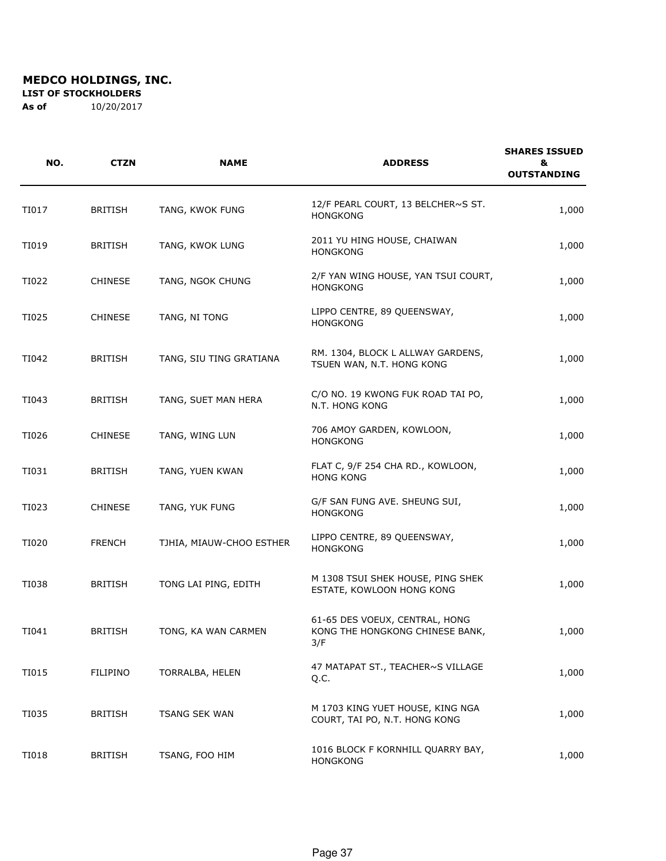**LIST OF STOCKHOLDERS** 

| NO.   | <b>CTZN</b>    | <b>NAME</b>              | <b>ADDRESS</b>                                                           | <b>SHARES ISSUED</b><br>&<br><b>OUTSTANDING</b> |
|-------|----------------|--------------------------|--------------------------------------------------------------------------|-------------------------------------------------|
| TI017 | <b>BRITISH</b> | TANG, KWOK FUNG          | 12/F PEARL COURT, 13 BELCHER~S ST.<br><b>HONGKONG</b>                    | 1,000                                           |
| TI019 | <b>BRITISH</b> | TANG, KWOK LUNG          | 2011 YU HING HOUSE, CHAIWAN<br><b>HONGKONG</b>                           | 1,000                                           |
| TI022 | <b>CHINESE</b> | TANG, NGOK CHUNG         | 2/F YAN WING HOUSE, YAN TSUI COURT,<br><b>HONGKONG</b>                   | 1,000                                           |
| TI025 | <b>CHINESE</b> | TANG, NI TONG            | LIPPO CENTRE, 89 QUEENSWAY,<br><b>HONGKONG</b>                           | 1,000                                           |
| TI042 | <b>BRITISH</b> | TANG, SIU TING GRATIANA  | RM. 1304, BLOCK L ALLWAY GARDENS,<br>TSUEN WAN, N.T. HONG KONG           | 1,000                                           |
| TI043 | <b>BRITISH</b> | TANG, SUET MAN HERA      | C/O NO. 19 KWONG FUK ROAD TAI PO,<br>N.T. HONG KONG                      | 1,000                                           |
| TI026 | <b>CHINESE</b> | TANG, WING LUN           | 706 AMOY GARDEN, KOWLOON,<br><b>HONGKONG</b>                             | 1,000                                           |
| TI031 | <b>BRITISH</b> | TANG, YUEN KWAN          | FLAT C, 9/F 254 CHA RD., KOWLOON,<br><b>HONG KONG</b>                    | 1,000                                           |
| TI023 | <b>CHINESE</b> | TANG, YUK FUNG           | G/F SAN FUNG AVE. SHEUNG SUI,<br><b>HONGKONG</b>                         | 1,000                                           |
| TI020 | <b>FRENCH</b>  | TJHIA, MIAUW-CHOO ESTHER | LIPPO CENTRE, 89 QUEENSWAY,<br><b>HONGKONG</b>                           | 1,000                                           |
| TI038 | <b>BRITISH</b> | TONG LAI PING, EDITH     | M 1308 TSUI SHEK HOUSE, PING SHEK<br>ESTATE, KOWLOON HONG KONG           | 1,000                                           |
| TI041 | <b>BRITISH</b> | TONG, KA WAN CARMEN      | 61-65 DES VOEUX, CENTRAL, HONG<br>KONG THE HONGKONG CHINESE BANK,<br>3/F | 1,000                                           |
| TI015 | FILIPINO       | TORRALBA, HELEN          | 47 MATAPAT ST., TEACHER~S VILLAGE<br>Q.C.                                | 1,000                                           |
| TI035 | <b>BRITISH</b> | <b>TSANG SEK WAN</b>     | M 1703 KING YUET HOUSE, KING NGA<br>COURT, TAI PO, N.T. HONG KONG        | 1,000                                           |
| TI018 | <b>BRITISH</b> | TSANG, FOO HIM           | 1016 BLOCK F KORNHILL QUARRY BAY,<br><b>HONGKONG</b>                     | 1,000                                           |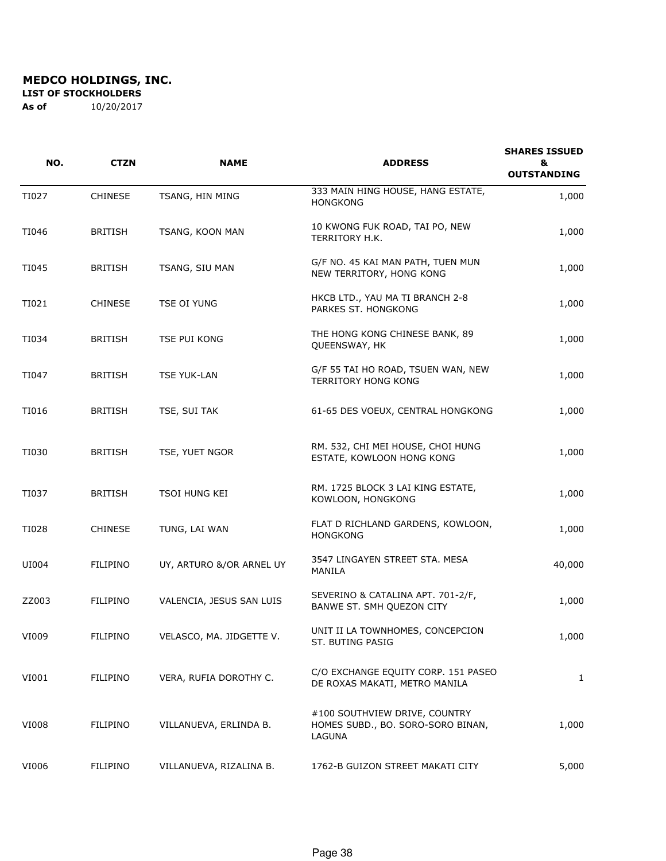**LIST OF STOCKHOLDERS** 

| NO.   | <b>CTZN</b>     | <b>NAME</b>              | <b>ADDRESS</b>                                                               | <b>SHARES ISSUED</b><br>&<br><b>OUTSTANDING</b> |
|-------|-----------------|--------------------------|------------------------------------------------------------------------------|-------------------------------------------------|
| TI027 | <b>CHINESE</b>  | TSANG, HIN MING          | 333 MAIN HING HOUSE, HANG ESTATE,<br><b>HONGKONG</b>                         | 1,000                                           |
| TI046 | <b>BRITISH</b>  | TSANG, KOON MAN          | 10 KWONG FUK ROAD, TAI PO, NEW<br>TERRITORY H.K.                             | 1,000                                           |
| TI045 | <b>BRITISH</b>  | TSANG, SIU MAN           | G/F NO. 45 KAI MAN PATH, TUEN MUN<br>NEW TERRITORY, HONG KONG                | 1,000                                           |
| TI021 | <b>CHINESE</b>  | TSE OI YUNG              | HKCB LTD., YAU MA TI BRANCH 2-8<br>PARKES ST. HONGKONG                       | 1,000                                           |
| TI034 | <b>BRITISH</b>  | TSE PUI KONG             | THE HONG KONG CHINESE BANK, 89<br>QUEENSWAY, HK                              | 1,000                                           |
| TI047 | <b>BRITISH</b>  | <b>TSE YUK-LAN</b>       | G/F 55 TAI HO ROAD, TSUEN WAN, NEW<br><b>TERRITORY HONG KONG</b>             | 1,000                                           |
| TI016 | <b>BRITISH</b>  | TSE, SUI TAK             | 61-65 DES VOEUX, CENTRAL HONGKONG                                            | 1,000                                           |
| TI030 | <b>BRITISH</b>  | TSE, YUET NGOR           | RM. 532, CHI MEI HOUSE, CHOI HUNG<br>ESTATE, KOWLOON HONG KONG               | 1,000                                           |
| TI037 | <b>BRITISH</b>  | TSOI HUNG KEI            | RM. 1725 BLOCK 3 LAI KING ESTATE,<br>KOWLOON, HONGKONG                       | 1,000                                           |
| TI028 | <b>CHINESE</b>  | TUNG, LAI WAN            | FLAT D RICHLAND GARDENS, KOWLOON,<br><b>HONGKONG</b>                         | 1,000                                           |
| UI004 | <b>FILIPINO</b> | UY, ARTURO &/OR ARNEL UY | 3547 LINGAYEN STREET STA. MESA<br>MANILA                                     | 40,000                                          |
| ZZ003 | <b>FILIPINO</b> | VALENCIA, JESUS SAN LUIS | SEVERINO & CATALINA APT. 701-2/F,<br>BANWE ST. SMH QUEZON CITY               | 1,000                                           |
| VI009 | FILIPINO        | VELASCO, MA. JIDGETTE V. | UNIT II LA TOWNHOMES, CONCEPCION<br>ST. BUTING PASIG                         | 1,000                                           |
| VI001 | <b>FILIPINO</b> | VERA, RUFIA DOROTHY C.   | C/O EXCHANGE EQUITY CORP. 151 PASEO<br>DE ROXAS MAKATI, METRO MANILA         | 1                                               |
| VI008 | FILIPINO        | VILLANUEVA, ERLINDA B.   | #100 SOUTHVIEW DRIVE, COUNTRY<br>HOMES SUBD., BO. SORO-SORO BINAN,<br>LAGUNA | 1,000                                           |
| VI006 | FILIPINO        | VILLANUEVA, RIZALINA B.  | 1762-B GUIZON STREET MAKATI CITY                                             | 5,000                                           |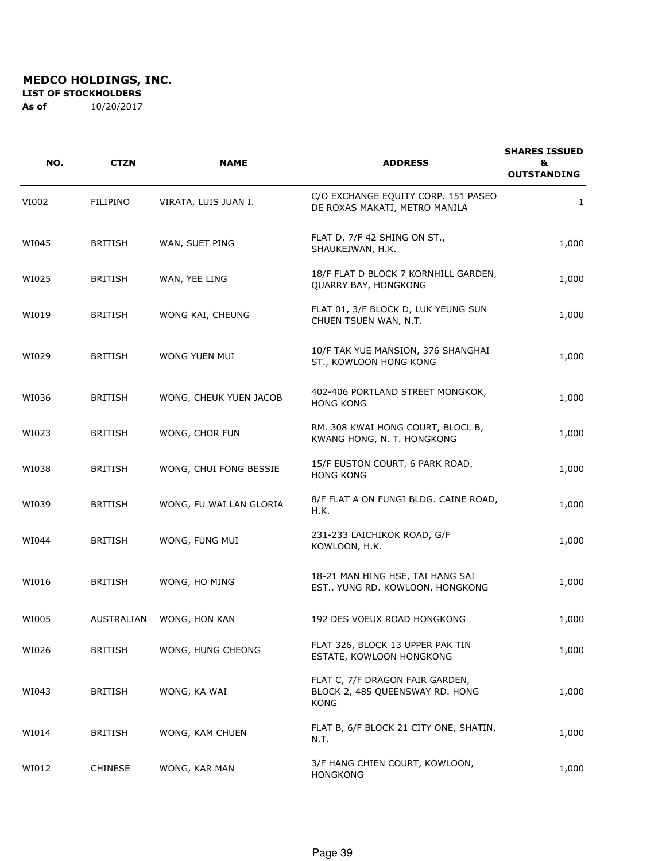**LIST OF STOCKHOLDERS** 

| NO.   | <b>CTZN</b>     | <b>NAME</b>             | <b>ADDRESS</b>                                                                    | <b>SHARES ISSUED</b><br>&<br><b>OUTSTANDING</b> |
|-------|-----------------|-------------------------|-----------------------------------------------------------------------------------|-------------------------------------------------|
| VI002 | <b>FILIPINO</b> | VIRATA, LUIS JUAN I.    | C/O EXCHANGE EQUITY CORP. 151 PASEO<br>DE ROXAS MAKATI, METRO MANILA              | 1                                               |
| WI045 | <b>BRITISH</b>  | WAN, SUET PING          | FLAT D, 7/F 42 SHING ON ST.,<br>SHAUKEIWAN, H.K.                                  | 1,000                                           |
| WI025 | <b>BRITISH</b>  | WAN, YEE LING           | 18/F FLAT D BLOCK 7 KORNHILL GARDEN,<br>QUARRY BAY, HONGKONG                      | 1,000                                           |
| WI019 | <b>BRITISH</b>  | WONG KAI, CHEUNG        | FLAT 01, 3/F BLOCK D, LUK YEUNG SUN<br>CHUEN TSUEN WAN, N.T.                      | 1,000                                           |
| WI029 | <b>BRITISH</b>  | WONG YUEN MUI           | 10/F TAK YUE MANSION, 376 SHANGHAI<br>ST., KOWLOON HONG KONG                      | 1,000                                           |
| WI036 | <b>BRITISH</b>  | WONG, CHEUK YUEN JACOB  | 402-406 PORTLAND STREET MONGKOK,<br><b>HONG KONG</b>                              | 1,000                                           |
| WI023 | <b>BRITISH</b>  | WONG, CHOR FUN          | RM. 308 KWAI HONG COURT, BLOCL B,<br>KWANG HONG, N. T. HONGKONG                   | 1,000                                           |
| WI038 | <b>BRITISH</b>  | WONG, CHUI FONG BESSIE  | 15/F EUSTON COURT, 6 PARK ROAD,<br><b>HONG KONG</b>                               | 1,000                                           |
| WI039 | <b>BRITISH</b>  | WONG, FU WAI LAN GLORIA | 8/F FLAT A ON FUNGI BLDG. CAINE ROAD,<br>H.K.                                     | 1,000                                           |
| WI044 | <b>BRITISH</b>  | WONG, FUNG MUI          | 231-233 LAICHIKOK ROAD, G/F<br>KOWLOON, H.K.                                      | 1,000                                           |
| WI016 | <b>BRITISH</b>  | WONG, HO MING           | 18-21 MAN HING HSE, TAI HANG SAI<br>EST., YUNG RD. KOWLOON, HONGKONG              | 1,000                                           |
| WI005 | AUSTRALIAN      | WONG, HON KAN           | 192 DES VOEUX ROAD HONGKONG                                                       | 1,000                                           |
| WI026 | <b>BRITISH</b>  | WONG, HUNG CHEONG       | FLAT 326, BLOCK 13 UPPER PAK TIN<br>ESTATE, KOWLOON HONGKONG                      | 1,000                                           |
| WI043 | BRITISH         | WONG, KA WAI            | FLAT C, 7/F DRAGON FAIR GARDEN,<br>BLOCK 2, 485 QUEENSWAY RD. HONG<br><b>KONG</b> | 1,000                                           |
| WI014 | <b>BRITISH</b>  | WONG, KAM CHUEN         | FLAT B, 6/F BLOCK 21 CITY ONE, SHATIN,<br>N.T.                                    | 1,000                                           |
| WI012 | <b>CHINESE</b>  | WONG, KAR MAN           | 3/F HANG CHIEN COURT, KOWLOON,<br><b>HONGKONG</b>                                 | 1,000                                           |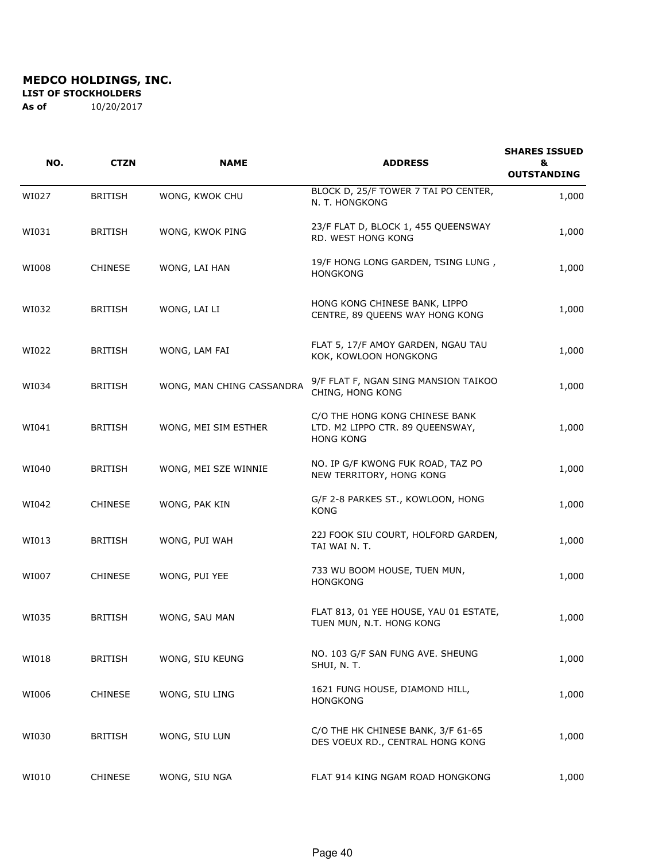**LIST OF STOCKHOLDERS** 

| NO.   | <b>CTZN</b>    | <b>NAME</b>               | <b>ADDRESS</b>                                                                         | <b>SHARES ISSUED</b><br>&<br><b>OUTSTANDING</b> |
|-------|----------------|---------------------------|----------------------------------------------------------------------------------------|-------------------------------------------------|
| WI027 | <b>BRITISH</b> | WONG, KWOK CHU            | BLOCK D, 25/F TOWER 7 TAI PO CENTER,<br>N. T. HONGKONG                                 | 1,000                                           |
| WI031 | <b>BRITISH</b> | WONG, KWOK PING           | 23/F FLAT D, BLOCK 1, 455 QUEENSWAY<br>RD. WEST HONG KONG                              | 1,000                                           |
| WI008 | <b>CHINESE</b> | WONG, LAI HAN             | 19/F HONG LONG GARDEN, TSING LUNG,<br><b>HONGKONG</b>                                  | 1,000                                           |
| WI032 | <b>BRITISH</b> | WONG, LAI LI              | HONG KONG CHINESE BANK, LIPPO<br>CENTRE, 89 QUEENS WAY HONG KONG                       | 1,000                                           |
| WI022 | <b>BRITISH</b> | WONG, LAM FAI             | FLAT 5, 17/F AMOY GARDEN, NGAU TAU<br>KOK, KOWLOON HONGKONG                            | 1,000                                           |
| WI034 | <b>BRITISH</b> | WONG, MAN CHING CASSANDRA | 9/F FLAT F, NGAN SING MANSION TAIKOO<br>CHING, HONG KONG                               | 1,000                                           |
| WI041 | <b>BRITISH</b> | WONG, MEI SIM ESTHER      | C/O THE HONG KONG CHINESE BANK<br>LTD. M2 LIPPO CTR. 89 QUEENSWAY,<br><b>HONG KONG</b> | 1,000                                           |
| WI040 | <b>BRITISH</b> | WONG, MEI SZE WINNIE      | NO. IP G/F KWONG FUK ROAD, TAZ PO<br>NEW TERRITORY, HONG KONG                          | 1,000                                           |
| WI042 | <b>CHINESE</b> | WONG, PAK KIN             | G/F 2-8 PARKES ST., KOWLOON, HONG<br>KONG                                              | 1,000                                           |
| WI013 | <b>BRITISH</b> | WONG, PUI WAH             | 22J FOOK SIU COURT, HOLFORD GARDEN,<br>TAI WAI N. T.                                   | 1,000                                           |
| WI007 | <b>CHINESE</b> | WONG, PUI YEE             | 733 WU BOOM HOUSE, TUEN MUN,<br><b>HONGKONG</b>                                        | 1,000                                           |
| WI035 | <b>BRITISH</b> | WONG, SAU MAN             | FLAT 813, 01 YEE HOUSE, YAU 01 ESTATE,<br>TUEN MUN, N.T. HONG KONG                     | 1,000                                           |
| WI018 | <b>BRITISH</b> | WONG, SIU KEUNG           | NO. 103 G/F SAN FUNG AVE. SHEUNG<br>SHUI, N. T.                                        | 1,000                                           |
| WI006 | <b>CHINESE</b> | WONG, SIU LING            | 1621 FUNG HOUSE, DIAMOND HILL,<br><b>HONGKONG</b>                                      | 1,000                                           |
| WI030 | <b>BRITISH</b> | WONG, SIU LUN             | C/O THE HK CHINESE BANK, 3/F 61-65<br>DES VOEUX RD., CENTRAL HONG KONG                 | 1,000                                           |
| WI010 | <b>CHINESE</b> | WONG, SIU NGA             | FLAT 914 KING NGAM ROAD HONGKONG                                                       | 1,000                                           |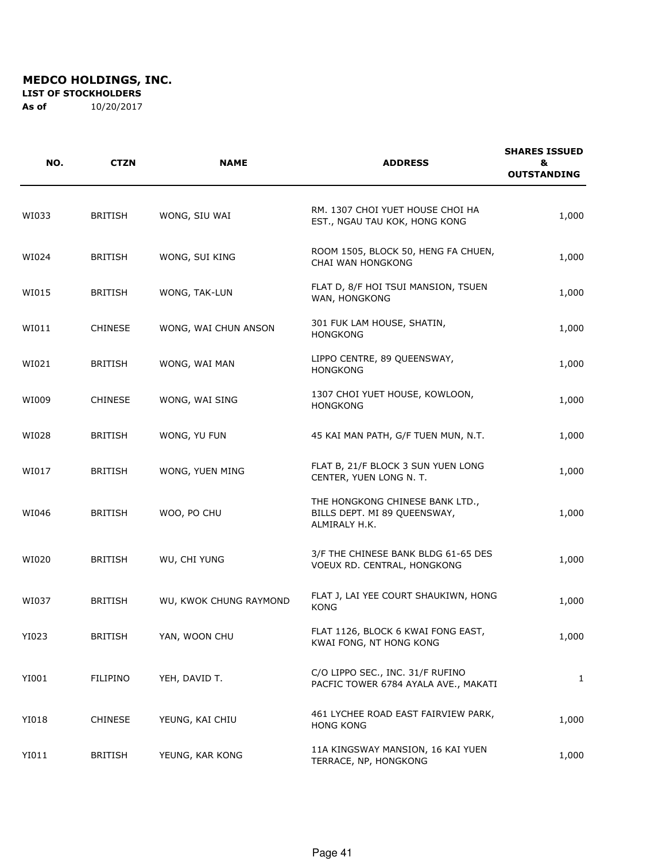**LIST OF STOCKHOLDERS** 

| NO.   | <b>CTZN</b>    | <b>NAME</b>            | <b>ADDRESS</b>                                                                   | <b>SHARES ISSUED</b><br>&<br><b>OUTSTANDING</b> |
|-------|----------------|------------------------|----------------------------------------------------------------------------------|-------------------------------------------------|
| WI033 | <b>BRITISH</b> | WONG, SIU WAI          | RM. 1307 CHOI YUET HOUSE CHOI HA<br>EST., NGAU TAU KOK, HONG KONG                | 1,000                                           |
| WI024 | <b>BRITISH</b> | WONG, SUI KING         | ROOM 1505, BLOCK 50, HENG FA CHUEN,<br>CHAI WAN HONGKONG                         | 1,000                                           |
| WI015 | <b>BRITISH</b> | WONG, TAK-LUN          | FLAT D, 8/F HOI TSUI MANSION, TSUEN<br>WAN, HONGKONG                             | 1,000                                           |
| WI011 | <b>CHINESE</b> | WONG, WAI CHUN ANSON   | 301 FUK LAM HOUSE, SHATIN,<br><b>HONGKONG</b>                                    | 1,000                                           |
| WI021 | <b>BRITISH</b> | WONG, WAI MAN          | LIPPO CENTRE, 89 QUEENSWAY,<br><b>HONGKONG</b>                                   | 1,000                                           |
| WI009 | <b>CHINESE</b> | WONG, WAI SING         | 1307 CHOI YUET HOUSE, KOWLOON,<br><b>HONGKONG</b>                                | 1,000                                           |
| WI028 | <b>BRITISH</b> | WONG, YU FUN           | 45 KAI MAN PATH, G/F TUEN MUN, N.T.                                              | 1,000                                           |
| WI017 | <b>BRITISH</b> | WONG, YUEN MING        | FLAT B, 21/F BLOCK 3 SUN YUEN LONG<br>CENTER, YUEN LONG N. T.                    | 1,000                                           |
| WI046 | <b>BRITISH</b> | WOO, PO CHU            | THE HONGKONG CHINESE BANK LTD.,<br>BILLS DEPT. MI 89 QUEENSWAY,<br>ALMIRALY H.K. | 1,000                                           |
| WI020 | <b>BRITISH</b> | WU, CHI YUNG           | 3/F THE CHINESE BANK BLDG 61-65 DES<br>VOEUX RD. CENTRAL, HONGKONG               | 1,000                                           |
| WI037 | <b>BRITISH</b> | WU, KWOK CHUNG RAYMOND | FLAT J, LAI YEE COURT SHAUKIWN, HONG<br><b>KONG</b>                              | 1,000                                           |
| YI023 | <b>BRITISH</b> | YAN, WOON CHU          | FLAT 1126, BLOCK 6 KWAI FONG EAST,<br>KWAI FONG, NT HONG KONG                    | 1,000                                           |
| YI001 | FILIPINO       | YEH, DAVID T.          | C/O LIPPO SEC., INC. 31/F RUFINO<br>PACFIC TOWER 6784 AYALA AVE., MAKATI         | 1                                               |
| YI018 | <b>CHINESE</b> | YEUNG, KAI CHIU        | 461 LYCHEE ROAD EAST FAIRVIEW PARK,<br><b>HONG KONG</b>                          | 1,000                                           |
| YI011 | <b>BRITISH</b> | YEUNG, KAR KONG        | 11A KINGSWAY MANSION, 16 KAI YUEN<br>TERRACE, NP, HONGKONG                       | 1,000                                           |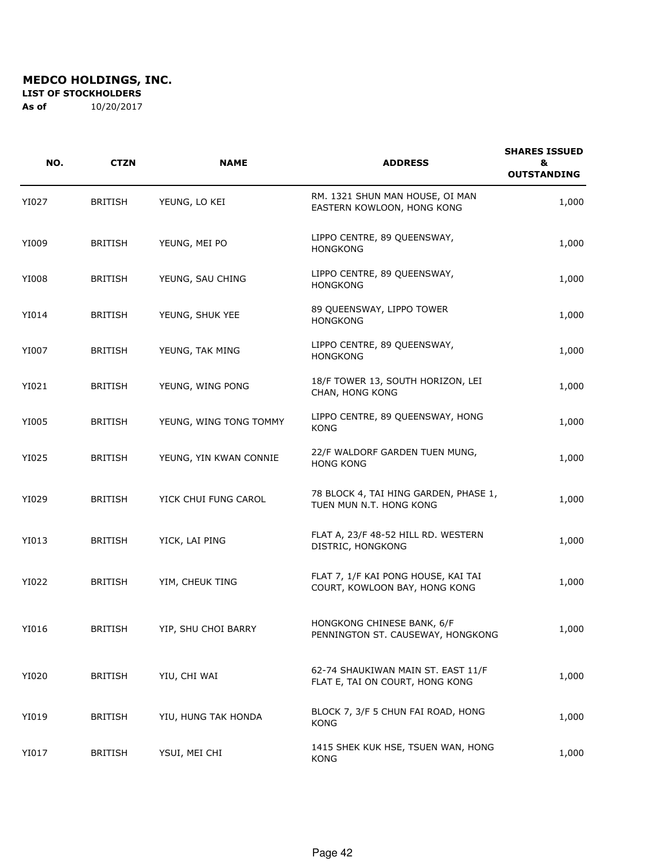**LIST OF STOCKHOLDERS** 

| NO.   | <b>CTZN</b>    | <b>NAME</b>            | <b>ADDRESS</b>                                                        | <b>SHARES ISSUED</b><br>&<br><b>OUTSTANDING</b> |
|-------|----------------|------------------------|-----------------------------------------------------------------------|-------------------------------------------------|
| YI027 | <b>BRITISH</b> | YEUNG, LO KEI          | RM. 1321 SHUN MAN HOUSE, OI MAN<br>EASTERN KOWLOON, HONG KONG         | 1,000                                           |
| YI009 | <b>BRITISH</b> | YEUNG, MEI PO          | LIPPO CENTRE, 89 QUEENSWAY,<br><b>HONGKONG</b>                        | 1,000                                           |
| YI008 | <b>BRITISH</b> | YEUNG, SAU CHING       | LIPPO CENTRE, 89 QUEENSWAY,<br><b>HONGKONG</b>                        | 1,000                                           |
| YI014 | <b>BRITISH</b> | YEUNG, SHUK YEE        | 89 QUEENSWAY, LIPPO TOWER<br><b>HONGKONG</b>                          | 1,000                                           |
| YI007 | <b>BRITISH</b> | YEUNG, TAK MING        | LIPPO CENTRE, 89 QUEENSWAY,<br><b>HONGKONG</b>                        | 1,000                                           |
| YI021 | <b>BRITISH</b> | YEUNG, WING PONG       | 18/F TOWER 13, SOUTH HORIZON, LEI<br>CHAN, HONG KONG                  | 1,000                                           |
| YI005 | <b>BRITISH</b> | YEUNG, WING TONG TOMMY | LIPPO CENTRE, 89 QUEENSWAY, HONG<br><b>KONG</b>                       | 1,000                                           |
| YI025 | <b>BRITISH</b> | YEUNG, YIN KWAN CONNIE | 22/F WALDORF GARDEN TUEN MUNG,<br><b>HONG KONG</b>                    | 1,000                                           |
| YI029 | <b>BRITISH</b> | YICK CHUI FUNG CAROL   | 78 BLOCK 4, TAI HING GARDEN, PHASE 1,<br>TUEN MUN N.T. HONG KONG      | 1,000                                           |
| YI013 | <b>BRITISH</b> | YICK, LAI PING         | FLAT A, 23/F 48-52 HILL RD. WESTERN<br>DISTRIC, HONGKONG              | 1,000                                           |
| YI022 | <b>BRITISH</b> | YIM, CHEUK TING        | FLAT 7, 1/F KAI PONG HOUSE, KAI TAI<br>COURT, KOWLOON BAY, HONG KONG  | 1,000                                           |
| YI016 | <b>BRITISH</b> | YIP, SHU CHOI BARRY    | HONGKONG CHINESE BANK, 6/F<br>PENNINGTON ST. CAUSEWAY, HONGKONG       | 1,000                                           |
| YI020 | <b>BRITISH</b> | YIU, CHI WAI           | 62-74 SHAUKIWAN MAIN ST. EAST 11/F<br>FLAT E, TAI ON COURT, HONG KONG | 1,000                                           |
| YI019 | <b>BRITISH</b> | YIU, HUNG TAK HONDA    | BLOCK 7, 3/F 5 CHUN FAI ROAD, HONG<br>KONG                            | 1,000                                           |
| YI017 | <b>BRITISH</b> | YSUI, MEI CHI          | 1415 SHEK KUK HSE, TSUEN WAN, HONG<br><b>KONG</b>                     | 1,000                                           |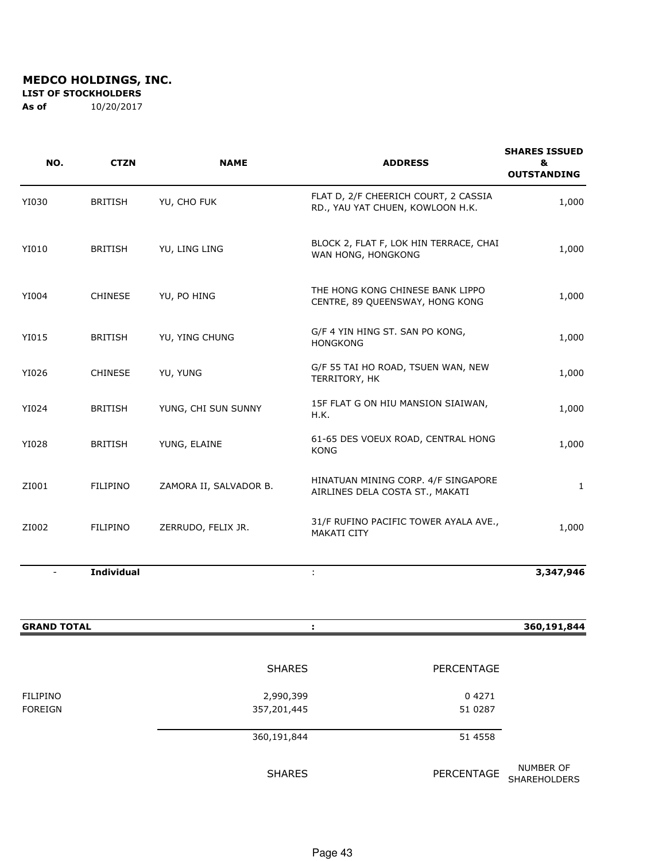**LIST OF STOCKHOLDERS** 

| NO.                | <b>CTZN</b>       | <b>NAME</b>            | <b>ADDRESS</b>                                                           | <b>SHARES ISSUED</b><br>&<br><b>OUTSTANDING</b> |
|--------------------|-------------------|------------------------|--------------------------------------------------------------------------|-------------------------------------------------|
| YI030              | <b>BRITISH</b>    | YU, CHO FUK            | FLAT D, 2/F CHEERICH COURT, 2 CASSIA<br>RD., YAU YAT CHUEN, KOWLOON H.K. | 1,000                                           |
| YI010              | <b>BRITISH</b>    | YU, LING LING          | BLOCK 2, FLAT F, LOK HIN TERRACE, CHAI<br>WAN HONG, HONGKONG             | 1,000                                           |
| YI004              | <b>CHINESE</b>    | YU, PO HING            | THE HONG KONG CHINESE BANK LIPPO<br>CENTRE, 89 QUEENSWAY, HONG KONG      | 1,000                                           |
| YI015              | <b>BRITISH</b>    | YU, YING CHUNG         | G/F 4 YIN HING ST. SAN PO KONG,<br><b>HONGKONG</b>                       | 1,000                                           |
| YI026              | <b>CHINESE</b>    | YU, YUNG               | G/F 55 TAI HO ROAD, TSUEN WAN, NEW<br>TERRITORY, HK                      | 1,000                                           |
| YI024              | <b>BRITISH</b>    | YUNG, CHI SUN SUNNY    | 15F FLAT G ON HIU MANSION SIAIWAN,<br>H.K.                               | 1,000                                           |
| YI028              | <b>BRITISH</b>    | YUNG, ELAINE           | 61-65 DES VOEUX ROAD, CENTRAL HONG<br><b>KONG</b>                        | 1,000                                           |
| ZI001              | <b>FILIPINO</b>   | ZAMORA II, SALVADOR B. | HINATUAN MINING CORP. 4/F SINGAPORE<br>AIRLINES DELA COSTA ST., MAKATI   | $\mathbf{1}$                                    |
| ZI002              | <b>FILIPINO</b>   | ZERRUDO, FELIX JR.     | 31/F RUFINO PACIFIC TOWER AYALA AVE.,<br><b>MAKATI CITY</b>              | 1,000                                           |
| $\blacksquare$     | <b>Individual</b> |                        | ÷                                                                        | 3,347,946                                       |
| <b>GRAND TOTAL</b> |                   |                        | ÷                                                                        | 360,191,844                                     |

|                 | <b>SHARES</b> | <b>PERCENTAGE</b> |                                  |  |
|-----------------|---------------|-------------------|----------------------------------|--|
| <b>FILIPINO</b> | 2,990,399     | 04271             |                                  |  |
| <b>FOREIGN</b>  | 357,201,445   | 51 0287           |                                  |  |
|                 | 360,191,844   | 51 4558           |                                  |  |
|                 | <b>SHARES</b> | PERCENTAGE        | NUMBER OF<br><b>SHAREHOLDERS</b> |  |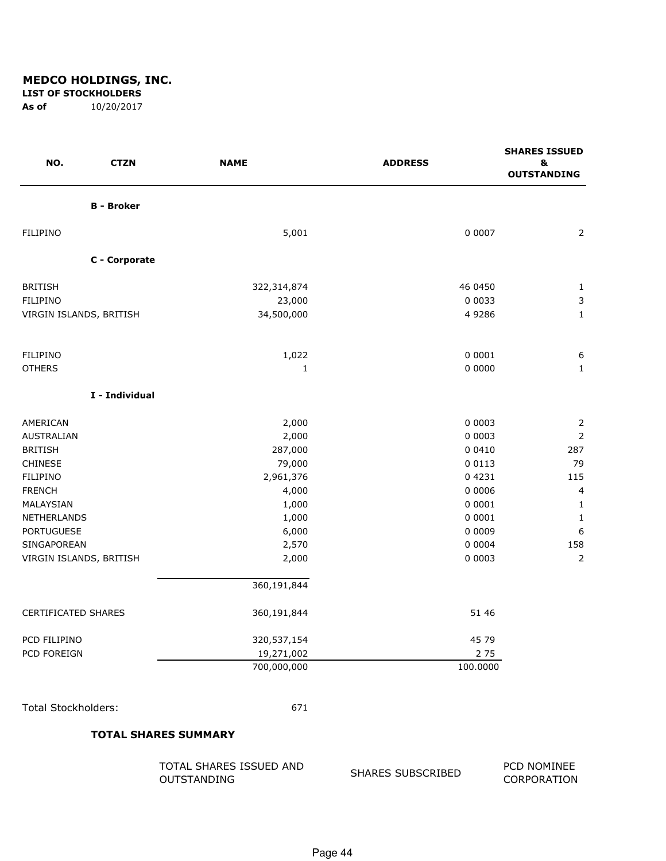#### **LIST OF STOCKHOLDERS**

**As of** 10/20/2017

| NO.<br><b>CTZN</b>         | <b>NAME</b> | <b>ADDRESS</b> | <b>SHARES ISSUED</b><br>8<br><b>OUTSTANDING</b> |
|----------------------------|-------------|----------------|-------------------------------------------------|
| <b>B</b> - Broker          |             |                |                                                 |
| <b>FILIPINO</b>            | 5,001       | 0 0 0 0 7      | $\overline{2}$                                  |
| C - Corporate              |             |                |                                                 |
| <b>BRITISH</b>             | 322,314,874 | 46 0450        | $\mathbf{1}$                                    |
| FILIPINO                   | 23,000      | 0 0 0 3 3      | $\mathsf 3$                                     |
| VIRGIN ISLANDS, BRITISH    | 34,500,000  | 4 9 2 8 6      | $\mathbf{1}$                                    |
| <b>FILIPINO</b>            | 1,022       | 0 0001         | 6                                               |
| <b>OTHERS</b>              | 1           | 0 0000         | $\mathbf{1}$                                    |
| I - Individual             |             |                |                                                 |
| AMERICAN                   | 2,000       | 0 0 0 0 3      | 2                                               |
| AUSTRALIAN                 | 2,000       | 0 0 0 0 3      | $\mathbf 2$                                     |
| <b>BRITISH</b>             | 287,000     | 0 0 4 1 0      | 287                                             |
| <b>CHINESE</b>             | 79,000      | 0 0 1 1 3      | 79                                              |
| <b>FILIPINO</b>            | 2,961,376   | 04231          | 115                                             |
| <b>FRENCH</b>              | 4,000       | 0 0006         | 4                                               |
| MALAYSIAN                  | 1,000       | 0 0001         | $\mathbf{1}$                                    |
| NETHERLANDS                | 1,000       | 0 0 0 0 1      | $\mathbf{1}$                                    |
| <b>PORTUGUESE</b>          | 6,000       | 0 0 0 0 9      | $\boldsymbol{6}$                                |
| SINGAPOREAN                | 2,570       | 0 0 0 0 4      | 158                                             |
| VIRGIN ISLANDS, BRITISH    | 2,000       | 0 0 0 0 3      | $\overline{2}$                                  |
|                            | 360,191,844 |                |                                                 |
| <b>CERTIFICATED SHARES</b> | 360,191,844 | 51 46          |                                                 |
| PCD FILIPINO               | 320,537,154 | 45 79          |                                                 |
| PCD FOREIGN                | 19,271,002  | 275            |                                                 |
|                            | 700,000,000 | 100.0000       |                                                 |
| <b>Total Stockholders:</b> | 671         |                |                                                 |

#### **TOTAL SHARES SUMMARY**

| TOTAL SHARES ISSUED AND |  |
|-------------------------|--|
| OUTSTANDING             |  |

#### SHARES SUBSCRIBED PCD NOMINEE CORPORATION